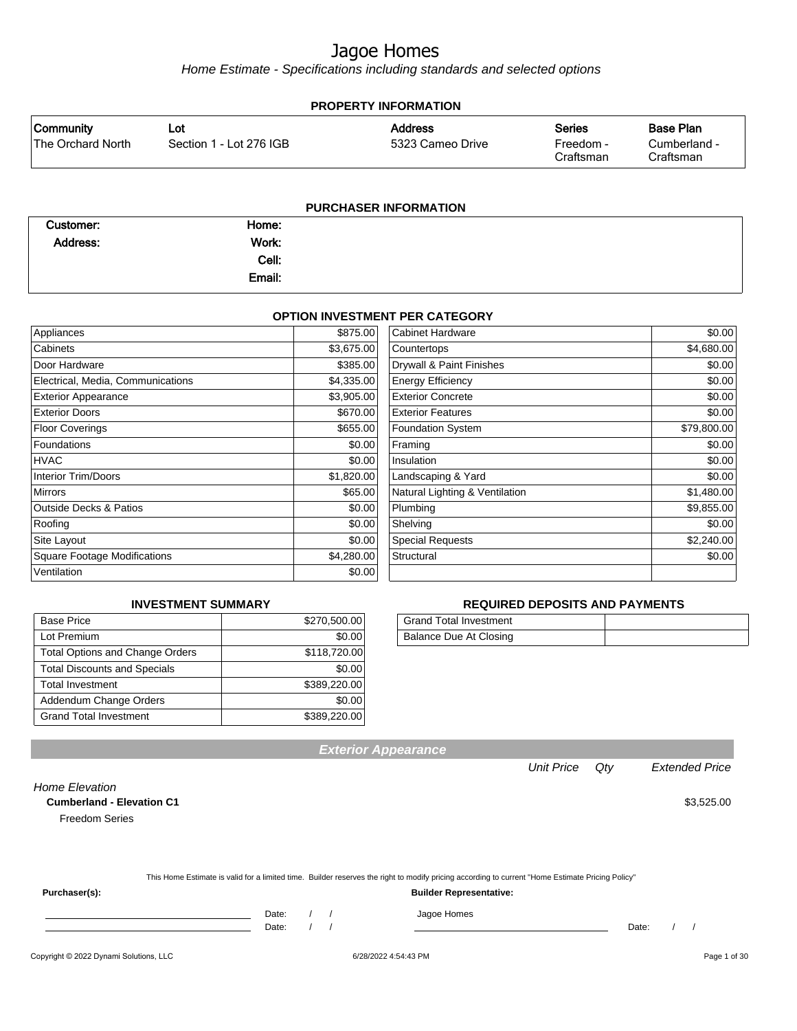Home Estimate - Specifications including standards and selected options

| <b>PROPERTY INFORMATION</b>           |                                |                                    |                                         |                                               |  |  |
|---------------------------------------|--------------------------------|------------------------------------|-----------------------------------------|-----------------------------------------------|--|--|
| <b>Community</b><br>The Orchard North | Lot<br>Section 1 - Lot 276 IGB | <b>Address</b><br>5323 Cameo Drive | <b>Series</b><br>Freedom -<br>Craftsman | <b>Base Plan</b><br>Cumberland -<br>Craftsman |  |  |
|                                       |                                | <b>PURCHASER INFORMATION</b>       |                                         |                                               |  |  |

| Customer: | Home:  |  |
|-----------|--------|--|
| Address:  | Work:  |  |
|           | Cell:  |  |
|           | Email: |  |

#### **OPTION INVESTMENT PER CATEGORY**

| Appliances                          | \$875.00   | Cabinet Hardware               | \$0.00      |
|-------------------------------------|------------|--------------------------------|-------------|
| Cabinets                            | \$3,675.00 | Countertops                    | \$4,680.00  |
| Door Hardware                       | \$385.00   | Drywall & Paint Finishes       | \$0.00      |
| Electrical, Media, Communications   | \$4,335.00 | <b>Energy Efficiency</b>       | \$0.00      |
| <b>Exterior Appearance</b>          | \$3,905.00 | <b>Exterior Concrete</b>       | \$0.00      |
| <b>Exterior Doors</b>               | \$670.00   | <b>Exterior Features</b>       | \$0.00      |
| <b>Floor Coverings</b>              | \$655.00   | <b>Foundation System</b>       | \$79,800.00 |
| Foundations                         | \$0.00     | Framing                        | \$0.00      |
| HVAC                                | \$0.00     | Insulation                     | \$0.00      |
| <b>Interior Trim/Doors</b>          | \$1,820.00 | Landscaping & Yard             | \$0.00      |
| <b>Mirrors</b>                      | \$65.00    | Natural Lighting & Ventilation | \$1,480.00  |
| <b>Outside Decks &amp; Patios</b>   | \$0.00     | Plumbing                       | \$9,855.00  |
| Roofing                             | \$0.00     | Shelving                       | \$0.00      |
| Site Layout                         | \$0.00     | <b>Special Requests</b>        | \$2,240.00  |
| <b>Square Footage Modifications</b> | \$4,280.00 | Structural                     | \$0.00      |
| Ventilation                         | \$0.00     |                                |             |

#### **INVESTMENT SUMMARY**

| <b>Base Price</b>                      | \$270,500.00 |
|----------------------------------------|--------------|
| Lot Premium                            | \$0.00       |
| <b>Total Options and Change Orders</b> | \$118,720.00 |
| <b>Total Discounts and Specials</b>    | \$0.00       |
| <b>Total Investment</b>                | \$389,220.00 |
| Addendum Change Orders                 | \$0.00       |
| <b>Grand Total Investment</b>          | \$389,220.00 |

#### **REQUIRED DEPOSITS AND PAYMENTS**

| <b>Grand Total Investment</b> |  |
|-------------------------------|--|
| Balance Due At Closing        |  |

Unit Price Qty Extended Price

| <b>Cumberland - Elevation C1</b> |                                                                                                                                                  | \$3,525.00 |
|----------------------------------|--------------------------------------------------------------------------------------------------------------------------------------------------|------------|
| <b>Freedom Series</b>            |                                                                                                                                                  |            |
|                                  |                                                                                                                                                  |            |
|                                  |                                                                                                                                                  |            |
|                                  | This Home Estimate is valid for a limited time. Builder reserves the right to modify pricing according to current "Home Estimate Pricing Policy" |            |
| Purchaser(s):                    | <b>Builder Representative:</b>                                                                                                                   |            |
|                                  | Date:<br>Jagoe Homes                                                                                                                             |            |

**Exterior Appearance**

Copyright © 2022 Dynami Solutions, LLC <br>
■
Fage 1 of 30

Home Elevation

Date: / / Date: / /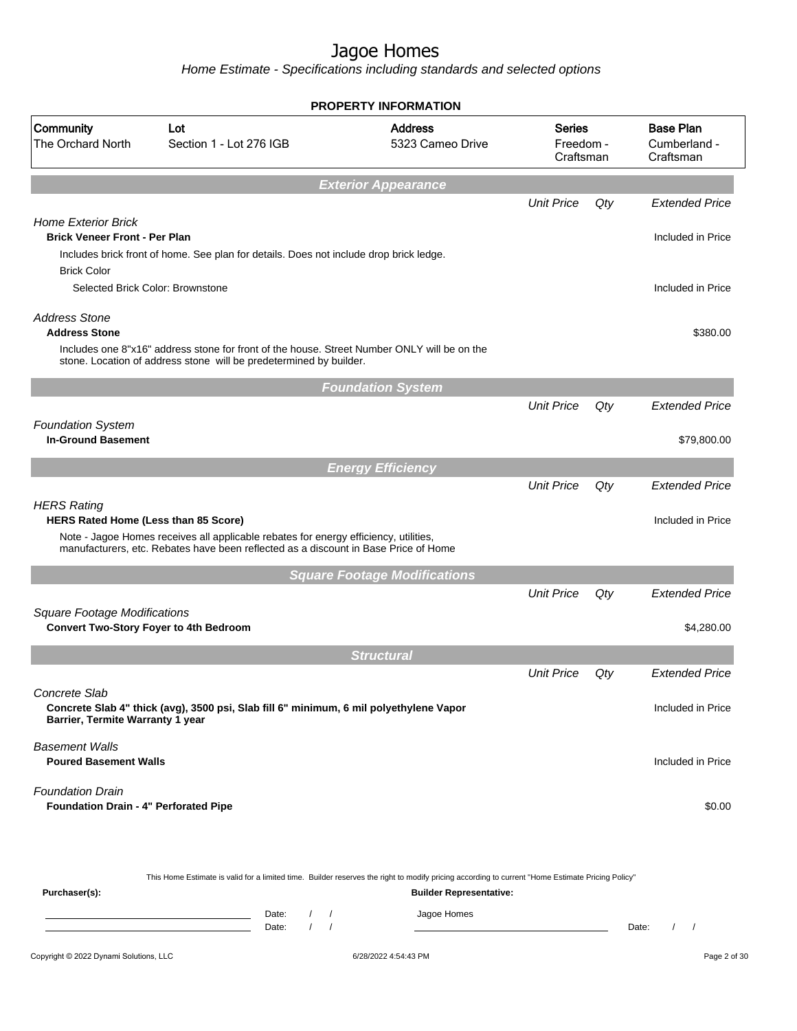|                                                                                          |                                                                                                                                                                                                                                                                      | <b>PROPERTY INFORMATION</b>                                                   |                   |     |                                               |
|------------------------------------------------------------------------------------------|----------------------------------------------------------------------------------------------------------------------------------------------------------------------------------------------------------------------------------------------------------------------|-------------------------------------------------------------------------------|-------------------|-----|-----------------------------------------------|
| Community<br>The Orchard North                                                           | Lot<br>Section 1 - Lot 276 IGB                                                                                                                                                                                                                                       | <b>Address</b><br><b>Series</b><br>5323 Cameo Drive<br>Freedom -<br>Craftsman |                   |     | <b>Base Plan</b><br>Cumberland -<br>Craftsman |
|                                                                                          |                                                                                                                                                                                                                                                                      | <b>Exterior Appearance</b>                                                    |                   |     |                                               |
|                                                                                          |                                                                                                                                                                                                                                                                      |                                                                               | <b>Unit Price</b> | Qty | <b>Extended Price</b>                         |
| <b>Home Exterior Brick</b><br><b>Brick Veneer Front - Per Plan</b><br><b>Brick Color</b> | Includes brick front of home. See plan for details. Does not include drop brick ledge.                                                                                                                                                                               |                                                                               |                   |     | Included in Price                             |
|                                                                                          | Selected Brick Color: Brownstone                                                                                                                                                                                                                                     |                                                                               |                   |     | Included in Price                             |
| <b>Address Stone</b><br><b>Address Stone</b>                                             | Includes one 8"x16" address stone for front of the house. Street Number ONLY will be on the<br>stone. Location of address stone will be predetermined by builder.                                                                                                    |                                                                               |                   |     | \$380.00                                      |
|                                                                                          |                                                                                                                                                                                                                                                                      | <b>Foundation System</b>                                                      |                   |     |                                               |
|                                                                                          |                                                                                                                                                                                                                                                                      |                                                                               | <b>Unit Price</b> | Qty | <b>Extended Price</b>                         |
| <b>Foundation System</b><br><b>In-Ground Basement</b>                                    |                                                                                                                                                                                                                                                                      |                                                                               |                   |     | \$79,800.00                                   |
|                                                                                          |                                                                                                                                                                                                                                                                      | <b>Energy Efficiency</b>                                                      |                   |     |                                               |
| <b>HERS Rating</b>                                                                       |                                                                                                                                                                                                                                                                      |                                                                               | <b>Unit Price</b> | Qty | <b>Extended Price</b>                         |
| HERS Rated Home (Less than 85 Score)                                                     | Note - Jagoe Homes receives all applicable rebates for energy efficiency, utilities,<br>manufacturers, etc. Rebates have been reflected as a discount in Base Price of Home                                                                                          |                                                                               |                   |     | Included in Price                             |
|                                                                                          |                                                                                                                                                                                                                                                                      | <b>Square Footage Modifications</b>                                           |                   |     |                                               |
| <b>Square Footage Modifications</b>                                                      |                                                                                                                                                                                                                                                                      |                                                                               | <b>Unit Price</b> | Qty | <b>Extended Price</b>                         |
|                                                                                          | <b>Convert Two-Story Foyer to 4th Bedroom</b>                                                                                                                                                                                                                        |                                                                               |                   |     | \$4,280.00                                    |
|                                                                                          |                                                                                                                                                                                                                                                                      | <b>Structural</b>                                                             |                   |     |                                               |
|                                                                                          |                                                                                                                                                                                                                                                                      |                                                                               | <b>Unit Price</b> | Qty | <b>Extended Price</b>                         |
| Concrete Slab<br>Barrier, Termite Warranty 1 year                                        | Concrete Slab 4" thick (avg), 3500 psi, Slab fill 6" minimum, 6 mil polyethylene Vapor                                                                                                                                                                               |                                                                               |                   |     | Included in Price                             |
| <b>Basement Walls</b><br><b>Poured Basement Walls</b>                                    |                                                                                                                                                                                                                                                                      |                                                                               |                   |     | Included in Price                             |
| <b>Foundation Drain</b><br>Foundation Drain - 4" Perforated Pipe                         |                                                                                                                                                                                                                                                                      |                                                                               |                   |     | \$0.00                                        |
| Purchaser(s):                                                                            | This Home Estimate is valid for a limited time. Builder reserves the right to modify pricing according to current "Home Estimate Pricing Policy"<br>Date:<br>$\sqrt{2}$<br>$\prime$<br>the control of the control of the control of<br>$\prime$<br>Date:<br>$\prime$ | <b>Builder Representative:</b><br>Jagoe Homes                                 |                   |     | Date:<br>$\prime$<br>$\overline{\phantom{a}}$ |
| Copyright © 2022 Dynami Solutions, LLC                                                   |                                                                                                                                                                                                                                                                      | 6/28/2022 4:54:43 PM                                                          |                   |     | Page 2 of 30                                  |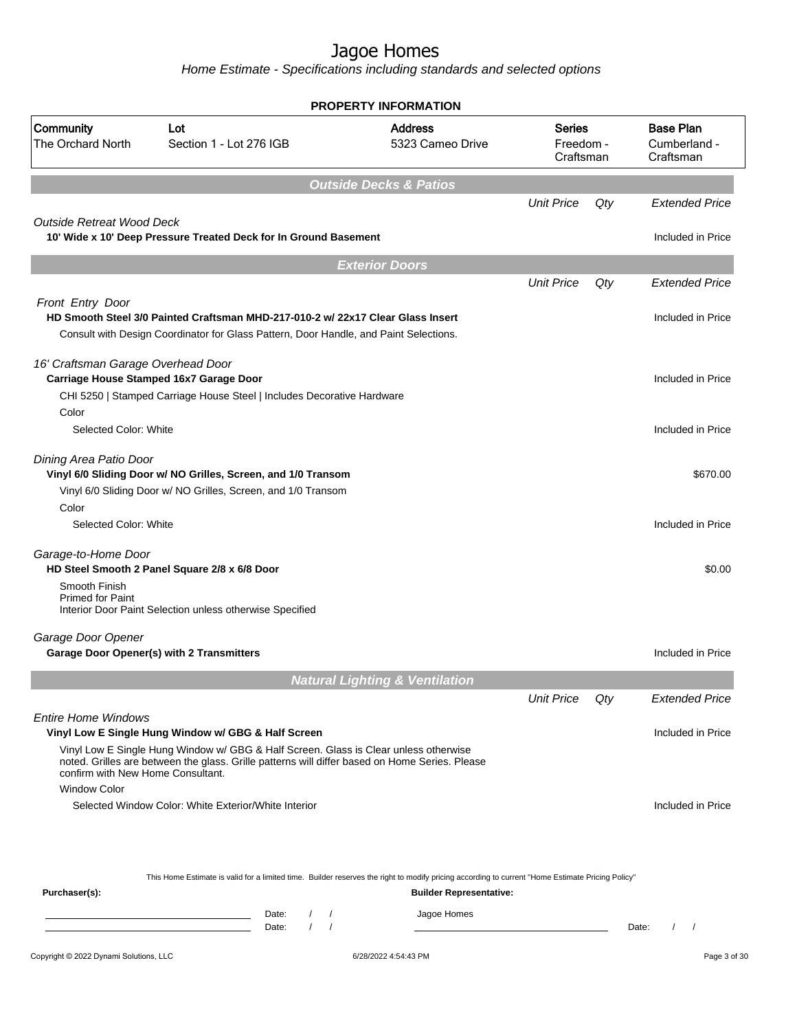|                                                          |                                                                                                                                                                          | <b>PROPERTY INFORMATION</b>               |                                         |     |                                               |
|----------------------------------------------------------|--------------------------------------------------------------------------------------------------------------------------------------------------------------------------|-------------------------------------------|-----------------------------------------|-----|-----------------------------------------------|
| Community<br>The Orchard North                           | Lot<br>Section 1 - Lot 276 IGB                                                                                                                                           | <b>Address</b><br>5323 Cameo Drive        | <b>Series</b><br>Freedom -<br>Craftsman |     | <b>Base Plan</b><br>Cumberland -<br>Craftsman |
|                                                          |                                                                                                                                                                          | <b>Outside Decks &amp; Patios</b>         |                                         |     |                                               |
|                                                          |                                                                                                                                                                          |                                           | <b>Unit Price</b>                       | Qty | <b>Extended Price</b>                         |
| <b>Outside Retreat Wood Deck</b>                         | 10' Wide x 10' Deep Pressure Treated Deck for In Ground Basement                                                                                                         |                                           |                                         |     | Included in Price                             |
|                                                          |                                                                                                                                                                          | <b>Exterior Doors</b>                     |                                         |     |                                               |
|                                                          |                                                                                                                                                                          |                                           | <b>Unit Price</b>                       | Qty | <b>Extended Price</b>                         |
| Front Entry Door                                         | HD Smooth Steel 3/0 Painted Craftsman MHD-217-010-2 w/ 22x17 Clear Glass Insert<br>Consult with Design Coordinator for Glass Pattern, Door Handle, and Paint Selections. |                                           |                                         |     | Included in Price                             |
| 16' Craftsman Garage Overhead Door                       | Carriage House Stamped 16x7 Garage Door<br>CHI 5250   Stamped Carriage House Steel   Includes Decorative Hardware                                                        |                                           |                                         |     | Included in Price                             |
| Color<br>Selected Color: White                           |                                                                                                                                                                          |                                           |                                         |     | Included in Price                             |
| Dining Area Patio Door                                   | Vinyl 6/0 Sliding Door w/ NO Grilles, Screen, and 1/0 Transom<br>Vinyl 6/0 Sliding Door w/ NO Grilles, Screen, and 1/0 Transom                                           |                                           |                                         |     | \$670.00                                      |
| Color<br>Selected Color: White                           |                                                                                                                                                                          |                                           |                                         |     | Included in Price                             |
| Garage-to-Home Door                                      | HD Steel Smooth 2 Panel Square 2/8 x 6/8 Door                                                                                                                            |                                           |                                         |     | \$0.00                                        |
| Smooth Finish<br><b>Primed for Paint</b>                 | Interior Door Paint Selection unless otherwise Specified                                                                                                                 |                                           |                                         |     |                                               |
| Garage Door Opener                                       | <b>Garage Door Opener(s) with 2 Transmitters</b>                                                                                                                         |                                           |                                         |     | Included in Price                             |
|                                                          |                                                                                                                                                                          | <b>Natural Lighting &amp; Ventilation</b> |                                         |     |                                               |
|                                                          |                                                                                                                                                                          |                                           | <b>Unit Price</b>                       | Qty | <b>Extended Price</b>                         |
| <b>Entire Home Windows</b>                               | Vinyl Low E Single Hung Window w/ GBG & Half Screen<br>Vinyl Low E Single Hung Window w/ GBG & Half Screen. Glass is Clear unless otherwise                              |                                           |                                         |     | Included in Price                             |
| confirm with New Home Consultant.<br><b>Window Color</b> | noted. Grilles are between the glass. Grille patterns will differ based on Home Series. Please                                                                           |                                           |                                         |     |                                               |
|                                                          | Selected Window Color: White Exterior/White Interior                                                                                                                     |                                           |                                         |     | Included in Price                             |
|                                                          | This Home Estimate is valid for a limited time. Builder reserves the right to modify pricing according to current "Home Estimate Pricing Policy"                         |                                           |                                         |     |                                               |
| Purchaser(s):                                            |                                                                                                                                                                          | <b>Builder Representative:</b>            |                                         |     |                                               |
|                                                          | Date:<br>$\sqrt{2}$<br>$\sqrt{ }$                                                                                                                                        | Jagoe Homes                               |                                         |     |                                               |
|                                                          | $\prime$<br>$\sqrt{ }$<br>Date:                                                                                                                                          |                                           |                                         |     | Date:<br>$\left  \right $                     |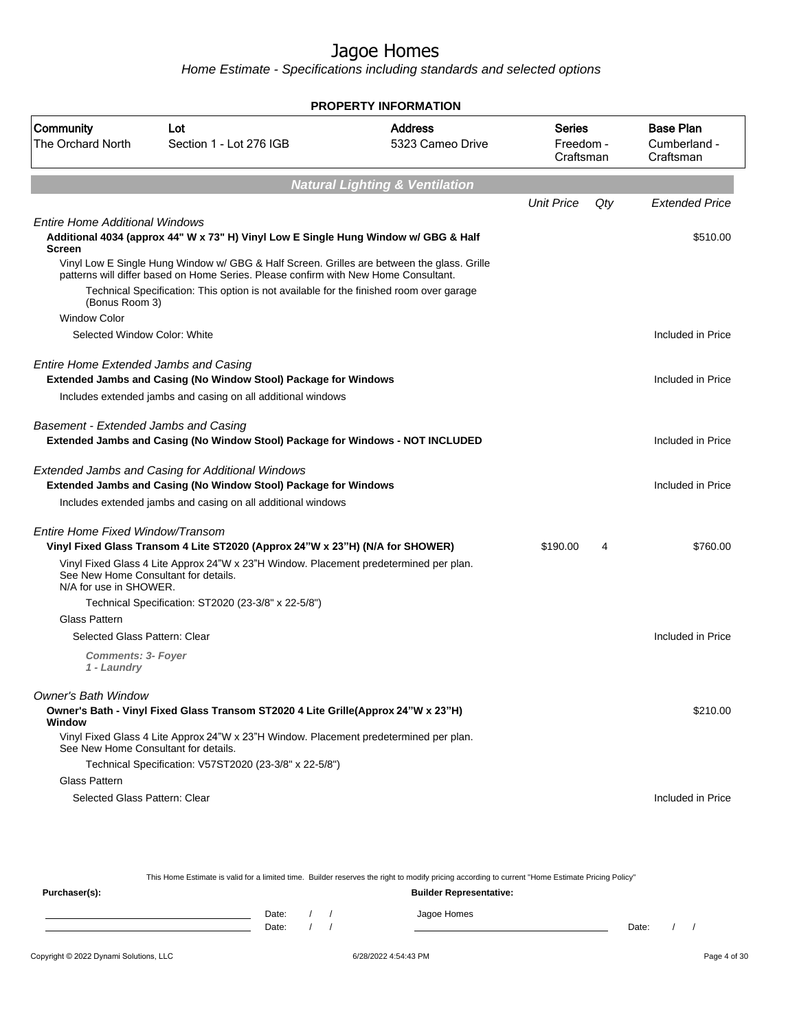Home Estimate - Specifications including standards and selected options

|                                                                |                                                                                                                                                                                   | <b>PROPERTY INFORMATION</b>               |                                  |     |                                               |
|----------------------------------------------------------------|-----------------------------------------------------------------------------------------------------------------------------------------------------------------------------------|-------------------------------------------|----------------------------------|-----|-----------------------------------------------|
| Community<br><b>The Orchard North</b>                          | Lot<br>Section 1 - Lot 276 IGB                                                                                                                                                    | <b>Address</b><br>5323 Cameo Drive        | Series<br>Freedom -<br>Craftsman |     | <b>Base Plan</b><br>Cumberland -<br>Craftsman |
|                                                                |                                                                                                                                                                                   | <b>Natural Lighting &amp; Ventilation</b> |                                  |     |                                               |
|                                                                |                                                                                                                                                                                   |                                           | <b>Unit Price</b>                | Qty | <b>Extended Price</b>                         |
| <b>Entire Home Additional Windows</b><br><b>Screen</b>         | Additional 4034 (approx 44" W x 73" H) Vinyl Low E Single Hung Window w/ GBG & Half                                                                                               |                                           |                                  |     | \$510.00                                      |
|                                                                | Vinyl Low E Single Hung Window w/ GBG & Half Screen. Grilles are between the glass. Grille<br>patterns will differ based on Home Series. Please confirm with New Home Consultant. |                                           |                                  |     |                                               |
| (Bonus Room 3)                                                 | Technical Specification: This option is not available for the finished room over garage                                                                                           |                                           |                                  |     |                                               |
| <b>Window Color</b>                                            |                                                                                                                                                                                   |                                           |                                  |     |                                               |
| Selected Window Color: White                                   |                                                                                                                                                                                   |                                           |                                  |     | Included in Price                             |
| <b>Entire Home Extended Jambs and Casing</b>                   |                                                                                                                                                                                   |                                           |                                  |     |                                               |
|                                                                | Extended Jambs and Casing (No Window Stool) Package for Windows                                                                                                                   |                                           |                                  |     | Included in Price                             |
|                                                                | Includes extended jambs and casing on all additional windows                                                                                                                      |                                           |                                  |     |                                               |
| Basement - Extended Jambs and Casing                           | Extended Jambs and Casing (No Window Stool) Package for Windows - NOT INCLUDED                                                                                                    |                                           |                                  |     | Included in Price                             |
|                                                                | <b>Extended Jambs and Casing for Additional Windows</b><br>Extended Jambs and Casing (No Window Stool) Package for Windows                                                        |                                           |                                  |     | Included in Price                             |
|                                                                | Includes extended jambs and casing on all additional windows                                                                                                                      |                                           |                                  |     |                                               |
| Entire Home Fixed Window/Transom                               |                                                                                                                                                                                   |                                           |                                  |     |                                               |
|                                                                | Vinyl Fixed Glass Transom 4 Lite ST2020 (Approx 24"W x 23"H) (N/A for SHOWER)                                                                                                     |                                           | \$190.00                         | 4   | \$760.00                                      |
| See New Home Consultant for details.<br>N/A for use in SHOWER. | Vinyl Fixed Glass 4 Lite Approx 24"W x 23"H Window. Placement predetermined per plan.                                                                                             |                                           |                                  |     |                                               |
|                                                                | Technical Specification: ST2020 (23-3/8" x 22-5/8")                                                                                                                               |                                           |                                  |     |                                               |
| Glass Pattern                                                  |                                                                                                                                                                                   |                                           |                                  |     |                                               |
| Selected Glass Pattern: Clear                                  |                                                                                                                                                                                   |                                           |                                  |     | Included in Price                             |
| <b>Comments: 3- Foyer</b><br>1 - Laundry                       |                                                                                                                                                                                   |                                           |                                  |     |                                               |
| Owner's Bath Window                                            |                                                                                                                                                                                   |                                           |                                  |     |                                               |
| Window                                                         | Owner's Bath - Vinyl Fixed Glass Transom ST2020 4 Lite Grille(Approx 24"W x 23"H)                                                                                                 |                                           |                                  |     | \$210.00                                      |
| See New Home Consultant for details.                           | Vinyl Fixed Glass 4 Lite Approx 24"W x 23"H Window. Placement predetermined per plan.                                                                                             |                                           |                                  |     |                                               |
|                                                                | Technical Specification: V57ST2020 (23-3/8" x 22-5/8")                                                                                                                            |                                           |                                  |     |                                               |
| <b>Glass Pattern</b>                                           |                                                                                                                                                                                   |                                           |                                  |     |                                               |
| Selected Glass Pattern: Clear                                  |                                                                                                                                                                                   |                                           |                                  |     | Included in Price                             |

This Home Estimate is valid for a limited time. Builder reserves the right to modify pricing according to current "Home Estimate Pricing Policy" **Purchaser(s): Builder Representative:** Date: / / Jagoe Homes<br>Date: / / Jagoe Homes Date: / / **Date: / / 2006** Date: / / / Date: / / /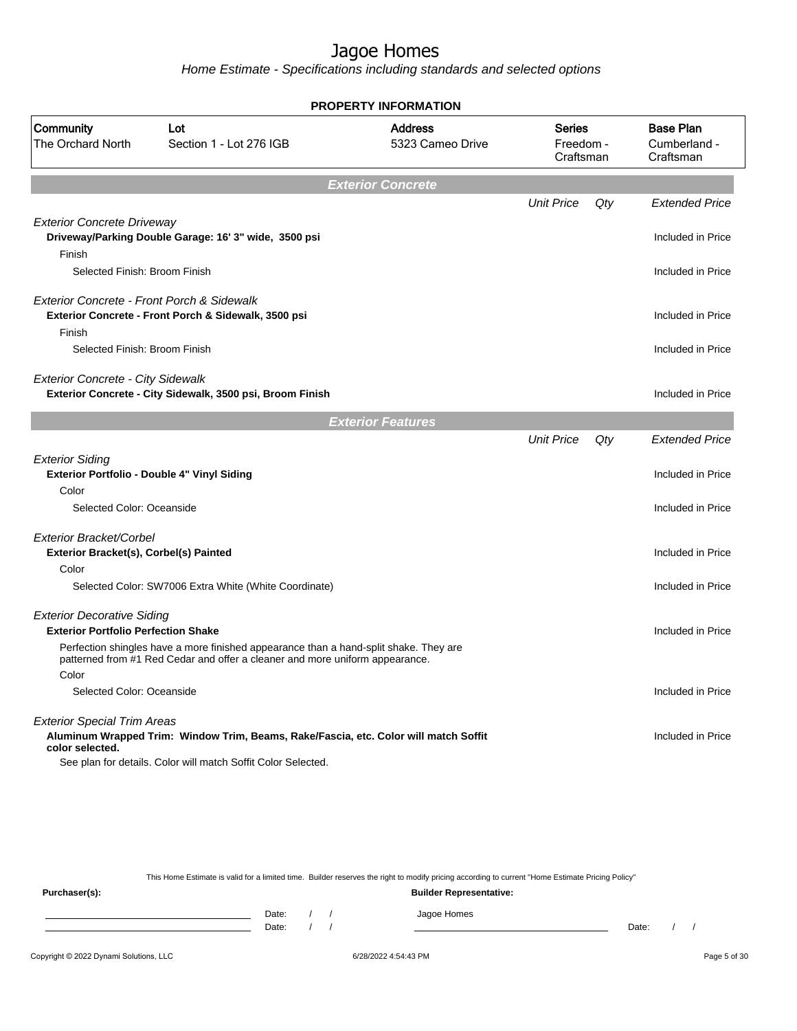Home Estimate - Specifications including standards and selected options

|                                                                                 |                                                                                                                                                                       | <b>PROPERTY INFORMATION</b>        |                                         |     |                                               |
|---------------------------------------------------------------------------------|-----------------------------------------------------------------------------------------------------------------------------------------------------------------------|------------------------------------|-----------------------------------------|-----|-----------------------------------------------|
| Community<br>The Orchard North                                                  | Lot<br>Section 1 - Lot 276 IGB                                                                                                                                        | <b>Address</b><br>5323 Cameo Drive | <b>Series</b><br>Freedom -<br>Craftsman |     | <b>Base Plan</b><br>Cumberland -<br>Craftsman |
|                                                                                 |                                                                                                                                                                       | <b>Exterior Concrete</b>           |                                         |     |                                               |
|                                                                                 |                                                                                                                                                                       |                                    | <b>Unit Price</b>                       | Qty | <b>Extended Price</b>                         |
| <b>Exterior Concrete Driveway</b><br>Finish                                     | Driveway/Parking Double Garage: 16' 3" wide, 3500 psi                                                                                                                 |                                    |                                         |     | Included in Price                             |
| Selected Finish: Broom Finish                                                   |                                                                                                                                                                       |                                    |                                         |     | Included in Price                             |
| Exterior Concrete - Front Porch & Sidewalk                                      | Exterior Concrete - Front Porch & Sidewalk, 3500 psi                                                                                                                  |                                    |                                         |     | Included in Price                             |
| Finish<br>Selected Finish: Broom Finish                                         |                                                                                                                                                                       |                                    |                                         |     | Included in Price                             |
| <b>Exterior Concrete - City Sidewalk</b>                                        | Exterior Concrete - City Sidewalk, 3500 psi, Broom Finish                                                                                                             |                                    |                                         |     | Included in Price                             |
|                                                                                 |                                                                                                                                                                       | <b>Exterior Features</b>           |                                         |     |                                               |
|                                                                                 |                                                                                                                                                                       |                                    | <b>Unit Price</b>                       | Qty | <b>Extended Price</b>                         |
| <b>Exterior Siding</b>                                                          | Exterior Portfolio - Double 4" Vinyl Siding                                                                                                                           |                                    |                                         |     | Included in Price                             |
| Color                                                                           |                                                                                                                                                                       |                                    |                                         |     |                                               |
| Selected Color: Oceanside                                                       |                                                                                                                                                                       |                                    |                                         |     | Included in Price                             |
| Exterior Bracket/Corbel<br>Exterior Bracket(s), Corbel(s) Painted               |                                                                                                                                                                       |                                    |                                         |     | Included in Price                             |
| Color                                                                           |                                                                                                                                                                       |                                    |                                         |     |                                               |
|                                                                                 | Selected Color: SW7006 Extra White (White Coordinate)                                                                                                                 |                                    |                                         |     | Included in Price                             |
| <b>Exterior Decorative Siding</b><br><b>Exterior Portfolio Perfection Shake</b> |                                                                                                                                                                       |                                    |                                         |     | Included in Price                             |
|                                                                                 | Perfection shingles have a more finished appearance than a hand-split shake. They are<br>patterned from #1 Red Cedar and offer a cleaner and more uniform appearance. |                                    |                                         |     |                                               |
| Color                                                                           |                                                                                                                                                                       |                                    |                                         |     |                                               |
| Selected Color: Oceanside                                                       |                                                                                                                                                                       |                                    |                                         |     | Included in Price                             |
| <b>Exterior Special Trim Areas</b>                                              |                                                                                                                                                                       |                                    |                                         |     |                                               |
| color selected.                                                                 | Aluminum Wrapped Trim: Window Trim, Beams, Rake/Fascia, etc. Color will match Soffit                                                                                  |                                    |                                         |     | Included in Price                             |
|                                                                                 | See plan for details. Color will match Soffit Color Selected.                                                                                                         |                                    |                                         |     |                                               |
|                                                                                 |                                                                                                                                                                       |                                    |                                         |     |                                               |

This Home Estimate is valid for a limited time. Builder reserves the right to modify pricing according to current "Home Estimate Pricing Policy" **Purchaser(s): Builder Representative:** Date: / / Jagoe Homes<br>Date: / / Jagoe Homes Date: / / **Date: / / 2006** Date: / / **Date: / / / 2006** Date: / / / 2006 Date: / / / 2006 Date: / / / 2006 Date: / / / 2007 Date: / / / 2007 Date: / / / 2008 Date: / / / 2008 Date: / / / 2008 Date: / / / 2008 Date: / / / 2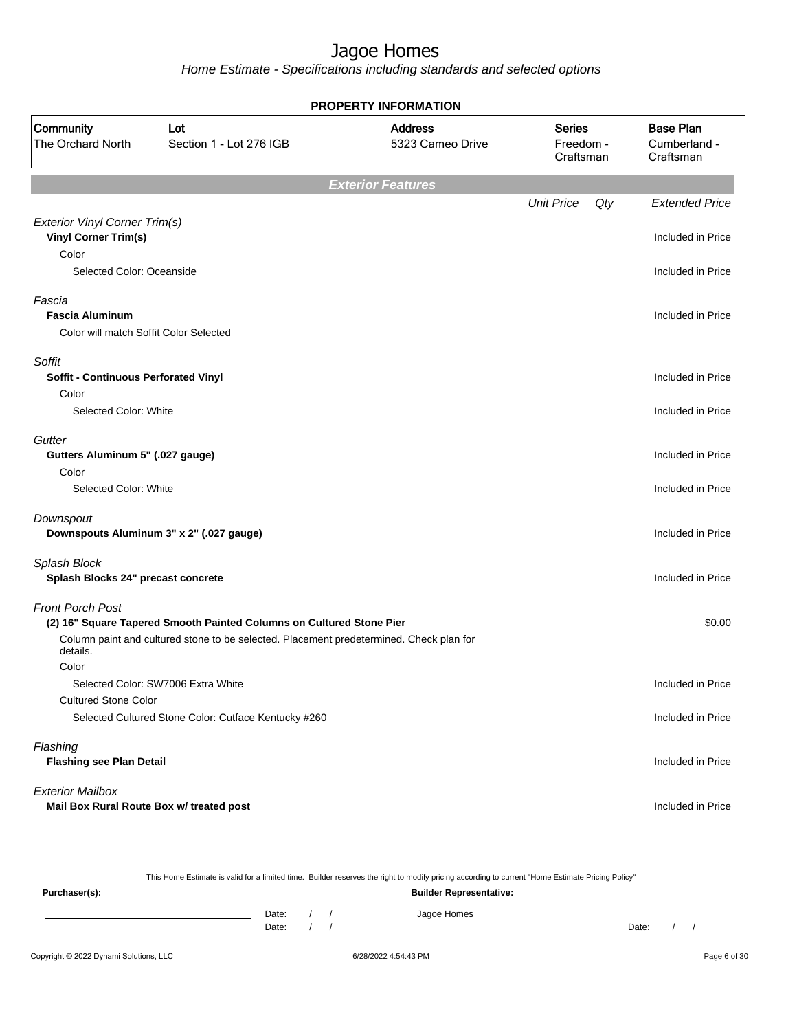|                                                                            |                                                                                         | <b>PROPERTY INFORMATION</b>        |                   |     |                                               |
|----------------------------------------------------------------------------|-----------------------------------------------------------------------------------------|------------------------------------|-------------------|-----|-----------------------------------------------|
| Community<br>The Orchard North                                             | Lot<br>Section 1 - Lot 276 IGB                                                          | <b>Address</b><br>5323 Cameo Drive |                   |     | <b>Base Plan</b><br>Cumberland -<br>Craftsman |
|                                                                            |                                                                                         | <b>Exterior Features</b>           |                   |     |                                               |
|                                                                            |                                                                                         |                                    | <b>Unit Price</b> | Qty | <b>Extended Price</b>                         |
| Exterior Vinyl Corner Trim(s)<br><b>Vinyl Corner Trim(s)</b><br>Color      |                                                                                         |                                    |                   |     | Included in Price                             |
| Selected Color: Oceanside                                                  |                                                                                         |                                    |                   |     | Included in Price                             |
| Fascia<br><b>Fascia Aluminum</b><br>Color will match Soffit Color Selected |                                                                                         |                                    |                   |     | Included in Price                             |
| Soffit<br><b>Soffit - Continuous Perforated Vinyl</b>                      |                                                                                         |                                    |                   |     | Included in Price                             |
| Color<br>Selected Color: White                                             |                                                                                         |                                    |                   |     | Included in Price                             |
| Gutter<br>Gutters Aluminum 5" (.027 gauge)<br>Color                        |                                                                                         |                                    |                   |     | Included in Price                             |
| Selected Color: White                                                      |                                                                                         |                                    |                   |     | Included in Price                             |
| Downspout                                                                  | Downspouts Aluminum 3" x 2" (.027 gauge)                                                |                                    |                   |     | Included in Price                             |
| Splash Block<br>Splash Blocks 24" precast concrete                         |                                                                                         |                                    |                   |     | Included in Price                             |
| <b>Front Porch Post</b>                                                    | (2) 16" Square Tapered Smooth Painted Columns on Cultured Stone Pier                    |                                    |                   |     | \$0.00                                        |
| details.                                                                   | Column paint and cultured stone to be selected. Placement predetermined. Check plan for |                                    |                   |     |                                               |
| Color                                                                      | Selected Color: SW7006 Extra White                                                      |                                    |                   |     | Included in Price                             |
| <b>Cultured Stone Color</b>                                                |                                                                                         |                                    |                   |     |                                               |
|                                                                            | Selected Cultured Stone Color: Cutface Kentucky #260                                    |                                    |                   |     | Included in Price                             |
| Flashing<br><b>Flashing see Plan Detail</b>                                |                                                                                         |                                    |                   |     | Included in Price                             |
| <b>Exterior Mailbox</b>                                                    | Mail Box Rural Route Box w/ treated post                                                |                                    |                   |     | Included in Price                             |

|                                        |                                |  |  | This Home Estimate is valid for a limited time. Builder reserves the right to modify pricing according to current "Home Estimate Pricing Policy" |       |  |              |
|----------------------------------------|--------------------------------|--|--|--------------------------------------------------------------------------------------------------------------------------------------------------|-------|--|--------------|
| Purchaser(s):                          | <b>Builder Representative:</b> |  |  |                                                                                                                                                  |       |  |              |
|                                        | Date:<br>Date:                 |  |  | Jagoe Homes                                                                                                                                      | Date: |  |              |
| Copyright © 2022 Dynami Solutions, LLC |                                |  |  | 6/28/2022 4:54:43 PM                                                                                                                             |       |  | Page 6 of 30 |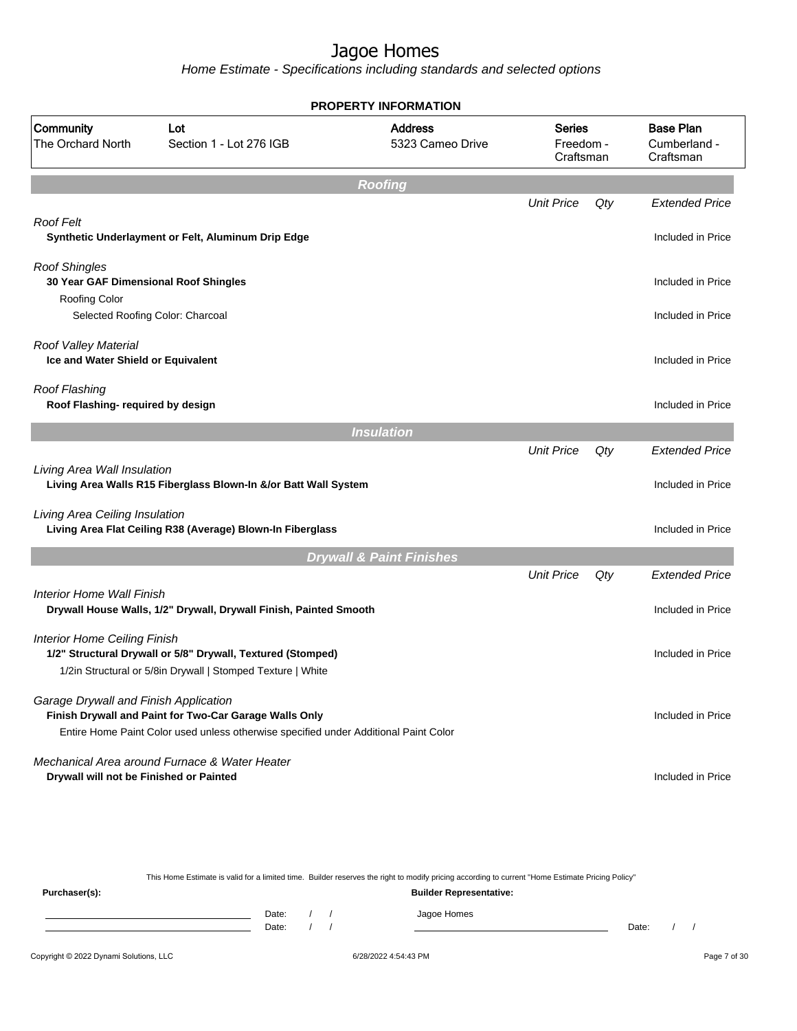|                                                               |                                                                                                                                                                                  | <b>PROPERTY INFORMATION</b>         |                                         |        |                                               |
|---------------------------------------------------------------|----------------------------------------------------------------------------------------------------------------------------------------------------------------------------------|-------------------------------------|-----------------------------------------|--------|-----------------------------------------------|
| Community<br><b>The Orchard North</b>                         | Lot<br>Section 1 - Lot 276 IGB                                                                                                                                                   | <b>Address</b><br>5323 Cameo Drive  | <b>Series</b><br>Freedom -<br>Craftsman |        | <b>Base Plan</b><br>Cumberland -<br>Craftsman |
|                                                               |                                                                                                                                                                                  | <b>Roofing</b>                      |                                         |        |                                               |
|                                                               |                                                                                                                                                                                  |                                     | <b>Unit Price</b>                       | $Q$ ty | <b>Extended Price</b>                         |
| <b>Roof Felt</b>                                              | Synthetic Underlayment or Felt, Aluminum Drip Edge                                                                                                                               |                                     |                                         |        | Included in Price                             |
| <b>Roof Shingles</b><br>30 Year GAF Dimensional Roof Shingles |                                                                                                                                                                                  |                                     |                                         |        | Included in Price                             |
| Roofing Color                                                 | Selected Roofing Color: Charcoal                                                                                                                                                 |                                     |                                         |        | Included in Price                             |
| Roof Valley Material<br>Ice and Water Shield or Equivalent    |                                                                                                                                                                                  |                                     |                                         |        | Included in Price                             |
| Roof Flashing<br>Roof Flashing- required by design            |                                                                                                                                                                                  |                                     |                                         |        | Included in Price                             |
|                                                               |                                                                                                                                                                                  | <b>Insulation</b>                   |                                         |        |                                               |
| Living Area Wall Insulation                                   | Living Area Walls R15 Fiberglass Blown-In &/or Batt Wall System                                                                                                                  |                                     | <b>Unit Price</b>                       | Qty    | <b>Extended Price</b><br>Included in Price    |
| Living Area Ceiling Insulation                                | Living Area Flat Ceiling R38 (Average) Blown-In Fiberglass                                                                                                                       |                                     |                                         |        | Included in Price                             |
|                                                               |                                                                                                                                                                                  | <b>Drywall &amp; Paint Finishes</b> |                                         |        |                                               |
|                                                               |                                                                                                                                                                                  |                                     | <b>Unit Price</b>                       | Qty    | <b>Extended Price</b>                         |
| <b>Interior Home Wall Finish</b>                              | Drywall House Walls, 1/2" Drywall, Drywall Finish, Painted Smooth                                                                                                                |                                     |                                         |        | Included in Price                             |
| <b>Interior Home Ceiling Finish</b>                           | 1/2" Structural Drywall or 5/8" Drywall, Textured (Stomped)<br>1/2in Structural or 5/8in Drywall   Stomped Texture   White                                                       |                                     |                                         |        | Included in Price                             |
| Garage Drywall and Finish Application                         | Finish Drywall and Paint for Two-Car Garage Walls Only                                                                                                                           |                                     |                                         |        | Included in Price                             |
|                                                               | Entire Home Paint Color used unless otherwise specified under Additional Paint Color<br>Mechanical Area around Furnace & Water Heater<br>Drywall will not be Finished or Painted |                                     |                                         |        | Included in Price                             |
|                                                               |                                                                                                                                                                                  |                                     |                                         |        |                                               |

|               |       |  | This Home Estimate is valid for a limited time. Builder reserves the right to modify pricing according to current "Home Estimate Pricing Policy" |       |  |
|---------------|-------|--|--------------------------------------------------------------------------------------------------------------------------------------------------|-------|--|
| Purchaser(s): |       |  | <b>Builder Representative:</b>                                                                                                                   |       |  |
|               | Date: |  | Jagoe Homes                                                                                                                                      |       |  |
|               | Date: |  |                                                                                                                                                  | Date: |  |
|               |       |  |                                                                                                                                                  |       |  |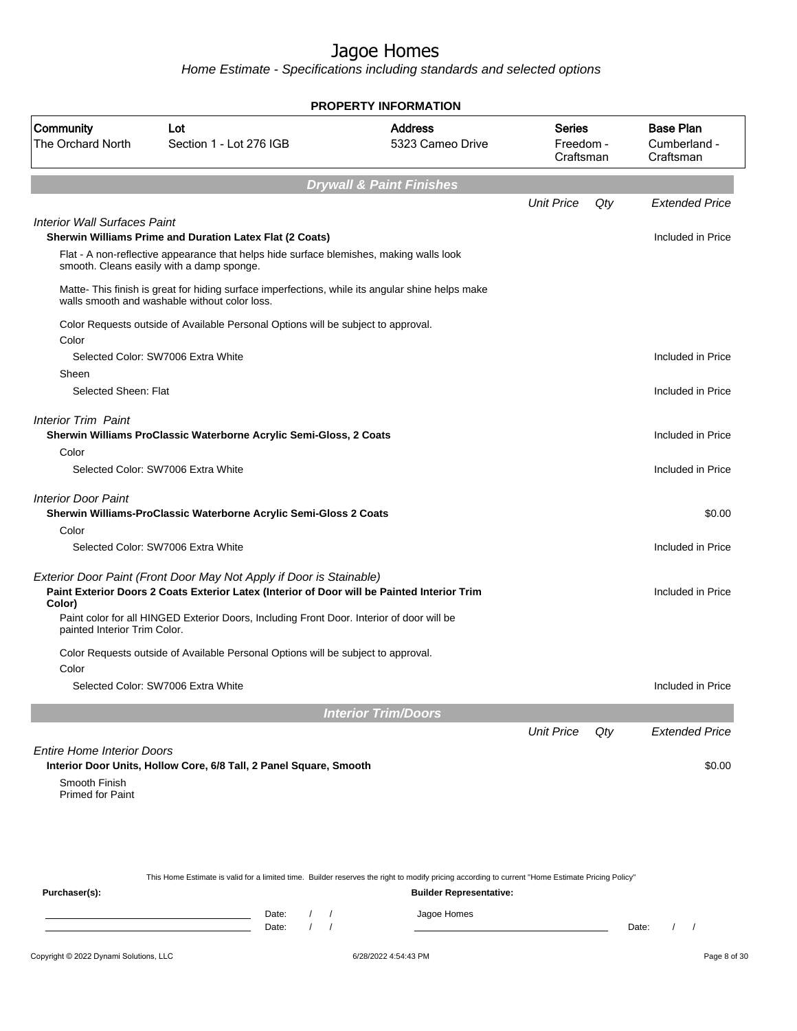| Lot<br>Section 1 - Lot 276 IGB                                                                  | <b>Address</b><br>5323 Cameo Drive | <b>Series</b><br>Freedom -<br>Craftsman                                                                                                                                                                                                                                                                                                                                                                                                                                                                                                                                                                                                                                                                                                                                                                                                                                                                                                                      | <b>Base Plan</b><br>Cumberland -<br>Craftsman                                                                                                                                      |
|-------------------------------------------------------------------------------------------------|------------------------------------|--------------------------------------------------------------------------------------------------------------------------------------------------------------------------------------------------------------------------------------------------------------------------------------------------------------------------------------------------------------------------------------------------------------------------------------------------------------------------------------------------------------------------------------------------------------------------------------------------------------------------------------------------------------------------------------------------------------------------------------------------------------------------------------------------------------------------------------------------------------------------------------------------------------------------------------------------------------|------------------------------------------------------------------------------------------------------------------------------------------------------------------------------------|
|                                                                                                 |                                    |                                                                                                                                                                                                                                                                                                                                                                                                                                                                                                                                                                                                                                                                                                                                                                                                                                                                                                                                                              |                                                                                                                                                                                    |
|                                                                                                 |                                    | <b>Unit Price</b><br>Qty                                                                                                                                                                                                                                                                                                                                                                                                                                                                                                                                                                                                                                                                                                                                                                                                                                                                                                                                     | <b>Extended Price</b>                                                                                                                                                              |
| <b>Interior Wall Surfaces Paint</b><br>Sherwin Williams Prime and Duration Latex Flat (2 Coats) |                                    |                                                                                                                                                                                                                                                                                                                                                                                                                                                                                                                                                                                                                                                                                                                                                                                                                                                                                                                                                              | Included in Price                                                                                                                                                                  |
| smooth. Cleans easily with a damp sponge.                                                       |                                    |                                                                                                                                                                                                                                                                                                                                                                                                                                                                                                                                                                                                                                                                                                                                                                                                                                                                                                                                                              |                                                                                                                                                                                    |
| walls smooth and washable without color loss.                                                   |                                    |                                                                                                                                                                                                                                                                                                                                                                                                                                                                                                                                                                                                                                                                                                                                                                                                                                                                                                                                                              |                                                                                                                                                                                    |
|                                                                                                 |                                    |                                                                                                                                                                                                                                                                                                                                                                                                                                                                                                                                                                                                                                                                                                                                                                                                                                                                                                                                                              |                                                                                                                                                                                    |
| Selected Color: SW7006 Extra White                                                              |                                    |                                                                                                                                                                                                                                                                                                                                                                                                                                                                                                                                                                                                                                                                                                                                                                                                                                                                                                                                                              | Included in Price                                                                                                                                                                  |
| Selected Sheen: Flat                                                                            |                                    |                                                                                                                                                                                                                                                                                                                                                                                                                                                                                                                                                                                                                                                                                                                                                                                                                                                                                                                                                              | Included in Price                                                                                                                                                                  |
|                                                                                                 |                                    |                                                                                                                                                                                                                                                                                                                                                                                                                                                                                                                                                                                                                                                                                                                                                                                                                                                                                                                                                              | Included in Price                                                                                                                                                                  |
| Selected Color: SW7006 Extra White                                                              |                                    |                                                                                                                                                                                                                                                                                                                                                                                                                                                                                                                                                                                                                                                                                                                                                                                                                                                                                                                                                              | Included in Price                                                                                                                                                                  |
|                                                                                                 |                                    |                                                                                                                                                                                                                                                                                                                                                                                                                                                                                                                                                                                                                                                                                                                                                                                                                                                                                                                                                              | \$0.00                                                                                                                                                                             |
| Selected Color: SW7006 Extra White                                                              |                                    |                                                                                                                                                                                                                                                                                                                                                                                                                                                                                                                                                                                                                                                                                                                                                                                                                                                                                                                                                              | Included in Price                                                                                                                                                                  |
|                                                                                                 |                                    |                                                                                                                                                                                                                                                                                                                                                                                                                                                                                                                                                                                                                                                                                                                                                                                                                                                                                                                                                              | Included in Price                                                                                                                                                                  |
|                                                                                                 |                                    |                                                                                                                                                                                                                                                                                                                                                                                                                                                                                                                                                                                                                                                                                                                                                                                                                                                                                                                                                              |                                                                                                                                                                                    |
|                                                                                                 |                                    |                                                                                                                                                                                                                                                                                                                                                                                                                                                                                                                                                                                                                                                                                                                                                                                                                                                                                                                                                              |                                                                                                                                                                                    |
| Selected Color: SW7006 Extra White                                                              |                                    |                                                                                                                                                                                                                                                                                                                                                                                                                                                                                                                                                                                                                                                                                                                                                                                                                                                                                                                                                              | Included in Price                                                                                                                                                                  |
|                                                                                                 |                                    |                                                                                                                                                                                                                                                                                                                                                                                                                                                                                                                                                                                                                                                                                                                                                                                                                                                                                                                                                              |                                                                                                                                                                                    |
|                                                                                                 |                                    | <b>Unit Price</b><br>Qty                                                                                                                                                                                                                                                                                                                                                                                                                                                                                                                                                                                                                                                                                                                                                                                                                                                                                                                                     | <b>Extended Price</b>                                                                                                                                                              |
| <b>Entire Home Interior Doors</b>                                                               |                                    |                                                                                                                                                                                                                                                                                                                                                                                                                                                                                                                                                                                                                                                                                                                                                                                                                                                                                                                                                              | \$0.00                                                                                                                                                                             |
|                                                                                                 |                                    |                                                                                                                                                                                                                                                                                                                                                                                                                                                                                                                                                                                                                                                                                                                                                                                                                                                                                                                                                              |                                                                                                                                                                                    |
|                                                                                                 |                                    |                                                                                                                                                                                                                                                                                                                                                                                                                                                                                                                                                                                                                                                                                                                                                                                                                                                                                                                                                              |                                                                                                                                                                                    |
|                                                                                                 |                                    |                                                                                                                                                                                                                                                                                                                                                                                                                                                                                                                                                                                                                                                                                                                                                                                                                                                                                                                                                              |                                                                                                                                                                                    |
|                                                                                                 |                                    |                                                                                                                                                                                                                                                                                                                                                                                                                                                                                                                                                                                                                                                                                                                                                                                                                                                                                                                                                              |                                                                                                                                                                                    |
|                                                                                                 |                                    |                                                                                                                                                                                                                                                                                                                                                                                                                                                                                                                                                                                                                                                                                                                                                                                                                                                                                                                                                              |                                                                                                                                                                                    |
|                                                                                                 | painted Interior Trim Color.       | <b>PROPERTY INFORMATION</b><br><b>Drywall &amp; Paint Finishes</b><br>Flat - A non-reflective appearance that helps hide surface blemishes, making walls look<br>Matte-This finish is great for hiding surface imperfections, while its angular shine helps make<br>Color Requests outside of Available Personal Options will be subject to approval.<br>Sherwin Williams ProClassic Waterborne Acrylic Semi-Gloss, 2 Coats<br>Sherwin Williams-ProClassic Waterborne Acrylic Semi-Gloss 2 Coats<br>Exterior Door Paint (Front Door May Not Apply if Door is Stainable)<br>Paint Exterior Doors 2 Coats Exterior Latex (Interior of Door will be Painted Interior Trim<br>Paint color for all HINGED Exterior Doors, Including Front Door. Interior of door will be<br>Color Requests outside of Available Personal Options will be subject to approval.<br><b>Interior Trim/Doors</b><br>Interior Door Units, Hollow Core, 6/8 Tall, 2 Panel Square, Smooth | This Home Estimate is valid for a limited time. Builder reserves the right to modify pricing according to current "Home Estimate Pricing Policy"<br><b>Builder Representative:</b> |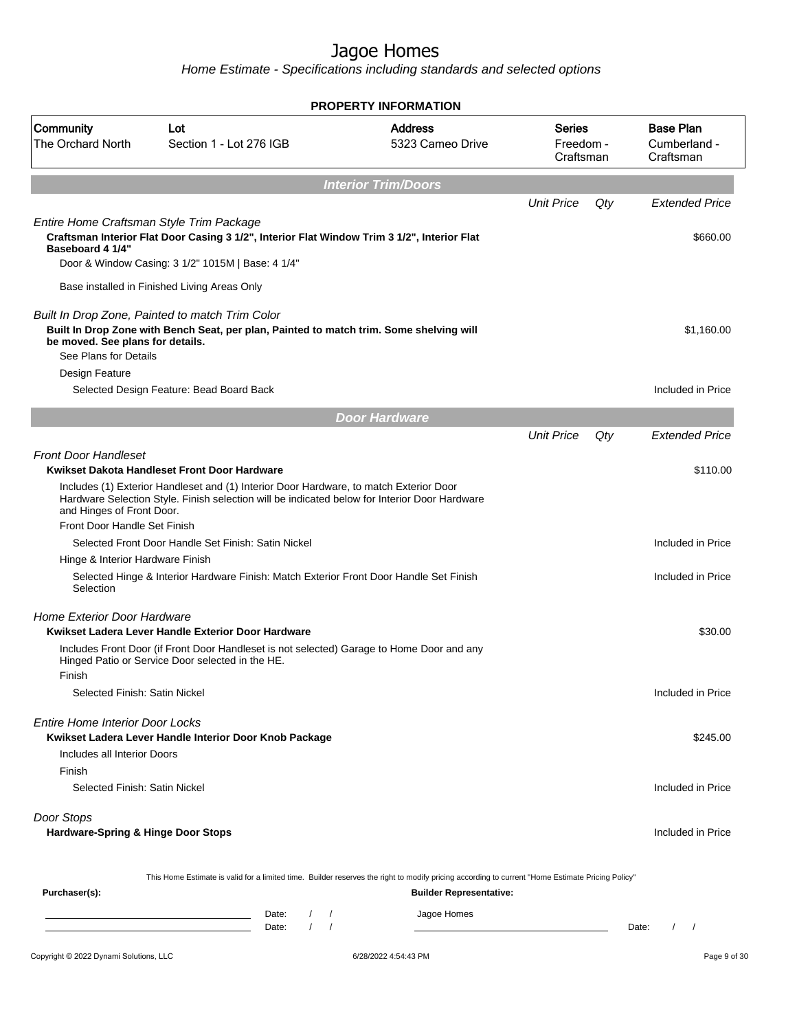| Community                                                             | Lot                                                                                                                                                                                          | <b>Address</b>                 | Series                 |     | <b>Base Plan</b>                              |
|-----------------------------------------------------------------------|----------------------------------------------------------------------------------------------------------------------------------------------------------------------------------------------|--------------------------------|------------------------|-----|-----------------------------------------------|
| <b>The Orchard North</b>                                              | Section 1 - Lot 276 IGB                                                                                                                                                                      | 5323 Cameo Drive               | Freedom -<br>Craftsman |     | Cumberland -<br>Craftsman                     |
|                                                                       |                                                                                                                                                                                              | <b>Interior Trim/Doors</b>     |                        |     |                                               |
|                                                                       |                                                                                                                                                                                              |                                | <b>Unit Price</b>      | Qty | <b>Extended Price</b>                         |
| Baseboard 4 1/4"                                                      | Entire Home Craftsman Style Trim Package<br>Craftsman Interior Flat Door Casing 3 1/2", Interior Flat Window Trim 3 1/2", Interior Flat<br>Door & Window Casing: 3 1/2" 1015M   Base: 4 1/4" |                                |                        |     | \$660.00                                      |
|                                                                       | Base installed in Finished Living Areas Only                                                                                                                                                 |                                |                        |     |                                               |
| be moved. See plans for details.<br>See Plans for Details             | Built In Drop Zone, Painted to match Trim Color<br>Built In Drop Zone with Bench Seat, per plan, Painted to match trim. Some shelving will                                                   |                                |                        |     | \$1,160.00                                    |
| Design Feature                                                        |                                                                                                                                                                                              |                                |                        |     |                                               |
|                                                                       | Selected Design Feature: Bead Board Back                                                                                                                                                     |                                |                        |     | Included in Price                             |
|                                                                       |                                                                                                                                                                                              | <b>Door Hardware</b>           |                        |     |                                               |
|                                                                       |                                                                                                                                                                                              |                                | <b>Unit Price</b>      | Qty | <b>Extended Price</b>                         |
| <b>Front Door Handleset</b>                                           | Kwikset Dakota Handleset Front Door Hardware                                                                                                                                                 |                                |                        |     | \$110.00                                      |
| and Hinges of Front Door.                                             | Includes (1) Exterior Handleset and (1) Interior Door Hardware, to match Exterior Door<br>Hardware Selection Style. Finish selection will be indicated below for Interior Door Hardware      |                                |                        |     |                                               |
| Front Door Handle Set Finish                                          |                                                                                                                                                                                              |                                |                        |     |                                               |
|                                                                       | Selected Front Door Handle Set Finish: Satin Nickel                                                                                                                                          |                                |                        |     | Included in Price                             |
| Hinge & Interior Hardware Finish<br>Selection                         | Selected Hinge & Interior Hardware Finish: Match Exterior Front Door Handle Set Finish                                                                                                       |                                |                        |     | Included in Price                             |
| <b>Home Exterior Door Hardware</b>                                    | Kwikset Ladera Lever Handle Exterior Door Hardware                                                                                                                                           |                                |                        |     | \$30.00                                       |
| Finish                                                                | Includes Front Door (if Front Door Handleset is not selected) Garage to Home Door and any<br>Hinged Patio or Service Door selected in the HE.                                                |                                |                        |     |                                               |
| Selected Finish: Satin Nickel                                         |                                                                                                                                                                                              |                                |                        |     | Included in Price                             |
| <b>Entire Home Interior Door Locks</b><br>Includes all Interior Doors | Kwikset Ladera Lever Handle Interior Door Knob Package                                                                                                                                       |                                |                        |     | \$245.00                                      |
| Finish<br>Selected Finish: Satin Nickel                               |                                                                                                                                                                                              |                                |                        |     | Included in Price                             |
| Door Stops<br>Hardware-Spring & Hinge Door Stops                      |                                                                                                                                                                                              |                                |                        |     | Included in Price                             |
|                                                                       | This Home Estimate is valid for a limited time. Builder reserves the right to modify pricing according to current "Home Estimate Pricing Policy"                                             |                                |                        |     |                                               |
| Purchaser(s):                                                         |                                                                                                                                                                                              | <b>Builder Representative:</b> |                        |     |                                               |
|                                                                       | Date:<br>$\sqrt{ }$<br>Date:                                                                                                                                                                 | Jagoe Homes                    |                        |     | Date:<br>$\prime$<br>$\overline{\phantom{a}}$ |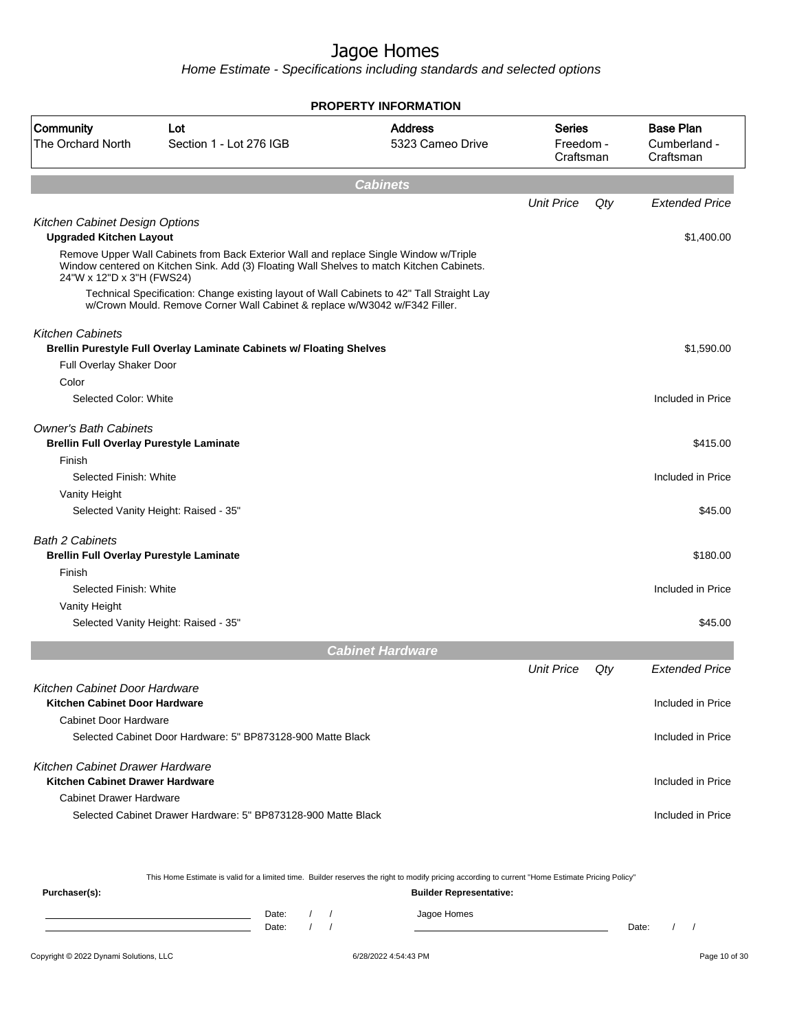Home Estimate - Specifications including standards and selected options

|                                                                  |                                                                                                                                                                                    | <b>PROPERTY INFORMATION</b>        |                                         |     |                                               |
|------------------------------------------------------------------|------------------------------------------------------------------------------------------------------------------------------------------------------------------------------------|------------------------------------|-----------------------------------------|-----|-----------------------------------------------|
| Community<br>The Orchard North                                   | Lot<br>Section 1 - Lot 276 IGB                                                                                                                                                     | <b>Address</b><br>5323 Cameo Drive | <b>Series</b><br>Freedom -<br>Craftsman |     | <b>Base Plan</b><br>Cumberland -<br>Craftsman |
|                                                                  |                                                                                                                                                                                    | <b>Cabinets</b>                    |                                         |     |                                               |
|                                                                  |                                                                                                                                                                                    |                                    | <b>Unit Price</b>                       | Qty | <b>Extended Price</b>                         |
| Kitchen Cabinet Design Options<br><b>Upgraded Kitchen Layout</b> |                                                                                                                                                                                    |                                    |                                         |     | \$1,400.00                                    |
| 24"W x 12"D x 3"H (FWS24)                                        | Remove Upper Wall Cabinets from Back Exterior Wall and replace Single Window w/Triple<br>Window centered on Kitchen Sink. Add (3) Floating Wall Shelves to match Kitchen Cabinets. |                                    |                                         |     |                                               |
|                                                                  | Technical Specification: Change existing layout of Wall Cabinets to 42" Tall Straight Lay<br>w/Crown Mould. Remove Corner Wall Cabinet & replace w/W3042 w/F342 Filler.            |                                    |                                         |     |                                               |
| <b>Kitchen Cabinets</b>                                          |                                                                                                                                                                                    |                                    |                                         |     |                                               |
|                                                                  | Brellin Purestyle Full Overlay Laminate Cabinets w/ Floating Shelves                                                                                                               |                                    |                                         |     | \$1,590.00                                    |
| Full Overlay Shaker Door<br>Color                                |                                                                                                                                                                                    |                                    |                                         |     |                                               |
| Selected Color: White                                            |                                                                                                                                                                                    |                                    |                                         |     | Included in Price                             |
| <b>Owner's Bath Cabinets</b>                                     |                                                                                                                                                                                    |                                    |                                         |     |                                               |
| <b>Brellin Full Overlay Purestyle Laminate</b>                   |                                                                                                                                                                                    |                                    |                                         |     | \$415.00                                      |
| Finish                                                           |                                                                                                                                                                                    |                                    |                                         |     |                                               |
| Selected Finish: White                                           |                                                                                                                                                                                    |                                    |                                         |     | Included in Price                             |
| Vanity Height                                                    |                                                                                                                                                                                    |                                    |                                         |     |                                               |
|                                                                  | Selected Vanity Height: Raised - 35"                                                                                                                                               |                                    |                                         |     | \$45.00                                       |
| <b>Bath 2 Cabinets</b>                                           |                                                                                                                                                                                    |                                    |                                         |     |                                               |
| <b>Brellin Full Overlay Purestyle Laminate</b>                   |                                                                                                                                                                                    |                                    |                                         |     | \$180.00                                      |
| Finish                                                           |                                                                                                                                                                                    |                                    |                                         |     |                                               |
| Selected Finish: White                                           |                                                                                                                                                                                    |                                    |                                         |     | Included in Price                             |
| Vanity Height                                                    |                                                                                                                                                                                    |                                    |                                         |     |                                               |
|                                                                  | Selected Vanity Height: Raised - 35"                                                                                                                                               |                                    |                                         |     | \$45.00                                       |
|                                                                  |                                                                                                                                                                                    | <b>Cabinet Hardware</b>            |                                         |     |                                               |
|                                                                  |                                                                                                                                                                                    |                                    | <b>Unit Price</b>                       | Qty | <b>Extended Price</b>                         |
| Kitchen Cabinet Door Hardware<br>Kitchen Cabinet Door Hardware   |                                                                                                                                                                                    |                                    |                                         |     | Included in Price                             |
| Cabinet Door Hardware                                            |                                                                                                                                                                                    |                                    |                                         |     |                                               |
|                                                                  | Selected Cabinet Door Hardware: 5" BP873128-900 Matte Black                                                                                                                        |                                    |                                         |     | Included in Price                             |
| Kitchen Cabinet Drawer Hardware                                  |                                                                                                                                                                                    |                                    |                                         |     |                                               |
| Kitchen Cabinet Drawer Hardware                                  |                                                                                                                                                                                    |                                    |                                         |     | Included in Price                             |
| <b>Cabinet Drawer Hardware</b>                                   |                                                                                                                                                                                    |                                    |                                         |     |                                               |
|                                                                  | Selected Cabinet Drawer Hardware: 5" BP873128-900 Matte Black                                                                                                                      |                                    |                                         |     | Included in Price                             |
|                                                                  |                                                                                                                                                                                    |                                    |                                         |     |                                               |

This Home Estimate is valid for a limited time. Builder reserves the right to modify pricing according to current "Home Estimate Pricing Policy" **Purchaser(s): Builder Representative:** Date: / / Jagoe Homes<br>Date: / / Jagoe Homes Date: / / Date: / /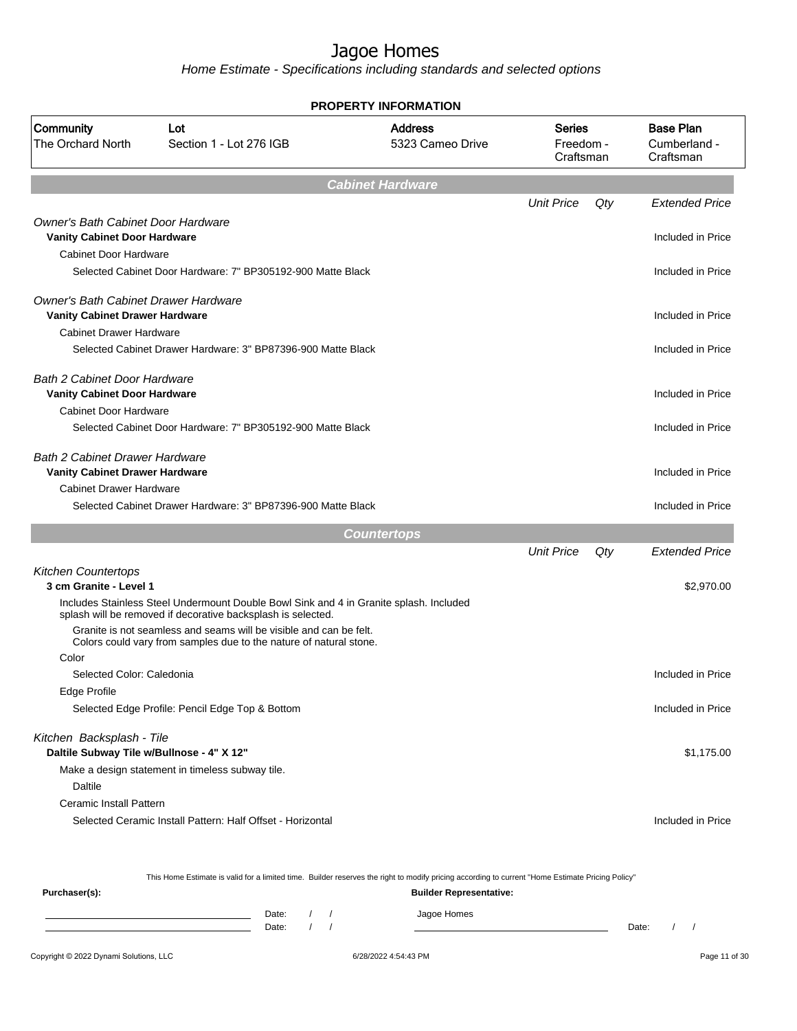Home Estimate - Specifications including standards and selected options

| Community<br><b>Address</b><br><b>Base Plan</b><br>Lot<br><b>Series</b><br><b>The Orchard North</b><br>Section 1 - Lot 276 IGB<br>5323 Cameo Drive<br>Freedom -<br>Cumberland -<br>Craftsman<br>Craftsman<br><b>Cabinet Hardware</b><br><b>Unit Price</b><br>Qty<br><b>Owner's Bath Cabinet Door Hardware</b><br><b>Vanity Cabinet Door Hardware</b><br>Included in Price<br>Cabinet Door Hardware<br>Selected Cabinet Door Hardware: 7" BP305192-900 Matte Black<br>Included in Price<br><b>Owner's Bath Cabinet Drawer Hardware</b><br><b>Vanity Cabinet Drawer Hardware</b><br>Included in Price<br><b>Cabinet Drawer Hardware</b><br>Selected Cabinet Drawer Hardware: 3" BP87396-900 Matte Black<br>Included in Price<br>Bath 2 Cabinet Door Hardware<br><b>Vanity Cabinet Door Hardware</b><br>Included in Price<br>Cabinet Door Hardware<br>Selected Cabinet Door Hardware: 7" BP305192-900 Matte Black<br>Included in Price<br><b>Bath 2 Cabinet Drawer Hardware</b><br><b>Vanity Cabinet Drawer Hardware</b><br>Included in Price<br><b>Cabinet Drawer Hardware</b><br>Selected Cabinet Drawer Hardware: 3" BP87396-900 Matte Black<br>Included in Price<br><b>Countertops</b><br><b>Unit Price</b><br>Qty<br><b>Kitchen Countertops</b><br>3 cm Granite - Level 1<br>\$2,970.00<br>Includes Stainless Steel Undermount Double Bowl Sink and 4 in Granite splash. Included<br>splash will be removed if decorative backsplash is selected.<br>Granite is not seamless and seams will be visible and can be felt.<br>Colors could vary from samples due to the nature of natural stone.<br>Color<br>Selected Color: Caledonia<br>Included in Price<br>Edge Profile<br>Selected Edge Profile: Pencil Edge Top & Bottom<br>Kitchen Backsplash - Tile<br>Daltile Subway Tile w/Bullnose - 4" X 12"<br>Make a design statement in timeless subway tile.<br>Daltile<br>Ceramic Install Pattern<br>Selected Ceramic Install Pattern: Half Offset - Horizontal<br>Included in Price |  | <b>PROPERTY INFORMATION</b> |  |                       |
|--------------------------------------------------------------------------------------------------------------------------------------------------------------------------------------------------------------------------------------------------------------------------------------------------------------------------------------------------------------------------------------------------------------------------------------------------------------------------------------------------------------------------------------------------------------------------------------------------------------------------------------------------------------------------------------------------------------------------------------------------------------------------------------------------------------------------------------------------------------------------------------------------------------------------------------------------------------------------------------------------------------------------------------------------------------------------------------------------------------------------------------------------------------------------------------------------------------------------------------------------------------------------------------------------------------------------------------------------------------------------------------------------------------------------------------------------------------------------------------------------------------------------------------------------------------------------------------------------------------------------------------------------------------------------------------------------------------------------------------------------------------------------------------------------------------------------------------------------------------------------------------------------------------------------------------------------------------------------------------|--|-----------------------------|--|-----------------------|
|                                                                                                                                                                                                                                                                                                                                                                                                                                                                                                                                                                                                                                                                                                                                                                                                                                                                                                                                                                                                                                                                                                                                                                                                                                                                                                                                                                                                                                                                                                                                                                                                                                                                                                                                                                                                                                                                                                                                                                                      |  |                             |  |                       |
|                                                                                                                                                                                                                                                                                                                                                                                                                                                                                                                                                                                                                                                                                                                                                                                                                                                                                                                                                                                                                                                                                                                                                                                                                                                                                                                                                                                                                                                                                                                                                                                                                                                                                                                                                                                                                                                                                                                                                                                      |  |                             |  |                       |
|                                                                                                                                                                                                                                                                                                                                                                                                                                                                                                                                                                                                                                                                                                                                                                                                                                                                                                                                                                                                                                                                                                                                                                                                                                                                                                                                                                                                                                                                                                                                                                                                                                                                                                                                                                                                                                                                                                                                                                                      |  |                             |  | <b>Extended Price</b> |
|                                                                                                                                                                                                                                                                                                                                                                                                                                                                                                                                                                                                                                                                                                                                                                                                                                                                                                                                                                                                                                                                                                                                                                                                                                                                                                                                                                                                                                                                                                                                                                                                                                                                                                                                                                                                                                                                                                                                                                                      |  |                             |  |                       |
|                                                                                                                                                                                                                                                                                                                                                                                                                                                                                                                                                                                                                                                                                                                                                                                                                                                                                                                                                                                                                                                                                                                                                                                                                                                                                                                                                                                                                                                                                                                                                                                                                                                                                                                                                                                                                                                                                                                                                                                      |  |                             |  |                       |
|                                                                                                                                                                                                                                                                                                                                                                                                                                                                                                                                                                                                                                                                                                                                                                                                                                                                                                                                                                                                                                                                                                                                                                                                                                                                                                                                                                                                                                                                                                                                                                                                                                                                                                                                                                                                                                                                                                                                                                                      |  |                             |  |                       |
|                                                                                                                                                                                                                                                                                                                                                                                                                                                                                                                                                                                                                                                                                                                                                                                                                                                                                                                                                                                                                                                                                                                                                                                                                                                                                                                                                                                                                                                                                                                                                                                                                                                                                                                                                                                                                                                                                                                                                                                      |  |                             |  |                       |
|                                                                                                                                                                                                                                                                                                                                                                                                                                                                                                                                                                                                                                                                                                                                                                                                                                                                                                                                                                                                                                                                                                                                                                                                                                                                                                                                                                                                                                                                                                                                                                                                                                                                                                                                                                                                                                                                                                                                                                                      |  |                             |  |                       |
|                                                                                                                                                                                                                                                                                                                                                                                                                                                                                                                                                                                                                                                                                                                                                                                                                                                                                                                                                                                                                                                                                                                                                                                                                                                                                                                                                                                                                                                                                                                                                                                                                                                                                                                                                                                                                                                                                                                                                                                      |  |                             |  |                       |
|                                                                                                                                                                                                                                                                                                                                                                                                                                                                                                                                                                                                                                                                                                                                                                                                                                                                                                                                                                                                                                                                                                                                                                                                                                                                                                                                                                                                                                                                                                                                                                                                                                                                                                                                                                                                                                                                                                                                                                                      |  |                             |  |                       |
|                                                                                                                                                                                                                                                                                                                                                                                                                                                                                                                                                                                                                                                                                                                                                                                                                                                                                                                                                                                                                                                                                                                                                                                                                                                                                                                                                                                                                                                                                                                                                                                                                                                                                                                                                                                                                                                                                                                                                                                      |  |                             |  |                       |
|                                                                                                                                                                                                                                                                                                                                                                                                                                                                                                                                                                                                                                                                                                                                                                                                                                                                                                                                                                                                                                                                                                                                                                                                                                                                                                                                                                                                                                                                                                                                                                                                                                                                                                                                                                                                                                                                                                                                                                                      |  |                             |  |                       |
|                                                                                                                                                                                                                                                                                                                                                                                                                                                                                                                                                                                                                                                                                                                                                                                                                                                                                                                                                                                                                                                                                                                                                                                                                                                                                                                                                                                                                                                                                                                                                                                                                                                                                                                                                                                                                                                                                                                                                                                      |  |                             |  |                       |
|                                                                                                                                                                                                                                                                                                                                                                                                                                                                                                                                                                                                                                                                                                                                                                                                                                                                                                                                                                                                                                                                                                                                                                                                                                                                                                                                                                                                                                                                                                                                                                                                                                                                                                                                                                                                                                                                                                                                                                                      |  |                             |  |                       |
|                                                                                                                                                                                                                                                                                                                                                                                                                                                                                                                                                                                                                                                                                                                                                                                                                                                                                                                                                                                                                                                                                                                                                                                                                                                                                                                                                                                                                                                                                                                                                                                                                                                                                                                                                                                                                                                                                                                                                                                      |  |                             |  |                       |
|                                                                                                                                                                                                                                                                                                                                                                                                                                                                                                                                                                                                                                                                                                                                                                                                                                                                                                                                                                                                                                                                                                                                                                                                                                                                                                                                                                                                                                                                                                                                                                                                                                                                                                                                                                                                                                                                                                                                                                                      |  |                             |  |                       |
|                                                                                                                                                                                                                                                                                                                                                                                                                                                                                                                                                                                                                                                                                                                                                                                                                                                                                                                                                                                                                                                                                                                                                                                                                                                                                                                                                                                                                                                                                                                                                                                                                                                                                                                                                                                                                                                                                                                                                                                      |  |                             |  |                       |
|                                                                                                                                                                                                                                                                                                                                                                                                                                                                                                                                                                                                                                                                                                                                                                                                                                                                                                                                                                                                                                                                                                                                                                                                                                                                                                                                                                                                                                                                                                                                                                                                                                                                                                                                                                                                                                                                                                                                                                                      |  |                             |  |                       |
|                                                                                                                                                                                                                                                                                                                                                                                                                                                                                                                                                                                                                                                                                                                                                                                                                                                                                                                                                                                                                                                                                                                                                                                                                                                                                                                                                                                                                                                                                                                                                                                                                                                                                                                                                                                                                                                                                                                                                                                      |  |                             |  |                       |
|                                                                                                                                                                                                                                                                                                                                                                                                                                                                                                                                                                                                                                                                                                                                                                                                                                                                                                                                                                                                                                                                                                                                                                                                                                                                                                                                                                                                                                                                                                                                                                                                                                                                                                                                                                                                                                                                                                                                                                                      |  |                             |  |                       |
|                                                                                                                                                                                                                                                                                                                                                                                                                                                                                                                                                                                                                                                                                                                                                                                                                                                                                                                                                                                                                                                                                                                                                                                                                                                                                                                                                                                                                                                                                                                                                                                                                                                                                                                                                                                                                                                                                                                                                                                      |  |                             |  | <b>Extended Price</b> |
|                                                                                                                                                                                                                                                                                                                                                                                                                                                                                                                                                                                                                                                                                                                                                                                                                                                                                                                                                                                                                                                                                                                                                                                                                                                                                                                                                                                                                                                                                                                                                                                                                                                                                                                                                                                                                                                                                                                                                                                      |  |                             |  |                       |
|                                                                                                                                                                                                                                                                                                                                                                                                                                                                                                                                                                                                                                                                                                                                                                                                                                                                                                                                                                                                                                                                                                                                                                                                                                                                                                                                                                                                                                                                                                                                                                                                                                                                                                                                                                                                                                                                                                                                                                                      |  |                             |  |                       |
|                                                                                                                                                                                                                                                                                                                                                                                                                                                                                                                                                                                                                                                                                                                                                                                                                                                                                                                                                                                                                                                                                                                                                                                                                                                                                                                                                                                                                                                                                                                                                                                                                                                                                                                                                                                                                                                                                                                                                                                      |  |                             |  |                       |
|                                                                                                                                                                                                                                                                                                                                                                                                                                                                                                                                                                                                                                                                                                                                                                                                                                                                                                                                                                                                                                                                                                                                                                                                                                                                                                                                                                                                                                                                                                                                                                                                                                                                                                                                                                                                                                                                                                                                                                                      |  |                             |  |                       |
|                                                                                                                                                                                                                                                                                                                                                                                                                                                                                                                                                                                                                                                                                                                                                                                                                                                                                                                                                                                                                                                                                                                                                                                                                                                                                                                                                                                                                                                                                                                                                                                                                                                                                                                                                                                                                                                                                                                                                                                      |  |                             |  |                       |
|                                                                                                                                                                                                                                                                                                                                                                                                                                                                                                                                                                                                                                                                                                                                                                                                                                                                                                                                                                                                                                                                                                                                                                                                                                                                                                                                                                                                                                                                                                                                                                                                                                                                                                                                                                                                                                                                                                                                                                                      |  |                             |  |                       |
|                                                                                                                                                                                                                                                                                                                                                                                                                                                                                                                                                                                                                                                                                                                                                                                                                                                                                                                                                                                                                                                                                                                                                                                                                                                                                                                                                                                                                                                                                                                                                                                                                                                                                                                                                                                                                                                                                                                                                                                      |  |                             |  |                       |
|                                                                                                                                                                                                                                                                                                                                                                                                                                                                                                                                                                                                                                                                                                                                                                                                                                                                                                                                                                                                                                                                                                                                                                                                                                                                                                                                                                                                                                                                                                                                                                                                                                                                                                                                                                                                                                                                                                                                                                                      |  |                             |  | Included in Price     |
|                                                                                                                                                                                                                                                                                                                                                                                                                                                                                                                                                                                                                                                                                                                                                                                                                                                                                                                                                                                                                                                                                                                                                                                                                                                                                                                                                                                                                                                                                                                                                                                                                                                                                                                                                                                                                                                                                                                                                                                      |  |                             |  |                       |
|                                                                                                                                                                                                                                                                                                                                                                                                                                                                                                                                                                                                                                                                                                                                                                                                                                                                                                                                                                                                                                                                                                                                                                                                                                                                                                                                                                                                                                                                                                                                                                                                                                                                                                                                                                                                                                                                                                                                                                                      |  |                             |  | \$1,175.00            |
|                                                                                                                                                                                                                                                                                                                                                                                                                                                                                                                                                                                                                                                                                                                                                                                                                                                                                                                                                                                                                                                                                                                                                                                                                                                                                                                                                                                                                                                                                                                                                                                                                                                                                                                                                                                                                                                                                                                                                                                      |  |                             |  |                       |
|                                                                                                                                                                                                                                                                                                                                                                                                                                                                                                                                                                                                                                                                                                                                                                                                                                                                                                                                                                                                                                                                                                                                                                                                                                                                                                                                                                                                                                                                                                                                                                                                                                                                                                                                                                                                                                                                                                                                                                                      |  |                             |  |                       |
|                                                                                                                                                                                                                                                                                                                                                                                                                                                                                                                                                                                                                                                                                                                                                                                                                                                                                                                                                                                                                                                                                                                                                                                                                                                                                                                                                                                                                                                                                                                                                                                                                                                                                                                                                                                                                                                                                                                                                                                      |  |                             |  |                       |
|                                                                                                                                                                                                                                                                                                                                                                                                                                                                                                                                                                                                                                                                                                                                                                                                                                                                                                                                                                                                                                                                                                                                                                                                                                                                                                                                                                                                                                                                                                                                                                                                                                                                                                                                                                                                                                                                                                                                                                                      |  |                             |  |                       |

This Home Estimate is valid for a limited time. Builder reserves the right to modify pricing according to current "Home Estimate Pricing Policy"

**Purchaser(s): Builder Representative:** Date: / / Jagoe Homes<br>Date: / / Jagoe Homes Date: / / **Date: / / 2006** Date: / / / Date: / / /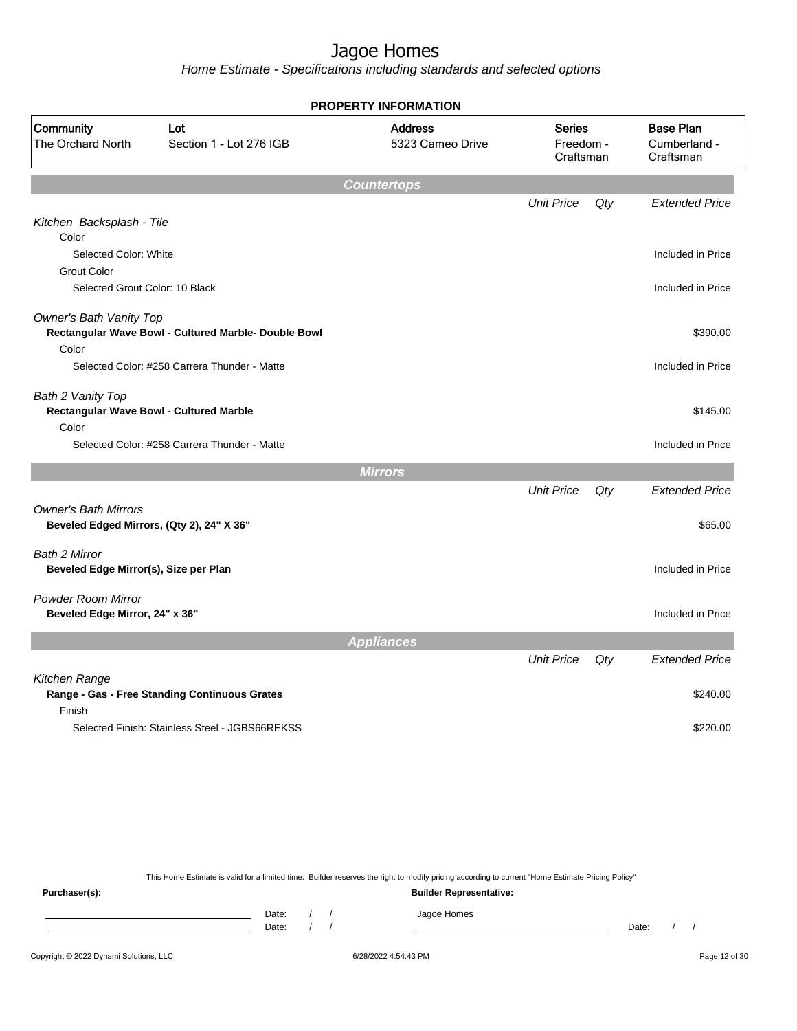Home Estimate - Specifications including standards and selected options

|                                                                          |                                                      | <b>PROPERTY INFORMATION</b>        |                                         |     |                                               |
|--------------------------------------------------------------------------|------------------------------------------------------|------------------------------------|-----------------------------------------|-----|-----------------------------------------------|
| Community<br>The Orchard North                                           | Lot<br>Section 1 - Lot 276 IGB                       | <b>Address</b><br>5323 Cameo Drive | <b>Series</b><br>Freedom -<br>Craftsman |     | <b>Base Plan</b><br>Cumberland -<br>Craftsman |
|                                                                          |                                                      | <b>Countertops</b>                 |                                         |     |                                               |
| Kitchen Backsplash - Tile<br>Color                                       |                                                      |                                    | <b>Unit Price</b>                       | Qty | <b>Extended Price</b>                         |
| Selected Color: White<br><b>Grout Color</b>                              |                                                      |                                    |                                         |     | Included in Price                             |
| Selected Grout Color: 10 Black                                           |                                                      |                                    |                                         |     | Included in Price                             |
| Owner's Bath Vanity Top<br>Color                                         | Rectangular Wave Bowl - Cultured Marble- Double Bowl |                                    |                                         |     | \$390.00                                      |
|                                                                          | Selected Color: #258 Carrera Thunder - Matte         |                                    |                                         |     | Included in Price                             |
| Bath 2 Vanity Top<br>Color                                               | <b>Rectangular Wave Bowl - Cultured Marble</b>       |                                    |                                         |     | \$145.00                                      |
|                                                                          | Selected Color: #258 Carrera Thunder - Matte         |                                    |                                         |     | Included in Price                             |
|                                                                          |                                                      | <b>Mirrors</b>                     |                                         |     |                                               |
|                                                                          |                                                      |                                    | <b>Unit Price</b>                       | Qty | <b>Extended Price</b>                         |
| <b>Owner's Bath Mirrors</b><br>Beveled Edged Mirrors, (Qty 2), 24" X 36" |                                                      |                                    |                                         |     | \$65.00                                       |
| Bath 2 Mirror<br>Beveled Edge Mirror(s), Size per Plan                   |                                                      |                                    |                                         |     | Included in Price                             |
| <b>Powder Room Mirror</b><br>Beveled Edge Mirror, 24" x 36"              |                                                      |                                    |                                         |     | Included in Price                             |
|                                                                          |                                                      | <b>Appliances</b>                  |                                         |     |                                               |
|                                                                          |                                                      |                                    | <b>Unit Price</b>                       | Qty | <b>Extended Price</b>                         |
| Kitchen Range<br>Finish                                                  | Range - Gas - Free Standing Continuous Grates        |                                    |                                         |     | \$240.00                                      |
|                                                                          | Selected Finish: Stainless Steel - JGBS66REKSS       |                                    |                                         |     | \$220.00                                      |

This Home Estimate is valid for a limited time. Builder reserves the right to modify pricing according to current "Home Estimate Pricing Policy"

**Purchaser(s): Builder Representative:** Date: / / Jagoe Homes<br>Date: / / Jagoe Homes Date: / / Date: / /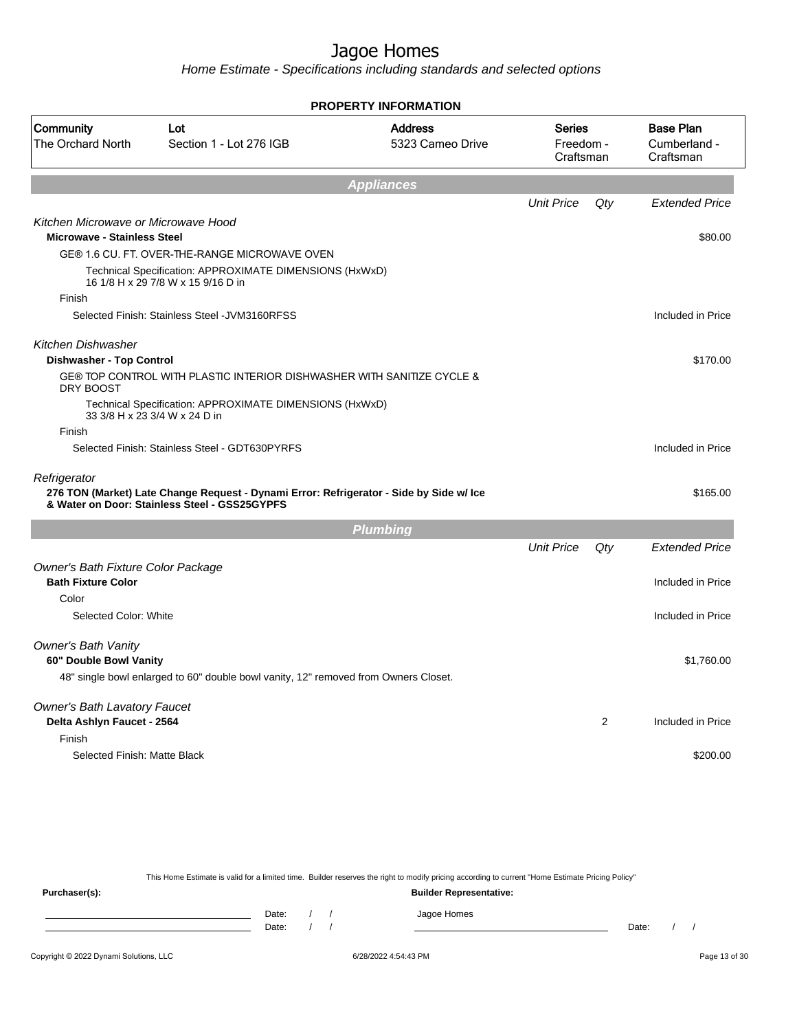Home Estimate - Specifications including standards and selected options

|                                                                           |                                                                                                                                          | <b>PROPERTY INFORMATION</b>        |                                         |                |                                               |
|---------------------------------------------------------------------------|------------------------------------------------------------------------------------------------------------------------------------------|------------------------------------|-----------------------------------------|----------------|-----------------------------------------------|
| Community<br>The Orchard North                                            | Lot<br>Section 1 - Lot 276 IGB                                                                                                           | <b>Address</b><br>5323 Cameo Drive | <b>Series</b><br>Freedom -<br>Craftsman |                | <b>Base Plan</b><br>Cumberland -<br>Craftsman |
|                                                                           |                                                                                                                                          | <b>Appliances</b>                  |                                         |                |                                               |
|                                                                           |                                                                                                                                          |                                    | <b>Unit Price</b>                       | Qty            | <b>Extended Price</b>                         |
| Kitchen Microwave or Microwave Hood<br><b>Microwave - Stainless Steel</b> |                                                                                                                                          |                                    |                                         |                | \$80.00                                       |
|                                                                           | GE® 1.6 CU. FT. OVER-THE-RANGE MICROWAVE OVEN                                                                                            |                                    |                                         |                |                                               |
|                                                                           | Technical Specification: APPROXIMATE DIMENSIONS (HxWxD)<br>16 1/8 H x 29 7/8 W x 15 9/16 D in                                            |                                    |                                         |                |                                               |
| Finish                                                                    |                                                                                                                                          |                                    |                                         |                |                                               |
|                                                                           | Selected Finish: Stainless Steel - JVM3160RFSS                                                                                           |                                    |                                         |                | Included in Price                             |
| Kitchen Dishwasher                                                        |                                                                                                                                          |                                    |                                         |                |                                               |
| <b>Dishwasher - Top Control</b>                                           |                                                                                                                                          |                                    |                                         |                | \$170.00                                      |
| DRY BOOST                                                                 | GE® TOP CONTROL WITH PLASTIC INTERIOR DISHWASHER WITH SANITIZE CYCLE &                                                                   |                                    |                                         |                |                                               |
|                                                                           | Technical Specification: APPROXIMATE DIMENSIONS (HxWxD)<br>33 3/8 H x 23 3/4 W x 24 D in                                                 |                                    |                                         |                |                                               |
| Finish                                                                    |                                                                                                                                          |                                    |                                         |                |                                               |
|                                                                           | Selected Finish: Stainless Steel - GDT630PYRFS                                                                                           |                                    |                                         |                | Included in Price                             |
| Refrigerator                                                              | 276 TON (Market) Late Change Request - Dynami Error: Refrigerator - Side by Side w/ Ice<br>& Water on Door: Stainless Steel - GSS25GYPFS |                                    |                                         |                | \$165.00                                      |
|                                                                           |                                                                                                                                          | <b>Plumbing</b>                    |                                         |                |                                               |
|                                                                           |                                                                                                                                          |                                    | <b>Unit Price</b>                       | Qty            | <b>Extended Price</b>                         |
| Owner's Bath Fixture Color Package<br><b>Bath Fixture Color</b>           |                                                                                                                                          |                                    |                                         |                | Included in Price                             |
| Color                                                                     |                                                                                                                                          |                                    |                                         |                |                                               |
| Selected Color: White                                                     |                                                                                                                                          |                                    |                                         |                | Included in Price                             |
| Owner's Bath Vanity                                                       |                                                                                                                                          |                                    |                                         |                |                                               |
| 60" Double Bowl Vanity                                                    |                                                                                                                                          |                                    |                                         |                | \$1,760.00                                    |
|                                                                           | 48" single bowl enlarged to 60" double bowl vanity, 12" removed from Owners Closet.                                                      |                                    |                                         |                |                                               |
| <b>Owner's Bath Lavatory Faucet</b>                                       |                                                                                                                                          |                                    |                                         |                |                                               |
| Delta Ashlyn Faucet - 2564                                                |                                                                                                                                          |                                    |                                         | $\overline{c}$ | Included in Price                             |
| Finish                                                                    |                                                                                                                                          |                                    |                                         |                |                                               |
| Selected Finish: Matte Black                                              |                                                                                                                                          |                                    |                                         |                | \$200.00                                      |
|                                                                           |                                                                                                                                          |                                    |                                         |                |                                               |

This Home Estimate is valid for a limited time. Builder reserves the right to modify pricing according to current "Home Estimate Pricing Policy" **Purchaser(s): Builder Representative:** Date: / / Jagoe Homes<br>Date: / / Jagoe Homes Date: / / **Date: / / 2006** Date: / / / Date: / / /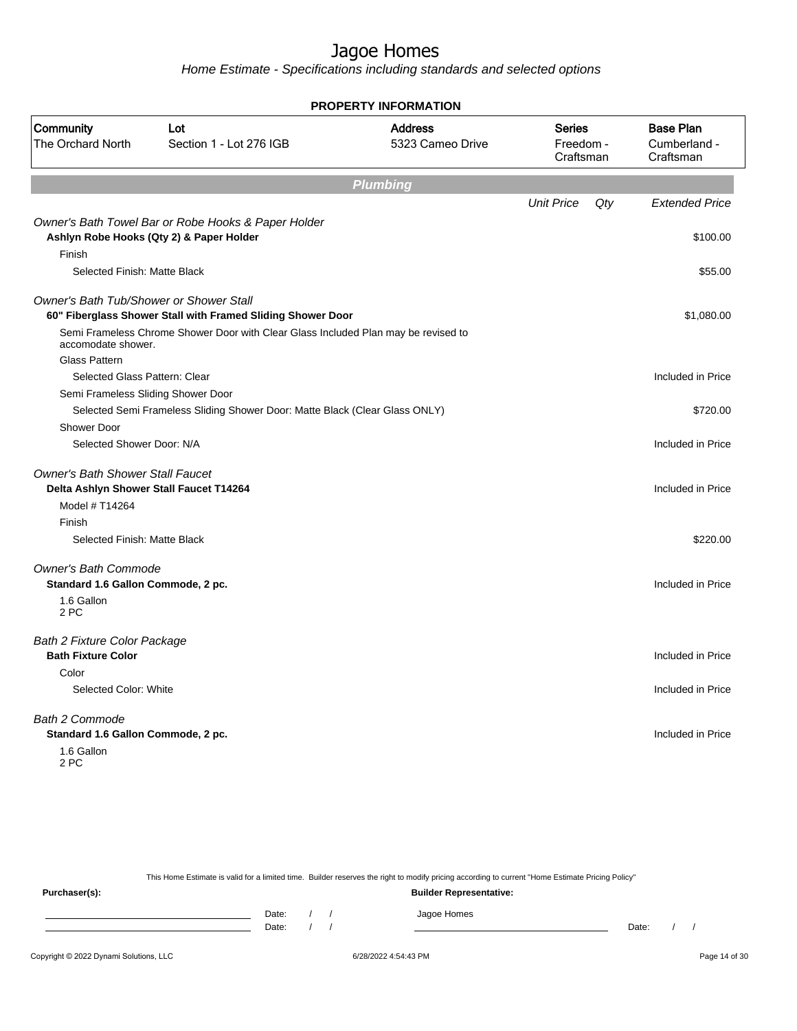|                                                |                                                                                    | <b>PROPERTY INFORMATION</b>        |                                         |                                               |
|------------------------------------------------|------------------------------------------------------------------------------------|------------------------------------|-----------------------------------------|-----------------------------------------------|
| Community<br>The Orchard North                 | Lot<br>Section 1 - Lot 276 IGB                                                     | <b>Address</b><br>5323 Cameo Drive | <b>Series</b><br>Freedom -<br>Craftsman | <b>Base Plan</b><br>Cumberland -<br>Craftsman |
|                                                |                                                                                    | <b>Plumbing</b>                    |                                         |                                               |
|                                                |                                                                                    |                                    | <b>Unit Price</b><br>Qty                | <b>Extended Price</b>                         |
|                                                | Owner's Bath Towel Bar or Robe Hooks & Paper Holder                                |                                    |                                         |                                               |
|                                                | Ashlyn Robe Hooks (Qty 2) & Paper Holder                                           |                                    |                                         | \$100.00                                      |
| Finish                                         |                                                                                    |                                    |                                         |                                               |
| Selected Finish: Matte Black                   |                                                                                    |                                    |                                         | \$55.00                                       |
| <b>Owner's Bath Tub/Shower or Shower Stall</b> |                                                                                    |                                    |                                         |                                               |
|                                                | 60" Fiberglass Shower Stall with Framed Sliding Shower Door                        |                                    |                                         | \$1,080.00                                    |
|                                                | Semi Frameless Chrome Shower Door with Clear Glass Included Plan may be revised to |                                    |                                         |                                               |
| accomodate shower.<br>Glass Pattern            |                                                                                    |                                    |                                         |                                               |
| Selected Glass Pattern: Clear                  |                                                                                    |                                    |                                         | Included in Price                             |
| Semi Frameless Sliding Shower Door             |                                                                                    |                                    |                                         |                                               |
|                                                | Selected Semi Frameless Sliding Shower Door: Matte Black (Clear Glass ONLY)        |                                    |                                         | \$720.00                                      |
| Shower Door                                    |                                                                                    |                                    |                                         |                                               |
| Selected Shower Door: N/A                      |                                                                                    |                                    |                                         | Included in Price                             |
| <b>Owner's Bath Shower Stall Faucet</b>        |                                                                                    |                                    |                                         |                                               |
|                                                | Delta Ashlyn Shower Stall Faucet T14264                                            |                                    |                                         | Included in Price                             |
| Model # T14264                                 |                                                                                    |                                    |                                         |                                               |
| Finish                                         |                                                                                    |                                    |                                         |                                               |
| Selected Finish: Matte Black                   |                                                                                    |                                    |                                         | \$220.00                                      |
| <b>Owner's Bath Commode</b>                    |                                                                                    |                                    |                                         |                                               |
| Standard 1.6 Gallon Commode, 2 pc.             |                                                                                    |                                    |                                         | Included in Price                             |
| 1.6 Gallon<br>2 PC                             |                                                                                    |                                    |                                         |                                               |
| <b>Bath 2 Fixture Color Package</b>            |                                                                                    |                                    |                                         |                                               |
| <b>Bath Fixture Color</b>                      |                                                                                    |                                    |                                         | Included in Price                             |
| Color                                          |                                                                                    |                                    |                                         |                                               |
| Selected Color: White                          |                                                                                    |                                    |                                         | Included in Price                             |
| <b>Bath 2 Commode</b>                          |                                                                                    |                                    |                                         |                                               |
| Standard 1.6 Gallon Commode, 2 pc.             |                                                                                    |                                    |                                         | Included in Price                             |
| 1.6 Gallon<br>2 PC                             |                                                                                    |                                    |                                         |                                               |
|                                                |                                                                                    |                                    |                                         |                                               |

|               |       |  | This Home Estimate is valid for a limited time. Builder reserves the right to modify pricing according to current "Home Estimate Pricing Policy" |       |  |
|---------------|-------|--|--------------------------------------------------------------------------------------------------------------------------------------------------|-------|--|
| Purchaser(s): |       |  | <b>Builder Representative:</b>                                                                                                                   |       |  |
|               | Date: |  | Jagoe Homes                                                                                                                                      |       |  |
|               | Date: |  |                                                                                                                                                  | Date: |  |
|               |       |  |                                                                                                                                                  |       |  |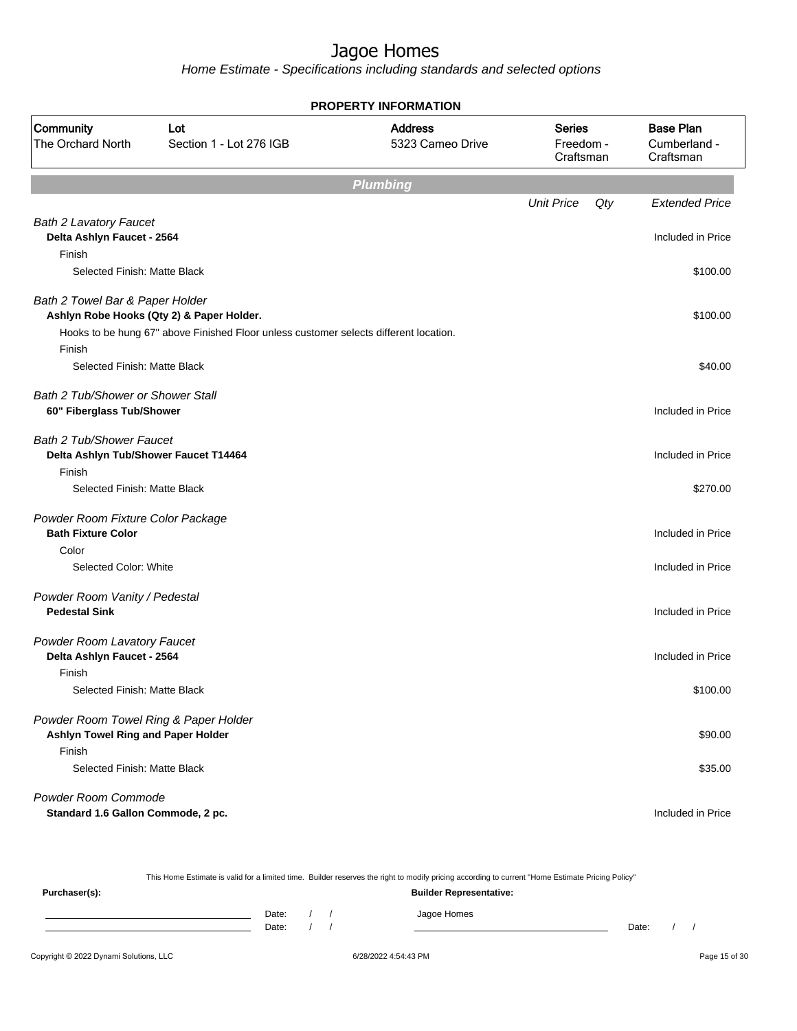|                                                                                    |                                                                                       | <b>PROPERTY INFORMATION</b>        |                                         |                                               |
|------------------------------------------------------------------------------------|---------------------------------------------------------------------------------------|------------------------------------|-----------------------------------------|-----------------------------------------------|
| Community<br>The Orchard North                                                     | Lot<br>Section 1 - Lot 276 IGB                                                        | <b>Address</b><br>5323 Cameo Drive | <b>Series</b><br>Freedom -<br>Craftsman | <b>Base Plan</b><br>Cumberland -<br>Craftsman |
|                                                                                    |                                                                                       | <b>Plumbing</b>                    |                                         |                                               |
|                                                                                    |                                                                                       |                                    | <b>Unit Price</b><br>Qty                | <b>Extended Price</b>                         |
| <b>Bath 2 Lavatory Faucet</b><br>Delta Ashlyn Faucet - 2564<br>Finish              |                                                                                       |                                    |                                         | Included in Price                             |
| Selected Finish: Matte Black                                                       |                                                                                       |                                    |                                         | \$100.00                                      |
| Bath 2 Towel Bar & Paper Holder                                                    | Ashlyn Robe Hooks (Qty 2) & Paper Holder.                                             |                                    |                                         | \$100.00                                      |
| Finish                                                                             | Hooks to be hung 67" above Finished Floor unless customer selects different location. |                                    |                                         |                                               |
| Selected Finish: Matte Black                                                       |                                                                                       |                                    |                                         | \$40.00                                       |
| <b>Bath 2 Tub/Shower or Shower Stall</b><br>60" Fiberglass Tub/Shower              |                                                                                       |                                    |                                         | Included in Price                             |
| <b>Bath 2 Tub/Shower Faucet</b><br>Delta Ashlyn Tub/Shower Faucet T14464<br>Finish |                                                                                       |                                    |                                         | Included in Price                             |
| Selected Finish: Matte Black                                                       |                                                                                       |                                    |                                         | \$270.00                                      |
| Powder Room Fixture Color Package<br><b>Bath Fixture Color</b>                     |                                                                                       |                                    |                                         | Included in Price                             |
| Color                                                                              |                                                                                       |                                    |                                         |                                               |
| Selected Color: White                                                              |                                                                                       |                                    |                                         | Included in Price                             |
| Powder Room Vanity / Pedestal<br><b>Pedestal Sink</b>                              |                                                                                       |                                    |                                         | Included in Price                             |
| Powder Room Lavatory Faucet<br>Delta Ashlyn Faucet - 2564                          |                                                                                       |                                    |                                         | Included in Price                             |
| Finish<br>Selected Finish: Matte Black                                             |                                                                                       |                                    |                                         | \$100.00                                      |
| Powder Room Towel Ring & Paper Holder<br>Ashlyn Towel Ring and Paper Holder        |                                                                                       |                                    |                                         | \$90.00                                       |
| Finish<br>Selected Finish: Matte Black                                             |                                                                                       |                                    |                                         | \$35.00                                       |
| Powder Room Commode<br>Standard 1.6 Gallon Commode, 2 pc.                          |                                                                                       |                                    |                                         | Included in Price                             |

|               |       |  | This Home Estimate is valid for a limited time. Builder reserves the right to modify pricing according to current "Home Estimate Pricing Policy" |       |  |
|---------------|-------|--|--------------------------------------------------------------------------------------------------------------------------------------------------|-------|--|
| Purchaser(s): |       |  | <b>Builder Representative:</b>                                                                                                                   |       |  |
|               | Date: |  | Jagoe Homes                                                                                                                                      |       |  |
|               | Date: |  |                                                                                                                                                  | Date: |  |
|               |       |  |                                                                                                                                                  |       |  |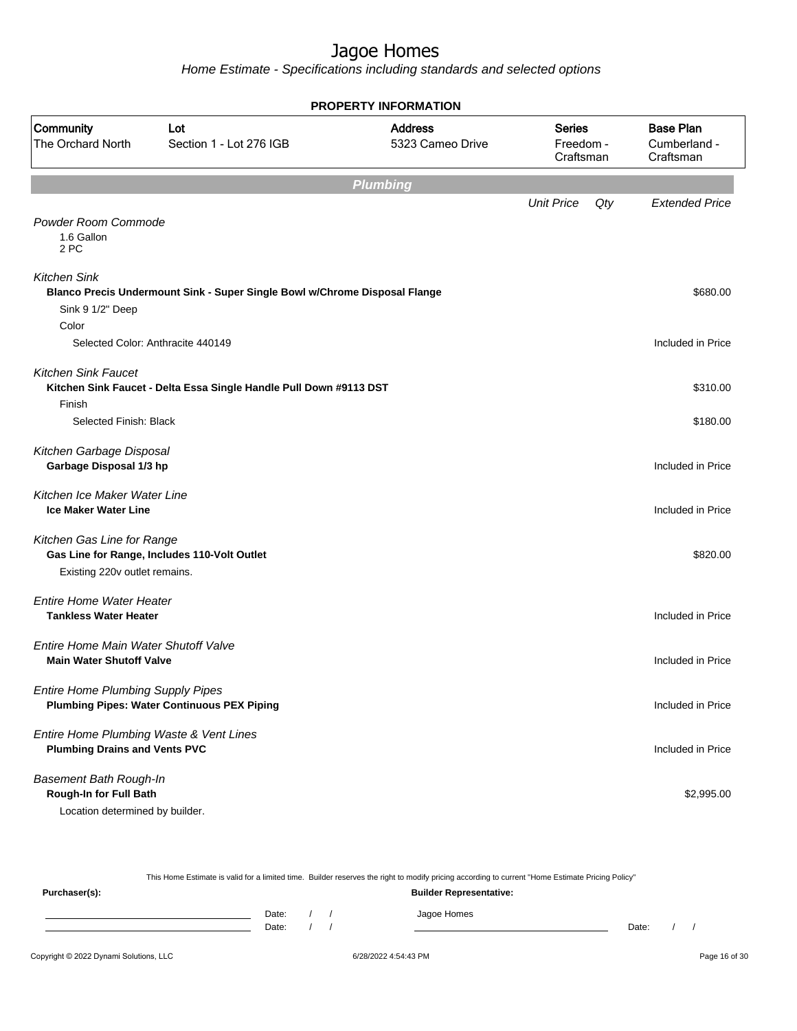|                                                                                            | <b>PROPERTY INFORMATION</b>                                                |                                    |                                         |                                               |  |  |  |
|--------------------------------------------------------------------------------------------|----------------------------------------------------------------------------|------------------------------------|-----------------------------------------|-----------------------------------------------|--|--|--|
| Community<br><b>The Orchard North</b>                                                      | Lot<br>Section 1 - Lot 276 IGB                                             | <b>Address</b><br>5323 Cameo Drive | <b>Series</b><br>Freedom -<br>Craftsman | <b>Base Plan</b><br>Cumberland -<br>Craftsman |  |  |  |
|                                                                                            |                                                                            | <b>Plumbing</b>                    |                                         |                                               |  |  |  |
|                                                                                            |                                                                            |                                    | <b>Unit Price</b><br>Qty                | <b>Extended Price</b>                         |  |  |  |
| Powder Room Commode<br>1.6 Gallon<br>2 PC                                                  |                                                                            |                                    |                                         |                                               |  |  |  |
| <b>Kitchen Sink</b>                                                                        | Blanco Precis Undermount Sink - Super Single Bowl w/Chrome Disposal Flange |                                    |                                         | \$680.00                                      |  |  |  |
| Sink 9 1/2" Deep                                                                           |                                                                            |                                    |                                         |                                               |  |  |  |
| Color                                                                                      | Selected Color: Anthracite 440149                                          |                                    |                                         | Included in Price                             |  |  |  |
| <b>Kitchen Sink Faucet</b><br>Finish                                                       | Kitchen Sink Faucet - Delta Essa Single Handle Pull Down #9113 DST         |                                    |                                         | \$310.00                                      |  |  |  |
| Selected Finish: Black                                                                     |                                                                            |                                    |                                         | \$180.00                                      |  |  |  |
| Kitchen Garbage Disposal<br>Garbage Disposal 1/3 hp                                        |                                                                            |                                    |                                         | Included in Price                             |  |  |  |
| Kitchen Ice Maker Water Line<br><b>Ice Maker Water Line</b>                                |                                                                            |                                    |                                         | Included in Price                             |  |  |  |
| Kitchen Gas Line for Range<br>Existing 220v outlet remains.                                | Gas Line for Range, Includes 110-Volt Outlet                               |                                    |                                         | \$820.00                                      |  |  |  |
| <b>Entire Home Water Heater</b><br><b>Tankless Water Heater</b>                            |                                                                            |                                    |                                         | Included in Price                             |  |  |  |
| Entire Home Main Water Shutoff Valve<br><b>Main Water Shutoff Valve</b>                    |                                                                            |                                    |                                         | Included in Price                             |  |  |  |
| <b>Entire Home Plumbing Supply Pipes</b>                                                   | <b>Plumbing Pipes: Water Continuous PEX Piping</b>                         |                                    |                                         | Included in Price                             |  |  |  |
| Entire Home Plumbing Waste & Vent Lines<br><b>Plumbing Drains and Vents PVC</b>            |                                                                            |                                    |                                         | Included in Price                             |  |  |  |
| <b>Basement Bath Rough-In</b><br>Rough-In for Full Bath<br>Location determined by builder. |                                                                            |                                    |                                         | \$2,995.00                                    |  |  |  |

| This Home Estimate is valid for a limited time. Builder reserves the right to modify pricing according to current "Home Estimate Pricing Policy" |                                |  |  |             |       |  |  |
|--------------------------------------------------------------------------------------------------------------------------------------------------|--------------------------------|--|--|-------------|-------|--|--|
| Purchaser(s):                                                                                                                                    | <b>Builder Representative:</b> |  |  |             |       |  |  |
|                                                                                                                                                  | Date:                          |  |  | Jagoe Homes |       |  |  |
|                                                                                                                                                  | Date:                          |  |  |             | Date: |  |  |
|                                                                                                                                                  |                                |  |  |             |       |  |  |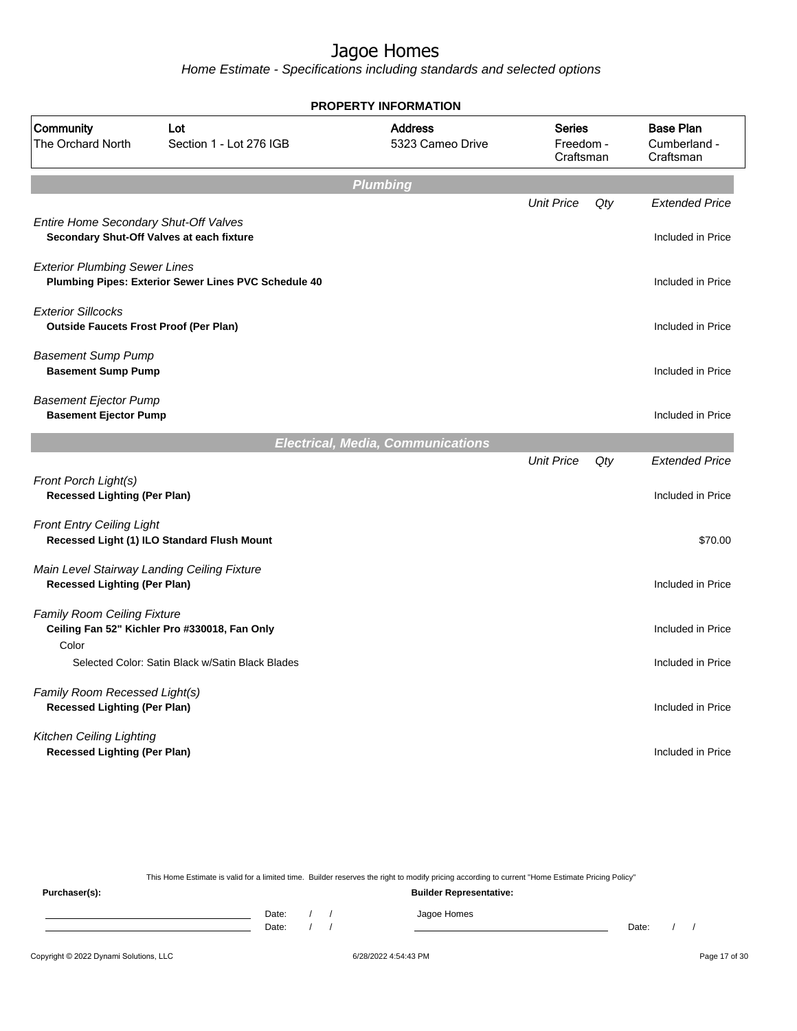Home Estimate - Specifications including standards and selected options

| <b>PROPERTY INFORMATION</b>                                                        |                                                      |                                          |                                         |     |                                               |  |  |
|------------------------------------------------------------------------------------|------------------------------------------------------|------------------------------------------|-----------------------------------------|-----|-----------------------------------------------|--|--|
| Community<br>The Orchard North                                                     | Lot<br>Section 1 - Lot 276 IGB                       | <b>Address</b><br>5323 Cameo Drive       | <b>Series</b><br>Freedom -<br>Craftsman |     | <b>Base Plan</b><br>Cumberland -<br>Craftsman |  |  |
|                                                                                    |                                                      | <b>Plumbing</b>                          |                                         |     |                                               |  |  |
| Entire Home Secondary Shut-Off Valves<br>Secondary Shut-Off Valves at each fixture |                                                      |                                          | <b>Unit Price</b>                       | Qty | <b>Extended Price</b><br>Included in Price    |  |  |
| <b>Exterior Plumbing Sewer Lines</b>                                               | Plumbing Pipes: Exterior Sewer Lines PVC Schedule 40 |                                          |                                         |     | Included in Price                             |  |  |
| <b>Exterior Sillcocks</b><br><b>Outside Faucets Frost Proof (Per Plan)</b>         |                                                      |                                          |                                         |     | Included in Price                             |  |  |
| <b>Basement Sump Pump</b><br><b>Basement Sump Pump</b>                             |                                                      |                                          |                                         |     | Included in Price                             |  |  |
| <b>Basement Ejector Pump</b><br><b>Basement Ejector Pump</b>                       |                                                      |                                          |                                         |     | Included in Price                             |  |  |
|                                                                                    |                                                      | <b>Electrical, Media, Communications</b> |                                         |     |                                               |  |  |
| Front Porch Light(s)<br><b>Recessed Lighting (Per Plan)</b>                        |                                                      |                                          | <b>Unit Price</b>                       | Qty | <b>Extended Price</b><br>Included in Price    |  |  |
| <b>Front Entry Ceiling Light</b>                                                   | Recessed Light (1) ILO Standard Flush Mount          |                                          |                                         |     | \$70.00                                       |  |  |
| Main Level Stairway Landing Ceiling Fixture<br><b>Recessed Lighting (Per Plan)</b> |                                                      |                                          |                                         |     | Included in Price                             |  |  |
| Family Room Ceiling Fixture<br>Color                                               | Ceiling Fan 52" Kichler Pro #330018, Fan Only        |                                          |                                         |     | Included in Price                             |  |  |
|                                                                                    | Selected Color: Satin Black w/Satin Black Blades     |                                          |                                         |     | Included in Price                             |  |  |
| Family Room Recessed Light(s)<br><b>Recessed Lighting (Per Plan)</b>               |                                                      |                                          |                                         |     | Included in Price                             |  |  |
| Kitchen Ceiling Lighting<br><b>Recessed Lighting (Per Plan)</b>                    |                                                      |                                          |                                         |     | Included in Price                             |  |  |

This Home Estimate is valid for a limited time. Builder reserves the right to modify pricing according to current "Home Estimate Pricing Policy"

**Purchaser(s): Builder Representative:** Date: / / Jagoe Homes<br>Date: / / Jagoe Homes Date: / / **Date: / / 2006** Date: / / / Date: / / /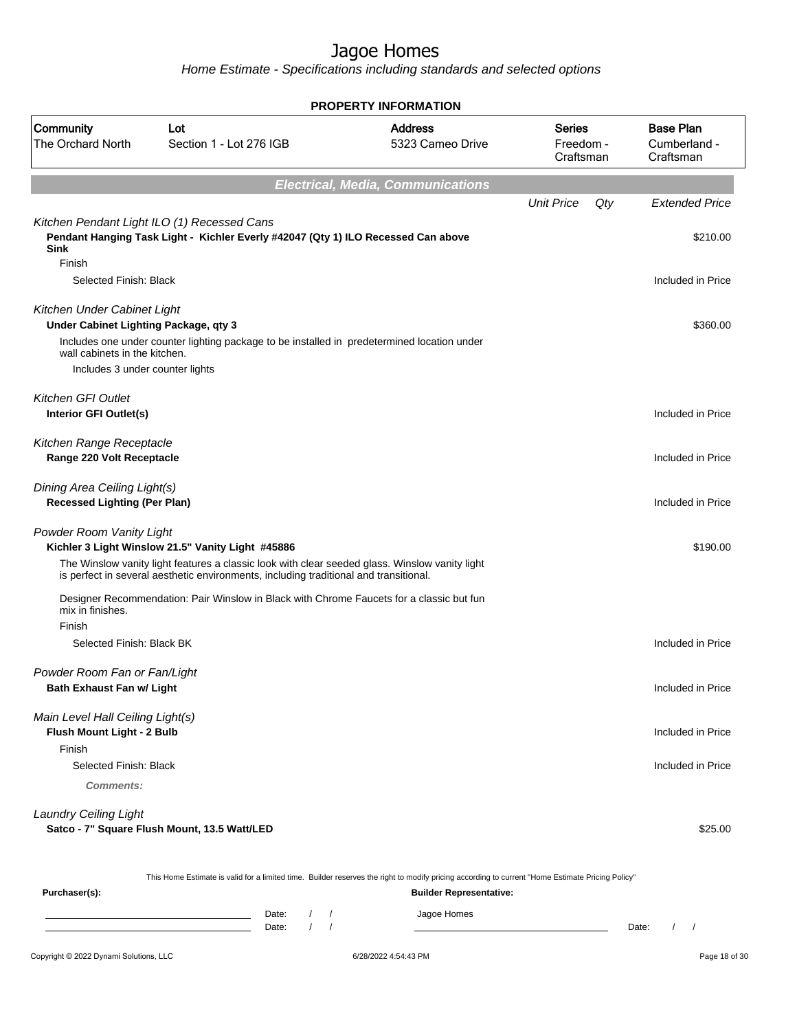Home Estimate - Specifications including standards and selected options

| <b>PROPERTY INFORMATION</b>                                           |                                                                                                                                                                                         |                                          |                                         |                                               |  |  |  |
|-----------------------------------------------------------------------|-----------------------------------------------------------------------------------------------------------------------------------------------------------------------------------------|------------------------------------------|-----------------------------------------|-----------------------------------------------|--|--|--|
| Community<br>The Orchard North                                        | Lot<br>Section 1 - Lot 276 IGB                                                                                                                                                          | <b>Address</b><br>5323 Cameo Drive       | <b>Series</b><br>Freedom -<br>Craftsman | <b>Base Plan</b><br>Cumberland -<br>Craftsman |  |  |  |
|                                                                       |                                                                                                                                                                                         | <b>Electrical, Media, Communications</b> |                                         |                                               |  |  |  |
|                                                                       |                                                                                                                                                                                         |                                          | <b>Unit Price</b><br>Qty                | <b>Extended Price</b>                         |  |  |  |
| <b>Sink</b>                                                           | Kitchen Pendant Light ILO (1) Recessed Cans<br>Pendant Hanging Task Light - Kichler Everly #42047 (Qty 1) ILO Recessed Can above                                                        |                                          |                                         | \$210.00                                      |  |  |  |
| Finish                                                                |                                                                                                                                                                                         |                                          |                                         |                                               |  |  |  |
| Selected Finish: Black                                                |                                                                                                                                                                                         |                                          |                                         | Included in Price                             |  |  |  |
| Kitchen Under Cabinet Light<br>Under Cabinet Lighting Package, qty 3  |                                                                                                                                                                                         |                                          |                                         | \$360.00                                      |  |  |  |
| wall cabinets in the kitchen.                                         | Includes one under counter lighting package to be installed in predetermined location under                                                                                             |                                          |                                         |                                               |  |  |  |
| Includes 3 under counter lights                                       |                                                                                                                                                                                         |                                          |                                         |                                               |  |  |  |
| <b>Kitchen GFI Outlet</b><br>Interior GFI Outlet(s)                   |                                                                                                                                                                                         |                                          |                                         | Included in Price                             |  |  |  |
| Kitchen Range Receptacle<br>Range 220 Volt Receptacle                 |                                                                                                                                                                                         |                                          |                                         | Included in Price                             |  |  |  |
| Dining Area Ceiling Light(s)<br><b>Recessed Lighting (Per Plan)</b>   |                                                                                                                                                                                         |                                          |                                         | Included in Price                             |  |  |  |
| Powder Room Vanity Light                                              | Kichler 3 Light Winslow 21.5" Vanity Light #45886                                                                                                                                       |                                          |                                         | \$190.00                                      |  |  |  |
|                                                                       | The Winslow vanity light features a classic look with clear seeded glass. Winslow vanity light<br>is perfect in several aesthetic environments, including traditional and transitional. |                                          |                                         |                                               |  |  |  |
| mix in finishes.                                                      | Designer Recommendation: Pair Winslow in Black with Chrome Faucets for a classic but fun                                                                                                |                                          |                                         |                                               |  |  |  |
| Finish<br>Selected Finish: Black BK                                   |                                                                                                                                                                                         |                                          |                                         | Included in Price                             |  |  |  |
|                                                                       |                                                                                                                                                                                         |                                          |                                         |                                               |  |  |  |
| Powder Room Fan or Fan/Light<br><b>Bath Exhaust Fan w/ Light</b>      |                                                                                                                                                                                         |                                          |                                         | Included in Price                             |  |  |  |
| Main Level Hall Ceiling Light(s)<br><b>Flush Mount Light - 2 Bulb</b> |                                                                                                                                                                                         |                                          |                                         | Included in Price                             |  |  |  |
| Finish                                                                |                                                                                                                                                                                         |                                          |                                         |                                               |  |  |  |
| Selected Finish: Black                                                |                                                                                                                                                                                         |                                          |                                         | Included in Price                             |  |  |  |
| Comments:                                                             |                                                                                                                                                                                         |                                          |                                         |                                               |  |  |  |
| <b>Laundry Ceiling Light</b>                                          | Satco - 7" Square Flush Mount, 13.5 Watt/LED                                                                                                                                            |                                          |                                         | \$25.00                                       |  |  |  |
|                                                                       | This Home Estimate is valid for a limited time. Builder reserves the right to modify pricing according to current "Home Estimate Pricing Policy"                                        |                                          |                                         |                                               |  |  |  |
| Purchaser(s):                                                         |                                                                                                                                                                                         | <b>Builder Representative:</b>           |                                         |                                               |  |  |  |

Copyright © 2022 Dynami Solutions, LLC **Company of Contract Contract Contract Contract Contract Contract Contract Contract Contract Contract Contract Contract Contract Contract Contract Contract Contract Contract Contract** Date: / / Jagoe Homes<br>Date: / / Jagoe Homes Date: / / Date: / /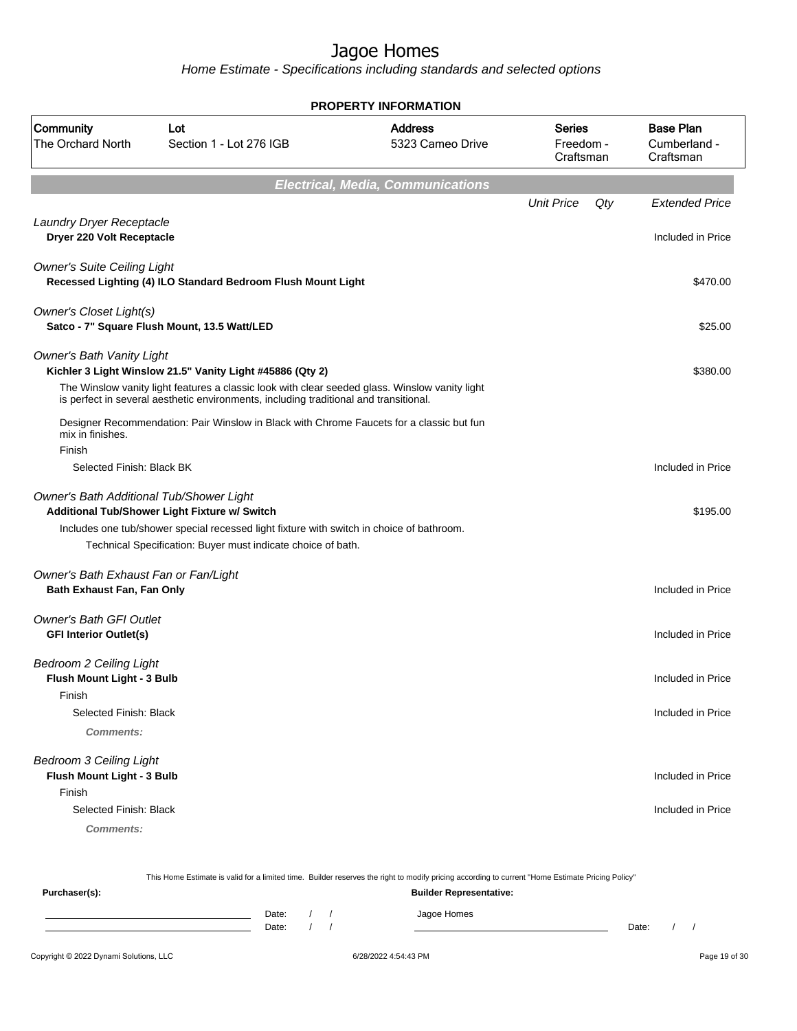| <b>PROPERTY INFORMATION</b>                                            |                                                                                                                                                                                                            |                                    |                                         |     |                                               |  |  |
|------------------------------------------------------------------------|------------------------------------------------------------------------------------------------------------------------------------------------------------------------------------------------------------|------------------------------------|-----------------------------------------|-----|-----------------------------------------------|--|--|
| Community<br>The Orchard North                                         | Lot<br>Section 1 - Lot 276 IGB                                                                                                                                                                             | <b>Address</b><br>5323 Cameo Drive | <b>Series</b><br>Freedom -<br>Craftsman |     | <b>Base Plan</b><br>Cumberland -<br>Craftsman |  |  |
| <b>Electrical, Media, Communications</b>                               |                                                                                                                                                                                                            |                                    |                                         |     |                                               |  |  |
|                                                                        |                                                                                                                                                                                                            |                                    | <b>Unit Price</b>                       | Qty | <b>Extended Price</b>                         |  |  |
| Laundry Dryer Receptacle<br>Dryer 220 Volt Receptacle                  |                                                                                                                                                                                                            |                                    |                                         |     | Included in Price                             |  |  |
| <b>Owner's Suite Ceiling Light</b>                                     | Recessed Lighting (4) ILO Standard Bedroom Flush Mount Light                                                                                                                                               |                                    |                                         |     | \$470.00                                      |  |  |
| <b>Owner's Closet Light(s)</b>                                         | Satco - 7" Square Flush Mount, 13.5 Watt/LED                                                                                                                                                               |                                    |                                         |     | \$25.00                                       |  |  |
| <b>Owner's Bath Vanity Light</b>                                       | Kichler 3 Light Winslow 21.5" Vanity Light #45886 (Qty 2)<br>The Winslow vanity light features a classic look with clear seeded glass. Winslow vanity light                                                |                                    |                                         |     | \$380.00                                      |  |  |
| mix in finishes.<br>Finish                                             | is perfect in several aesthetic environments, including traditional and transitional.<br>Designer Recommendation: Pair Winslow in Black with Chrome Faucets for a classic but fun                          |                                    |                                         |     |                                               |  |  |
| Selected Finish: Black BK                                              |                                                                                                                                                                                                            |                                    |                                         |     | Included in Price                             |  |  |
| Owner's Bath Additional Tub/Shower Light                               | Additional Tub/Shower Light Fixture w/ Switch<br>Includes one tub/shower special recessed light fixture with switch in choice of bathroom.<br>Technical Specification: Buyer must indicate choice of bath. |                                    |                                         |     | \$195.00                                      |  |  |
| Owner's Bath Exhaust Fan or Fan/Light<br>Bath Exhaust Fan, Fan Only    |                                                                                                                                                                                                            |                                    |                                         |     | Included in Price                             |  |  |
| <b>Owner's Bath GFI Outlet</b><br><b>GFI Interior Outlet(s)</b>        |                                                                                                                                                                                                            |                                    |                                         |     | Included in Price                             |  |  |
| <b>Bedroom 2 Ceiling Light</b><br>Flush Mount Light - 3 Bulb<br>Finish |                                                                                                                                                                                                            |                                    |                                         |     | Included in Price                             |  |  |
| Selected Finish: Black<br>Comments:                                    |                                                                                                                                                                                                            |                                    |                                         |     | Included in Price                             |  |  |
| <b>Bedroom 3 Ceiling Light</b><br>Flush Mount Light - 3 Bulb<br>Finish |                                                                                                                                                                                                            |                                    |                                         |     | Included in Price                             |  |  |
| Selected Finish: Black<br><b>Comments:</b>                             |                                                                                                                                                                                                            |                                    |                                         |     | Included in Price                             |  |  |

| This Home Estimate is valid for a limited time. Builder reserves the right to modify pricing according to current "Home Estimate Pricing Policy" |       |  |  |                                |       |  |  |
|--------------------------------------------------------------------------------------------------------------------------------------------------|-------|--|--|--------------------------------|-------|--|--|
| Purchaser(s):                                                                                                                                    |       |  |  | <b>Builder Representative:</b> |       |  |  |
|                                                                                                                                                  | Date: |  |  | Jagoe Homes                    |       |  |  |
|                                                                                                                                                  | Date: |  |  |                                | Date: |  |  |
|                                                                                                                                                  |       |  |  |                                |       |  |  |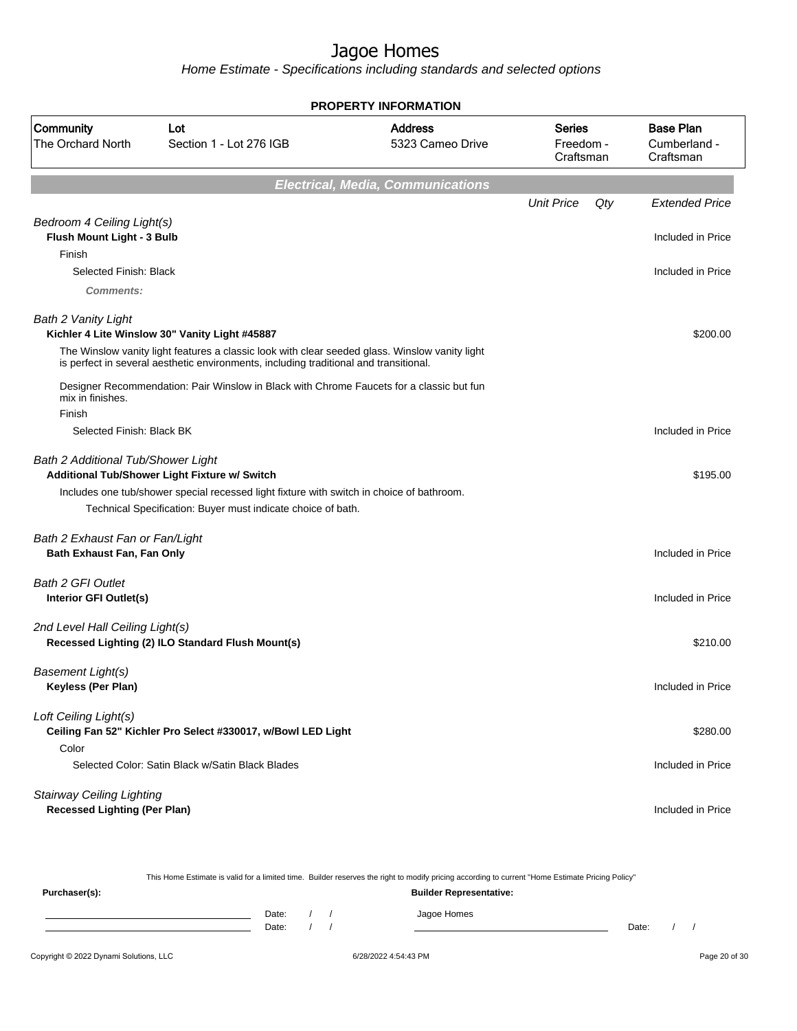|                                                                         |                                                                                                                                                                                                                                           | <b>PROPERTY INFORMATION</b>              |                                         |     |                                               |
|-------------------------------------------------------------------------|-------------------------------------------------------------------------------------------------------------------------------------------------------------------------------------------------------------------------------------------|------------------------------------------|-----------------------------------------|-----|-----------------------------------------------|
| Community<br>The Orchard North                                          | Lot<br>Section 1 - Lot 276 IGB                                                                                                                                                                                                            | <b>Address</b><br>5323 Cameo Drive       | <b>Series</b><br>Freedom -<br>Craftsman |     | <b>Base Plan</b><br>Cumberland -<br>Craftsman |
|                                                                         |                                                                                                                                                                                                                                           | <b>Electrical, Media, Communications</b> |                                         |     |                                               |
|                                                                         |                                                                                                                                                                                                                                           |                                          | <b>Unit Price</b>                       | Qty | <b>Extended Price</b>                         |
| Bedroom 4 Ceiling Light(s)<br>Flush Mount Light - 3 Bulb<br>Finish      |                                                                                                                                                                                                                                           |                                          |                                         |     | Included in Price                             |
| Selected Finish: Black                                                  |                                                                                                                                                                                                                                           |                                          |                                         |     | Included in Price                             |
| Comments:                                                               |                                                                                                                                                                                                                                           |                                          |                                         |     |                                               |
| <b>Bath 2 Vanity Light</b>                                              | Kichler 4 Lite Winslow 30" Vanity Light #45887<br>The Winslow vanity light features a classic look with clear seeded glass. Winslow vanity light<br>is perfect in several aesthetic environments, including traditional and transitional. |                                          |                                         |     | \$200.00                                      |
| mix in finishes.<br>Finish                                              | Designer Recommendation: Pair Winslow in Black with Chrome Faucets for a classic but fun                                                                                                                                                  |                                          |                                         |     |                                               |
| Selected Finish: Black BK                                               |                                                                                                                                                                                                                                           |                                          |                                         |     | Included in Price                             |
| Bath 2 Additional Tub/Shower Light                                      | Additional Tub/Shower Light Fixture w/ Switch                                                                                                                                                                                             |                                          |                                         |     | \$195.00                                      |
|                                                                         | Includes one tub/shower special recessed light fixture with switch in choice of bathroom.<br>Technical Specification: Buyer must indicate choice of bath.                                                                                 |                                          |                                         |     |                                               |
| Bath 2 Exhaust Fan or Fan/Light<br><b>Bath Exhaust Fan, Fan Only</b>    |                                                                                                                                                                                                                                           |                                          |                                         |     | Included in Price                             |
| <b>Bath 2 GFI Outlet</b><br>Interior GFI Outlet(s)                      |                                                                                                                                                                                                                                           |                                          |                                         |     | Included in Price                             |
| 2nd Level Hall Ceiling Light(s)                                         | Recessed Lighting (2) ILO Standard Flush Mount(s)                                                                                                                                                                                         |                                          |                                         |     | \$210.00                                      |
| <b>Basement Light(s)</b><br>Keyless (Per Plan)                          |                                                                                                                                                                                                                                           |                                          |                                         |     | Included in Price                             |
| Loft Ceiling Light(s)<br>Color                                          | Ceiling Fan 52" Kichler Pro Select #330017, w/Bowl LED Light                                                                                                                                                                              |                                          |                                         |     | \$280.00                                      |
|                                                                         | Selected Color: Satin Black w/Satin Black Blades                                                                                                                                                                                          |                                          |                                         |     | Included in Price                             |
| <b>Stairway Ceiling Lighting</b><br><b>Recessed Lighting (Per Plan)</b> |                                                                                                                                                                                                                                           |                                          |                                         |     | Included in Price                             |

|                                        | This Home Estimate is valid for a limited time. Builder reserves the right to modify pricing according to current "Home Estimate Pricing Policy" |  |  |                                |       |  |  |               |
|----------------------------------------|--------------------------------------------------------------------------------------------------------------------------------------------------|--|--|--------------------------------|-------|--|--|---------------|
| Purchaser(s):                          |                                                                                                                                                  |  |  | <b>Builder Representative:</b> |       |  |  |               |
|                                        | Date:<br>Date:                                                                                                                                   |  |  | Jagoe Homes                    | Date: |  |  |               |
| Copyright © 2022 Dynami Solutions, LLC |                                                                                                                                                  |  |  | 6/28/2022 4:54:43 PM           |       |  |  | Page 20 of 30 |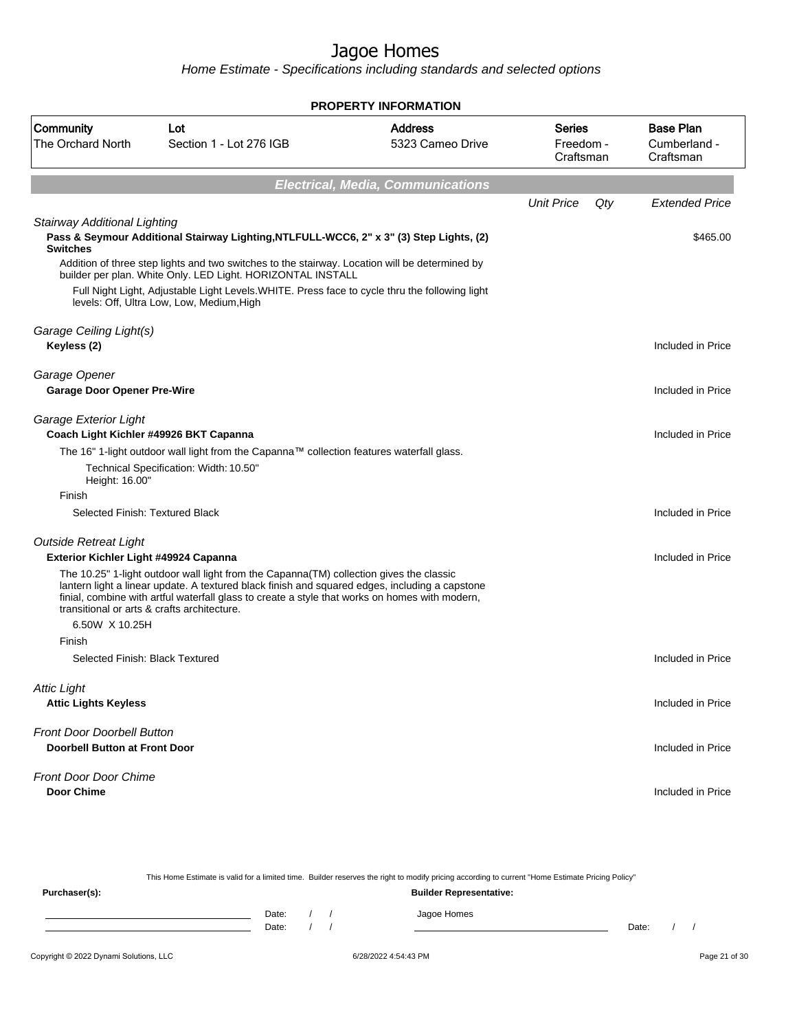| <b>PROPERTY INFORMATION</b>                                               |                                                                                                                                                                                                                                                                                             |                                          |                                         |     |                                               |  |  |
|---------------------------------------------------------------------------|---------------------------------------------------------------------------------------------------------------------------------------------------------------------------------------------------------------------------------------------------------------------------------------------|------------------------------------------|-----------------------------------------|-----|-----------------------------------------------|--|--|
| Community<br><b>The Orchard North</b>                                     | Lot<br>Section 1 - Lot 276 IGB                                                                                                                                                                                                                                                              | <b>Address</b><br>5323 Cameo Drive       | <b>Series</b><br>Freedom -<br>Craftsman |     | <b>Base Plan</b><br>Cumberland -<br>Craftsman |  |  |
|                                                                           |                                                                                                                                                                                                                                                                                             | <b>Electrical, Media, Communications</b> |                                         |     |                                               |  |  |
|                                                                           |                                                                                                                                                                                                                                                                                             |                                          | <b>Unit Price</b>                       | Qty | <b>Extended Price</b>                         |  |  |
| Stairway Additional Lighting<br><b>Switches</b>                           | Pass & Seymour Additional Stairway Lighting, NTLFULL-WCC6, 2" x 3" (3) Step Lights, (2)                                                                                                                                                                                                     |                                          |                                         |     | \$465.00                                      |  |  |
|                                                                           | Addition of three step lights and two switches to the stairway. Location will be determined by<br>builder per plan. White Only. LED Light. HORIZONTAL INSTALL                                                                                                                               |                                          |                                         |     |                                               |  |  |
|                                                                           | Full Night Light, Adjustable Light Levels. WHITE. Press face to cycle thru the following light<br>levels: Off, Ultra Low, Low, Medium, High                                                                                                                                                 |                                          |                                         |     |                                               |  |  |
| Garage Ceiling Light(s)                                                   |                                                                                                                                                                                                                                                                                             |                                          |                                         |     |                                               |  |  |
| Keyless (2)                                                               |                                                                                                                                                                                                                                                                                             |                                          |                                         |     | Included in Price                             |  |  |
| Garage Opener<br><b>Garage Door Opener Pre-Wire</b>                       |                                                                                                                                                                                                                                                                                             |                                          |                                         |     | Included in Price                             |  |  |
| Garage Exterior Light<br>Coach Light Kichler #49926 BKT Capanna           |                                                                                                                                                                                                                                                                                             |                                          |                                         |     | Included in Price                             |  |  |
|                                                                           | The 16" 1-light outdoor wall light from the Capanna™ collection features waterfall glass.                                                                                                                                                                                                   |                                          |                                         |     |                                               |  |  |
| Height: 16.00"                                                            | Technical Specification: Width: 10.50"                                                                                                                                                                                                                                                      |                                          |                                         |     |                                               |  |  |
| Finish                                                                    |                                                                                                                                                                                                                                                                                             |                                          |                                         |     |                                               |  |  |
| Selected Finish: Textured Black                                           |                                                                                                                                                                                                                                                                                             |                                          |                                         |     | Included in Price                             |  |  |
| <b>Outside Retreat Light</b><br>Exterior Kichler Light #49924 Capanna     |                                                                                                                                                                                                                                                                                             |                                          |                                         |     | Included in Price                             |  |  |
| transitional or arts & crafts architecture.                               | The 10.25" 1-light outdoor wall light from the Capanna(TM) collection gives the classic<br>lantern light a linear update. A textured black finish and squared edges, including a capstone<br>finial, combine with artful waterfall glass to create a style that works on homes with modern, |                                          |                                         |     |                                               |  |  |
| 6.50W X 10.25H                                                            |                                                                                                                                                                                                                                                                                             |                                          |                                         |     |                                               |  |  |
| Finish<br>Selected Finish: Black Textured                                 |                                                                                                                                                                                                                                                                                             |                                          |                                         |     | Included in Price                             |  |  |
|                                                                           |                                                                                                                                                                                                                                                                                             |                                          |                                         |     |                                               |  |  |
| <b>Attic Light</b>                                                        |                                                                                                                                                                                                                                                                                             |                                          |                                         |     |                                               |  |  |
| <b>Attic Lights Keyless</b>                                               |                                                                                                                                                                                                                                                                                             |                                          |                                         |     | Included in Price                             |  |  |
| <b>Front Door Doorbell Button</b><br><b>Doorbell Button at Front Door</b> |                                                                                                                                                                                                                                                                                             |                                          |                                         |     | Included in Price                             |  |  |
| <b>Front Door Door Chime</b>                                              |                                                                                                                                                                                                                                                                                             |                                          |                                         |     |                                               |  |  |
| <b>Door Chime</b>                                                         |                                                                                                                                                                                                                                                                                             |                                          |                                         |     | Included in Price                             |  |  |

|               |                                |  |  | This Home Estimate is valid for a limited time. Builder reserves the right to modify pricing according to current "Home Estimate Pricing Policy" |       |  |  |
|---------------|--------------------------------|--|--|--------------------------------------------------------------------------------------------------------------------------------------------------|-------|--|--|
| Purchaser(s): | <b>Builder Representative:</b> |  |  |                                                                                                                                                  |       |  |  |
|               | Date:                          |  |  | Jagoe Homes                                                                                                                                      |       |  |  |
|               | Date:                          |  |  |                                                                                                                                                  | Date: |  |  |
|               |                                |  |  |                                                                                                                                                  |       |  |  |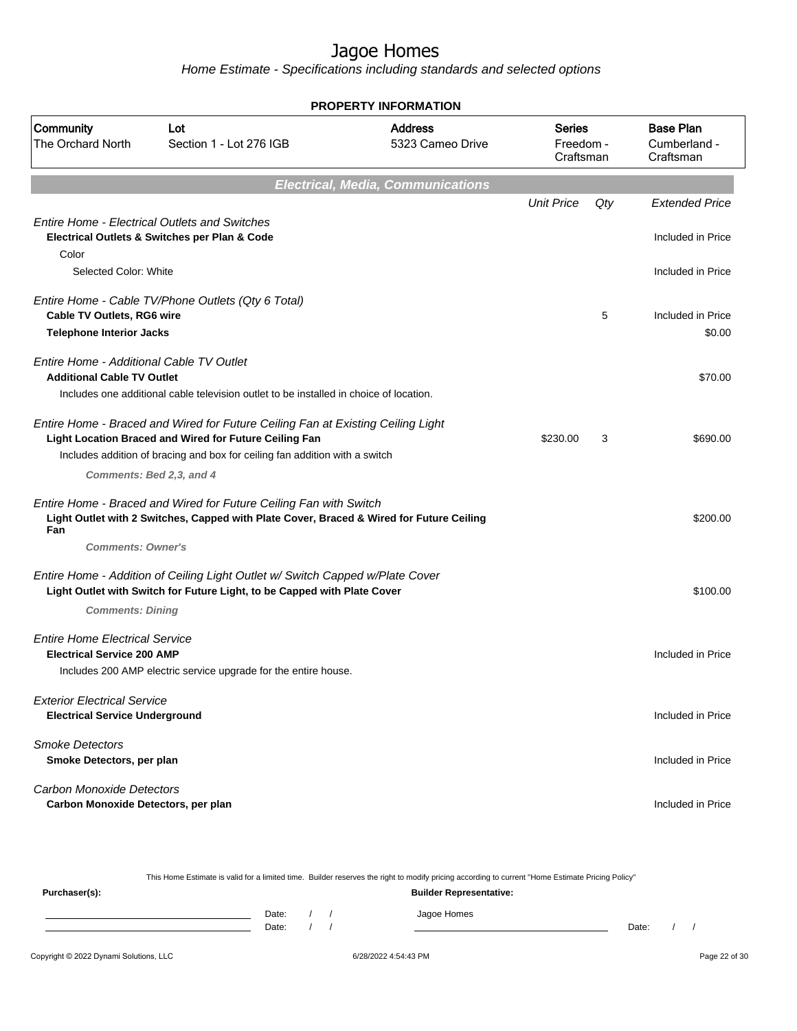Home Estimate - Specifications including standards and selected options

| PROPERTY INFORMATION                                                          |                                                                                                                                                                                                                          |                                          |                                  |     |                                               |  |
|-------------------------------------------------------------------------------|--------------------------------------------------------------------------------------------------------------------------------------------------------------------------------------------------------------------------|------------------------------------------|----------------------------------|-----|-----------------------------------------------|--|
| Community<br><b>The Orchard North</b>                                         | Lot<br>Section 1 - Lot 276 IGB                                                                                                                                                                                           | <b>Address</b><br>5323 Cameo Drive       | Series<br>Freedom -<br>Craftsman |     | <b>Base Plan</b><br>Cumberland -<br>Craftsman |  |
|                                                                               |                                                                                                                                                                                                                          | <b>Electrical, Media, Communications</b> |                                  |     |                                               |  |
|                                                                               |                                                                                                                                                                                                                          |                                          | <b>Unit Price</b>                | Qty | <b>Extended Price</b>                         |  |
| Color                                                                         | <b>Entire Home - Electrical Outlets and Switches</b><br>Electrical Outlets & Switches per Plan & Code                                                                                                                    |                                          |                                  |     | Included in Price                             |  |
| Selected Color: White                                                         |                                                                                                                                                                                                                          |                                          |                                  |     | Included in Price                             |  |
| Cable TV Outlets, RG6 wire                                                    | Entire Home - Cable TV/Phone Outlets (Qty 6 Total)                                                                                                                                                                       |                                          |                                  | 5   | Included in Price                             |  |
| <b>Telephone Interior Jacks</b>                                               |                                                                                                                                                                                                                          |                                          |                                  |     | \$0.00                                        |  |
| Entire Home - Additional Cable TV Outlet<br><b>Additional Cable TV Outlet</b> |                                                                                                                                                                                                                          |                                          |                                  |     | \$70.00                                       |  |
|                                                                               | Includes one additional cable television outlet to be installed in choice of location.                                                                                                                                   |                                          |                                  |     |                                               |  |
|                                                                               | Entire Home - Braced and Wired for Future Ceiling Fan at Existing Ceiling Light<br>Light Location Braced and Wired for Future Ceiling Fan<br>Includes addition of bracing and box for ceiling fan addition with a switch |                                          | \$230.00                         | 3   | \$690.00                                      |  |
|                                                                               | Comments: Bed 2,3, and 4                                                                                                                                                                                                 |                                          |                                  |     |                                               |  |
| Fan                                                                           | Entire Home - Braced and Wired for Future Ceiling Fan with Switch<br>Light Outlet with 2 Switches, Capped with Plate Cover, Braced & Wired for Future Ceiling                                                            |                                          |                                  |     | \$200.00                                      |  |
| <b>Comments: Owner's</b>                                                      |                                                                                                                                                                                                                          |                                          |                                  |     |                                               |  |
|                                                                               | Entire Home - Addition of Ceiling Light Outlet w/ Switch Capped w/Plate Cover<br>Light Outlet with Switch for Future Light, to be Capped with Plate Cover                                                                |                                          |                                  |     | \$100.00                                      |  |
| <b>Comments: Dining</b>                                                       |                                                                                                                                                                                                                          |                                          |                                  |     |                                               |  |
| <b>Entire Home Electrical Service</b><br><b>Electrical Service 200 AMP</b>    |                                                                                                                                                                                                                          |                                          |                                  |     | Included in Price                             |  |
|                                                                               | Includes 200 AMP electric service upgrade for the entire house.                                                                                                                                                          |                                          |                                  |     |                                               |  |
| <b>Exterior Electrical Service</b><br><b>Electrical Service Underground</b>   |                                                                                                                                                                                                                          |                                          |                                  |     | Included in Price                             |  |
| <b>Smoke Detectors</b><br>Smoke Detectors, per plan                           |                                                                                                                                                                                                                          |                                          |                                  |     | Included in Price                             |  |
| <b>Carbon Monoxide Detectors</b><br>Carbon Monoxide Detectors, per plan       |                                                                                                                                                                                                                          |                                          |                                  |     | Included in Price                             |  |

This Home Estimate is valid for a limited time. Builder reserves the right to modify pricing according to current "Home Estimate Pricing Policy"

**Purchaser(s): Builder Representative:** Date: / / Jagoe Homes<br>Date: / / Jagoe Homes Date: / / Date: / /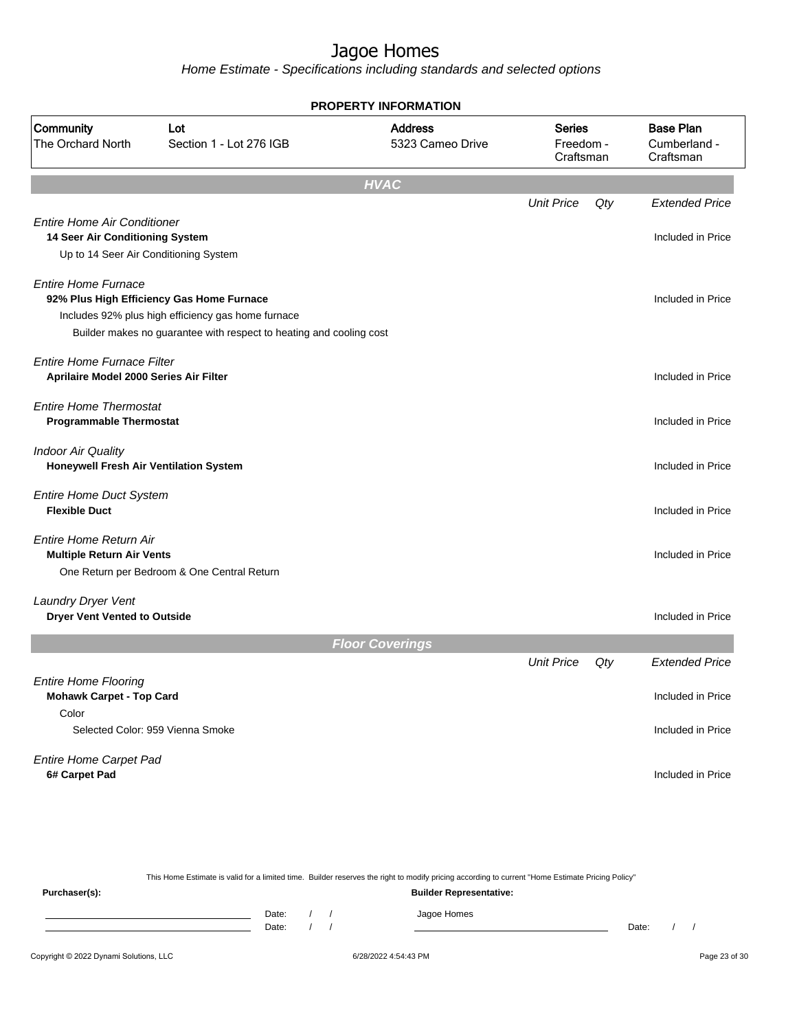Home Estimate - Specifications including standards and selected options

|                                                                   |                                                                     | <b>PROPERTY INFORMATION</b>        |                                  |     |                                               |
|-------------------------------------------------------------------|---------------------------------------------------------------------|------------------------------------|----------------------------------|-----|-----------------------------------------------|
| <b>Community</b><br>The Orchard North                             | Lot<br>Section 1 - Lot 276 IGB                                      | <b>Address</b><br>5323 Cameo Drive | Series<br>Freedom -<br>Craftsman |     | <b>Base Plan</b><br>Cumberland -<br>Craftsman |
|                                                                   |                                                                     | <b>HVAC</b>                        |                                  |     |                                               |
|                                                                   |                                                                     |                                    | <b>Unit Price</b>                | Qty | <b>Extended Price</b>                         |
| <b>Entire Home Air Conditioner</b>                                |                                                                     |                                    |                                  |     |                                               |
| 14 Seer Air Conditioning System                                   |                                                                     |                                    |                                  |     | Included in Price                             |
|                                                                   | Up to 14 Seer Air Conditioning System                               |                                    |                                  |     |                                               |
| <b>Entire Home Furnace</b>                                        |                                                                     |                                    |                                  |     |                                               |
|                                                                   | 92% Plus High Efficiency Gas Home Furnace                           |                                    |                                  |     | Included in Price                             |
|                                                                   | Includes 92% plus high efficiency gas home furnace                  |                                    |                                  |     |                                               |
|                                                                   | Builder makes no guarantee with respect to heating and cooling cost |                                    |                                  |     |                                               |
| <b>Entire Home Furnace Filter</b>                                 |                                                                     |                                    |                                  |     |                                               |
| Aprilaire Model 2000 Series Air Filter                            |                                                                     |                                    |                                  |     | Included in Price                             |
|                                                                   |                                                                     |                                    |                                  |     |                                               |
| <b>Entire Home Thermostat</b><br><b>Programmable Thermostat</b>   |                                                                     |                                    |                                  |     | Included in Price                             |
|                                                                   |                                                                     |                                    |                                  |     |                                               |
| <b>Indoor Air Quality</b>                                         |                                                                     |                                    |                                  |     |                                               |
| Honeywell Fresh Air Ventilation System                            |                                                                     |                                    |                                  |     | Included in Price                             |
| <b>Entire Home Duct System</b>                                    |                                                                     |                                    |                                  |     |                                               |
| <b>Flexible Duct</b>                                              |                                                                     |                                    |                                  |     | Included in Price                             |
|                                                                   |                                                                     |                                    |                                  |     |                                               |
| <b>Entire Home Return Air</b><br><b>Multiple Return Air Vents</b> |                                                                     |                                    |                                  |     | Included in Price                             |
|                                                                   | One Return per Bedroom & One Central Return                         |                                    |                                  |     |                                               |
|                                                                   |                                                                     |                                    |                                  |     |                                               |
| Laundry Dryer Vent                                                |                                                                     |                                    |                                  |     |                                               |
| <b>Dryer Vent Vented to Outside</b>                               |                                                                     |                                    |                                  |     | Included in Price                             |
|                                                                   |                                                                     | <b>Floor Coverings</b>             |                                  |     |                                               |
|                                                                   |                                                                     |                                    | <b>Unit Price</b>                | Qty | <b>Extended Price</b>                         |
| <b>Entire Home Flooring</b>                                       |                                                                     |                                    |                                  |     |                                               |
| <b>Mohawk Carpet - Top Card</b>                                   |                                                                     |                                    |                                  |     | Included in Price                             |
| Color                                                             |                                                                     |                                    |                                  |     |                                               |
|                                                                   | Selected Color: 959 Vienna Smoke                                    |                                    |                                  |     | Included in Price                             |
|                                                                   |                                                                     |                                    |                                  |     |                                               |
| Entire Home Carpet Pad                                            |                                                                     |                                    |                                  |     | Included in Price                             |
| 6# Carpet Pad                                                     |                                                                     |                                    |                                  |     |                                               |
|                                                                   |                                                                     |                                    |                                  |     |                                               |
|                                                                   |                                                                     |                                    |                                  |     |                                               |

This Home Estimate is valid for a limited time. Builder reserves the right to modify pricing according to current "Home Estimate Pricing Policy" **Purchaser(s): Builder Representative:** Date: / / Jagoe Homes<br>Date: / / Jagoe Homes Date: / / Date: / /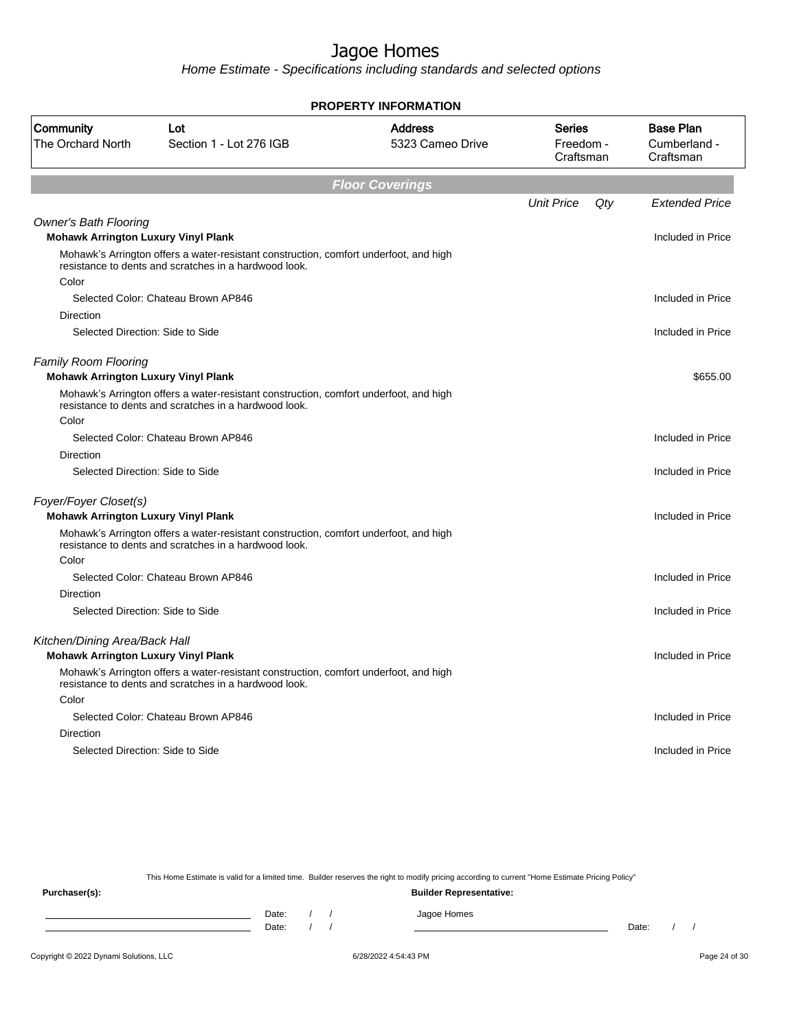Home Estimate - Specifications including standards and selected options

|                                                                           |                                                                                                                                                | <b>PROPERTY INFORMATION</b>        |                                         |                                               |
|---------------------------------------------------------------------------|------------------------------------------------------------------------------------------------------------------------------------------------|------------------------------------|-----------------------------------------|-----------------------------------------------|
| Community<br>The Orchard North                                            | Lot<br>Section 1 - Lot 276 IGB                                                                                                                 | <b>Address</b><br>5323 Cameo Drive | <b>Series</b><br>Freedom -<br>Craftsman | <b>Base Plan</b><br>Cumberland -<br>Craftsman |
|                                                                           |                                                                                                                                                | <b>Floor Coverings</b>             |                                         |                                               |
|                                                                           |                                                                                                                                                |                                    | <b>Unit Price</b>                       | Qty<br>Extended Price                         |
| <b>Owner's Bath Flooring</b>                                              |                                                                                                                                                |                                    |                                         |                                               |
| <b>Mohawk Arrington Luxury Vinyl Plank</b>                                |                                                                                                                                                |                                    |                                         | Included in Price                             |
|                                                                           | Mohawk's Arrington offers a water-resistant construction, comfort underfoot, and high<br>resistance to dents and scratches in a hardwood look. |                                    |                                         |                                               |
| Color                                                                     |                                                                                                                                                |                                    |                                         |                                               |
|                                                                           | Selected Color: Chateau Brown AP846                                                                                                            |                                    |                                         | Included in Price                             |
| Direction                                                                 |                                                                                                                                                |                                    |                                         |                                               |
| Selected Direction: Side to Side                                          |                                                                                                                                                |                                    |                                         | Included in Price                             |
| <b>Family Room Flooring</b><br><b>Mohawk Arrington Luxury Vinyl Plank</b> |                                                                                                                                                |                                    |                                         | \$655.00                                      |
|                                                                           | Mohawk's Arrington offers a water-resistant construction, comfort underfoot, and high<br>resistance to dents and scratches in a hardwood look. |                                    |                                         |                                               |
| Color                                                                     |                                                                                                                                                |                                    |                                         |                                               |
|                                                                           | Selected Color: Chateau Brown AP846                                                                                                            |                                    |                                         | Included in Price                             |
| <b>Direction</b>                                                          |                                                                                                                                                |                                    |                                         |                                               |
| Selected Direction: Side to Side                                          |                                                                                                                                                |                                    |                                         | Included in Price                             |
| Foyer/Foyer Closet(s)<br><b>Mohawk Arrington Luxury Vinyl Plank</b>       |                                                                                                                                                |                                    |                                         | Included in Price                             |
|                                                                           | Mohawk's Arrington offers a water-resistant construction, comfort underfoot, and high<br>resistance to dents and scratches in a hardwood look. |                                    |                                         |                                               |
| Color                                                                     |                                                                                                                                                |                                    |                                         |                                               |
|                                                                           | Selected Color: Chateau Brown AP846                                                                                                            |                                    |                                         | Included in Price                             |
| Direction                                                                 |                                                                                                                                                |                                    |                                         |                                               |
| Selected Direction: Side to Side                                          |                                                                                                                                                |                                    |                                         | Included in Price                             |
| Kitchen/Dining Area/Back Hall                                             |                                                                                                                                                |                                    |                                         |                                               |
| <b>Mohawk Arrington Luxury Vinyl Plank</b>                                |                                                                                                                                                |                                    |                                         | Included in Price                             |
|                                                                           | Mohawk's Arrington offers a water-resistant construction, comfort underfoot, and high<br>resistance to dents and scratches in a hardwood look. |                                    |                                         |                                               |
| Color                                                                     |                                                                                                                                                |                                    |                                         |                                               |
|                                                                           | Selected Color: Chateau Brown AP846                                                                                                            |                                    |                                         | Included in Price                             |
| Direction                                                                 |                                                                                                                                                |                                    |                                         |                                               |
| Selected Direction: Side to Side                                          |                                                                                                                                                |                                    |                                         | Included in Price                             |
|                                                                           |                                                                                                                                                |                                    |                                         |                                               |

This Home Estimate is valid for a limited time. Builder reserves the right to modify pricing according to current "Home Estimate Pricing Policy"

**Purchaser(s): Builder Representative:** Date: / / Jagoe Homes<br>Date: / / Jagoe Homes Date: / / **Date: / / 2006** Date: / / / Date: / / /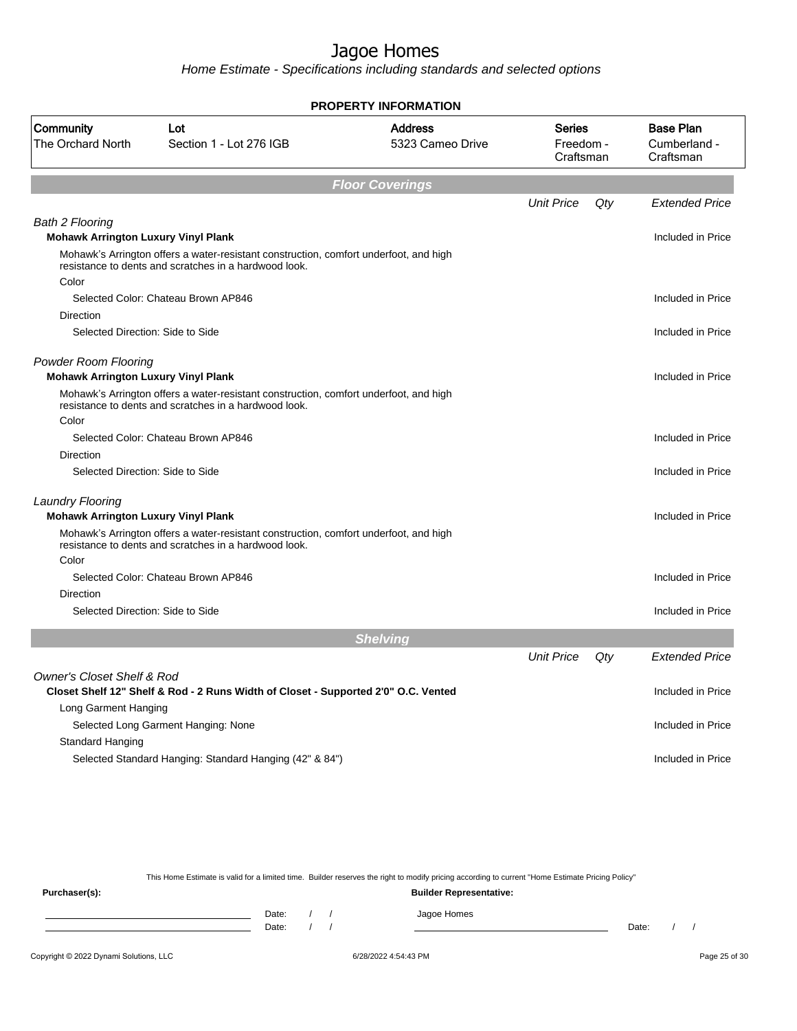Home Estimate - Specifications including standards and selected options

|                                                                           |                                                                                                                                                | <b>PROPERTY INFORMATION</b>        |                                         |     |                                               |
|---------------------------------------------------------------------------|------------------------------------------------------------------------------------------------------------------------------------------------|------------------------------------|-----------------------------------------|-----|-----------------------------------------------|
| Community<br>The Orchard North                                            | Lot<br>Section 1 - Lot 276 IGB                                                                                                                 | <b>Address</b><br>5323 Cameo Drive | <b>Series</b><br>Freedom -<br>Craftsman |     | <b>Base Plan</b><br>Cumberland -<br>Craftsman |
|                                                                           |                                                                                                                                                | <b>Floor Coverings</b>             |                                         |     |                                               |
|                                                                           |                                                                                                                                                |                                    | <b>Unit Price</b>                       | Qty | <b>Extended Price</b>                         |
| <b>Bath 2 Flooring</b>                                                    |                                                                                                                                                |                                    |                                         |     |                                               |
| <b>Mohawk Arrington Luxury Vinyl Plank</b>                                |                                                                                                                                                |                                    |                                         |     | Included in Price                             |
|                                                                           | Mohawk's Arrington offers a water-resistant construction, comfort underfoot, and high<br>resistance to dents and scratches in a hardwood look. |                                    |                                         |     |                                               |
| Color                                                                     | Selected Color: Chateau Brown AP846                                                                                                            |                                    |                                         |     | Included in Price                             |
| Direction                                                                 |                                                                                                                                                |                                    |                                         |     |                                               |
| Selected Direction: Side to Side                                          |                                                                                                                                                |                                    |                                         |     | Included in Price                             |
|                                                                           |                                                                                                                                                |                                    |                                         |     |                                               |
| <b>Powder Room Flooring</b><br><b>Mohawk Arrington Luxury Vinyl Plank</b> |                                                                                                                                                |                                    |                                         |     | Included in Price                             |
|                                                                           | Mohawk's Arrington offers a water-resistant construction, comfort underfoot, and high<br>resistance to dents and scratches in a hardwood look. |                                    |                                         |     |                                               |
| Color                                                                     |                                                                                                                                                |                                    |                                         |     |                                               |
|                                                                           | Selected Color: Chateau Brown AP846                                                                                                            |                                    |                                         |     | Included in Price                             |
| <b>Direction</b>                                                          |                                                                                                                                                |                                    |                                         |     |                                               |
| Selected Direction: Side to Side                                          |                                                                                                                                                |                                    |                                         |     | Included in Price                             |
| <b>Laundry Flooring</b><br><b>Mohawk Arrington Luxury Vinyl Plank</b>     |                                                                                                                                                |                                    |                                         |     | Included in Price                             |
|                                                                           | Mohawk's Arrington offers a water-resistant construction, comfort underfoot, and high<br>resistance to dents and scratches in a hardwood look. |                                    |                                         |     |                                               |
| Color                                                                     |                                                                                                                                                |                                    |                                         |     |                                               |
|                                                                           | Selected Color: Chateau Brown AP846                                                                                                            |                                    |                                         |     | Included in Price                             |
| <b>Direction</b>                                                          |                                                                                                                                                |                                    |                                         |     |                                               |
| Selected Direction: Side to Side                                          |                                                                                                                                                |                                    |                                         |     | Included in Price                             |
|                                                                           |                                                                                                                                                | <b>Shelving</b>                    |                                         |     |                                               |
|                                                                           |                                                                                                                                                |                                    | <b>Unit Price</b>                       | Qty | <b>Extended Price</b>                         |
| <b>Owner's Closet Shelf &amp; Rod</b>                                     |                                                                                                                                                |                                    |                                         |     |                                               |
|                                                                           | Closet Shelf 12" Shelf & Rod - 2 Runs Width of Closet - Supported 2'0" O.C. Vented                                                             |                                    |                                         |     | Included in Price                             |
| Long Garment Hanging                                                      |                                                                                                                                                |                                    |                                         |     |                                               |
|                                                                           | Selected Long Garment Hanging: None                                                                                                            |                                    |                                         |     | Included in Price                             |
| Standard Hanging                                                          |                                                                                                                                                |                                    |                                         |     |                                               |
|                                                                           | Selected Standard Hanging: Standard Hanging (42" & 84")                                                                                        |                                    |                                         |     | Included in Price                             |

This Home Estimate is valid for a limited time. Builder reserves the right to modify pricing according to current "Home Estimate Pricing Policy"

**Purchaser(s): Builder Representative:** Date: / / Jagoe Homes<br>Date: / / Jagoe Homes Date: / / Date: / /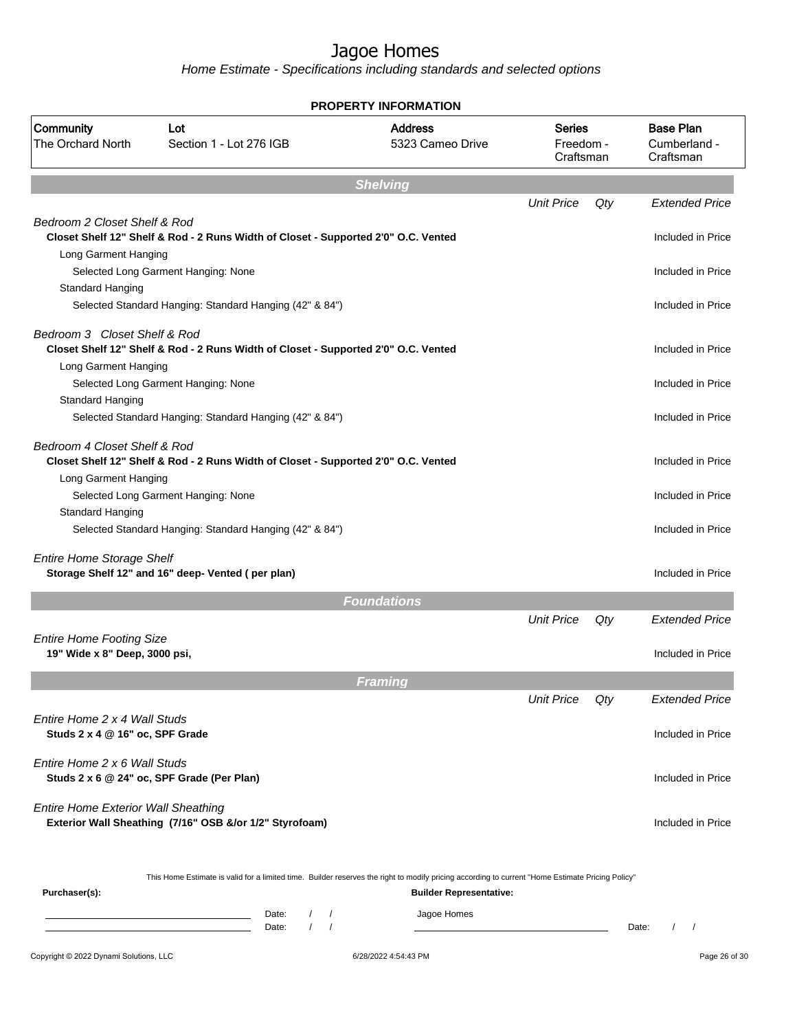|                                                                 |                                                                                                                                                  | <b>PROPERTY INFORMATION</b>        |                                         |     |                                               |
|-----------------------------------------------------------------|--------------------------------------------------------------------------------------------------------------------------------------------------|------------------------------------|-----------------------------------------|-----|-----------------------------------------------|
| Community<br><b>The Orchard North</b>                           | Lot<br>Section 1 - Lot 276 IGB                                                                                                                   | <b>Address</b><br>5323 Cameo Drive | <b>Series</b><br>Freedom -<br>Craftsman |     | <b>Base Plan</b><br>Cumberland -<br>Craftsman |
|                                                                 |                                                                                                                                                  | <b>Shelving</b>                    |                                         |     |                                               |
|                                                                 |                                                                                                                                                  |                                    | <b>Unit Price</b>                       | Qty | <b>Extended Price</b>                         |
| Bedroom 2 Closet Shelf & Rod                                    | Closet Shelf 12" Shelf & Rod - 2 Runs Width of Closet - Supported 2'0" O.C. Vented                                                               |                                    |                                         |     | Included in Price                             |
| Long Garment Hanging<br>Standard Hanging                        | Selected Long Garment Hanging: None                                                                                                              |                                    |                                         |     | Included in Price                             |
|                                                                 | Selected Standard Hanging: Standard Hanging (42" & 84")                                                                                          |                                    |                                         |     | Included in Price                             |
| Bedroom 3 Closet Shelf & Rod<br>Long Garment Hanging            | Closet Shelf 12" Shelf & Rod - 2 Runs Width of Closet - Supported 2'0" O.C. Vented                                                               |                                    |                                         |     | Included in Price                             |
| Standard Hanging                                                | Selected Long Garment Hanging: None                                                                                                              |                                    |                                         |     | Included in Price                             |
|                                                                 | Selected Standard Hanging: Standard Hanging (42" & 84")                                                                                          |                                    |                                         |     | Included in Price                             |
| Bedroom 4 Closet Shelf & Rod<br>Long Garment Hanging            | Closet Shelf 12" Shelf & Rod - 2 Runs Width of Closet - Supported 2'0" O.C. Vented                                                               |                                    |                                         |     | Included in Price                             |
| Standard Hanging                                                | Selected Long Garment Hanging: None                                                                                                              |                                    |                                         |     | Included in Price                             |
|                                                                 | Selected Standard Hanging: Standard Hanging (42" & 84")                                                                                          |                                    |                                         |     | Included in Price                             |
| <b>Entire Home Storage Shelf</b>                                | Storage Shelf 12" and 16" deep- Vented (per plan)                                                                                                |                                    |                                         |     | Included in Price                             |
|                                                                 |                                                                                                                                                  | <b>Foundations</b>                 |                                         |     |                                               |
| <b>Entire Home Footing Size</b>                                 |                                                                                                                                                  |                                    | <b>Unit Price</b>                       | Qty | <b>Extended Price</b>                         |
| 19" Wide x 8" Deep, 3000 psi,                                   |                                                                                                                                                  |                                    |                                         |     | Included in Price                             |
|                                                                 |                                                                                                                                                  | Framing                            |                                         |     |                                               |
|                                                                 |                                                                                                                                                  |                                    | <b>Unit Price</b>                       | Qty | Extended Price                                |
| Entire Home 2 x 4 Wall Studs<br>Studs 2 x 4 @ 16" oc, SPF Grade |                                                                                                                                                  |                                    |                                         |     | Included in Price                             |
| Entire Home 2 x 6 Wall Studs                                    | Studs 2 x 6 @ 24" oc, SPF Grade (Per Plan)                                                                                                       |                                    |                                         |     | Included in Price                             |
| <b>Entire Home Exterior Wall Sheathing</b>                      | Exterior Wall Sheathing (7/16" OSB &/or 1/2" Styrofoam)                                                                                          |                                    |                                         |     | Included in Price                             |
| Purchaser(s):                                                   | This Home Estimate is valid for a limited time. Builder reserves the right to modify pricing according to current "Home Estimate Pricing Policy" | <b>Builder Representative:</b>     |                                         |     |                                               |
|                                                                 | Date:<br>$\sqrt{ }$<br>the control of the control of the control of the control of the control of<br>$\prime$<br>$\sqrt{ }$<br>Date:             | Jagoe Homes                        |                                         |     | $\sqrt{ }$<br>Date:                           |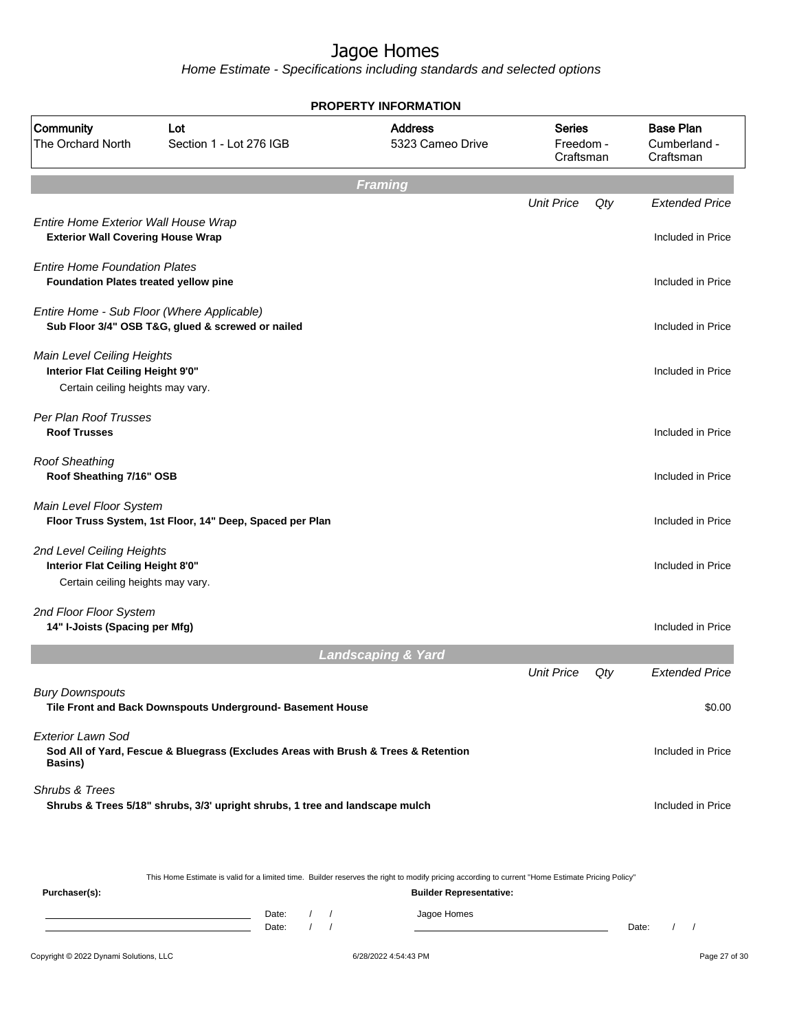|                                                                                                      |                                                                                                                                                  | <b>PROPERTY INFORMATION</b>        |                                         |     |                                               |
|------------------------------------------------------------------------------------------------------|--------------------------------------------------------------------------------------------------------------------------------------------------|------------------------------------|-----------------------------------------|-----|-----------------------------------------------|
| Community<br>The Orchard North                                                                       | Lot<br>Section 1 - Lot 276 IGB                                                                                                                   | <b>Address</b><br>5323 Cameo Drive | <b>Series</b><br>Freedom -<br>Craftsman |     | <b>Base Plan</b><br>Cumberland -<br>Craftsman |
|                                                                                                      |                                                                                                                                                  | <b>Framing</b>                     |                                         |     |                                               |
| Entire Home Exterior Wall House Wrap<br><b>Exterior Wall Covering House Wrap</b>                     |                                                                                                                                                  |                                    | <b>Unit Price</b>                       | Qty | <b>Extended Price</b><br>Included in Price    |
| <b>Entire Home Foundation Plates</b><br><b>Foundation Plates treated yellow pine</b>                 |                                                                                                                                                  |                                    |                                         |     | Included in Price                             |
|                                                                                                      | Entire Home - Sub Floor (Where Applicable)<br>Sub Floor 3/4" OSB T&G, glued & screwed or nailed                                                  |                                    |                                         |     | Included in Price                             |
| Main Level Ceiling Heights<br>Interior Flat Ceiling Height 9'0"<br>Certain ceiling heights may vary. |                                                                                                                                                  |                                    |                                         |     | Included in Price                             |
| Per Plan Roof Trusses<br><b>Roof Trusses</b>                                                         |                                                                                                                                                  |                                    |                                         |     | Included in Price                             |
| <b>Roof Sheathing</b><br>Roof Sheathing 7/16" OSB                                                    |                                                                                                                                                  |                                    |                                         |     | Included in Price                             |
| Main Level Floor System                                                                              | Floor Truss System, 1st Floor, 14" Deep, Spaced per Plan                                                                                         |                                    |                                         |     | Included in Price                             |
| 2nd Level Ceiling Heights<br>Interior Flat Ceiling Height 8'0"<br>Certain ceiling heights may vary.  |                                                                                                                                                  |                                    |                                         |     | Included in Price                             |
| 2nd Floor Floor System<br>14" I-Joists (Spacing per Mfg)                                             |                                                                                                                                                  |                                    |                                         |     | Included in Price                             |
|                                                                                                      |                                                                                                                                                  | <b>Landscaping &amp; Yard</b>      |                                         |     |                                               |
|                                                                                                      |                                                                                                                                                  |                                    | <b>Unit Price</b>                       | Qty | <b>Extended Price</b>                         |
| <b>Bury Downspouts</b>                                                                               | Tile Front and Back Downspouts Underground- Basement House                                                                                       |                                    |                                         |     | \$0.00                                        |
| <b>Exterior Lawn Sod</b><br><b>Basins</b> )                                                          | Sod All of Yard, Fescue & Bluegrass (Excludes Areas with Brush & Trees & Retention                                                               |                                    |                                         |     | Included in Price                             |
| Shrubs & Trees                                                                                       | Shrubs & Trees 5/18" shrubs, 3/3' upright shrubs, 1 tree and landscape mulch                                                                     |                                    |                                         |     | Included in Price                             |
|                                                                                                      | This Home Estimate is valid for a limited time. Builder reserves the right to modify pricing according to current "Home Estimate Pricing Policy" |                                    |                                         |     |                                               |
| Purchaser(s):                                                                                        |                                                                                                                                                  | <b>Builder Representative:</b>     |                                         |     |                                               |
|                                                                                                      | Date:<br>$\sqrt{2}$<br>$1 \quad 1$<br>Date:                                                                                                      | Jagoe Homes                        |                                         |     | Date:<br>$\prime$<br>$\overline{\phantom{a}}$ |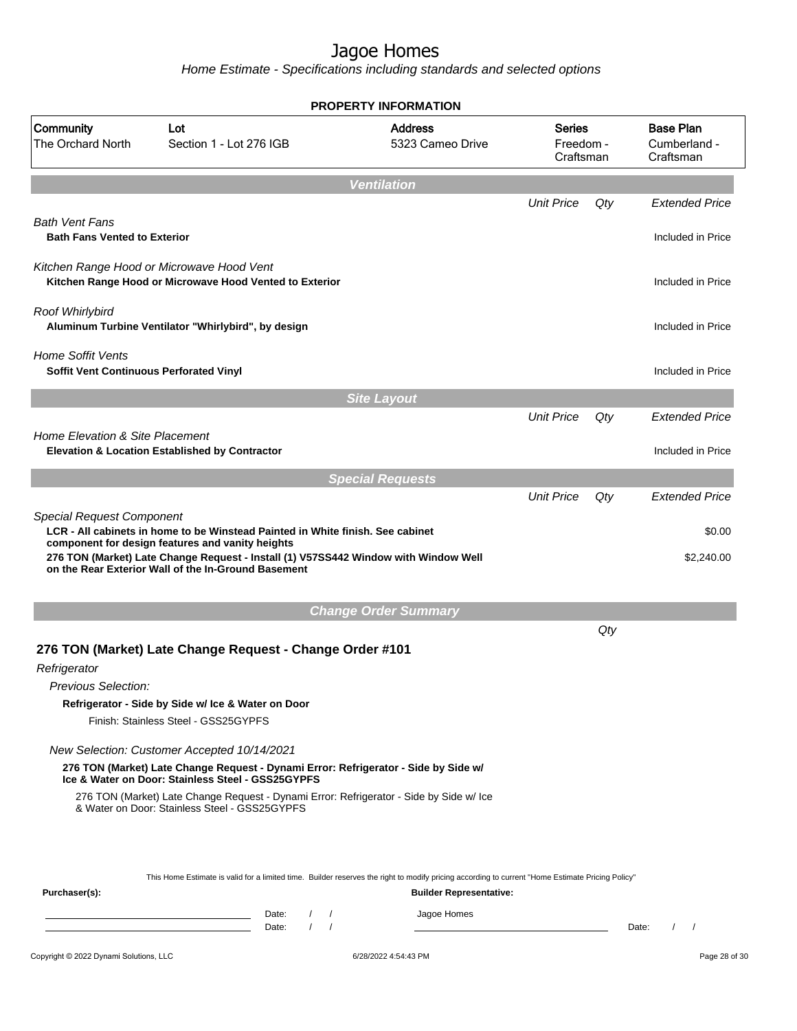|                                                                     |                                                                                                                                                                                                                                                                                  | <b>PROPERTY INFORMATION</b>        |                                  |     |                                               |
|---------------------------------------------------------------------|----------------------------------------------------------------------------------------------------------------------------------------------------------------------------------------------------------------------------------------------------------------------------------|------------------------------------|----------------------------------|-----|-----------------------------------------------|
| Community<br>The Orchard North                                      | Lot<br>Section 1 - Lot 276 IGB                                                                                                                                                                                                                                                   | <b>Address</b><br>5323 Cameo Drive | Series<br>Freedom -<br>Craftsman |     | <b>Base Plan</b><br>Cumberland -<br>Craftsman |
|                                                                     |                                                                                                                                                                                                                                                                                  | <b>Ventilation</b>                 |                                  |     |                                               |
|                                                                     |                                                                                                                                                                                                                                                                                  |                                    | <b>Unit Price</b>                | Qty | <b>Extended Price</b>                         |
| <b>Bath Vent Fans</b><br><b>Bath Fans Vented to Exterior</b>        |                                                                                                                                                                                                                                                                                  |                                    |                                  |     | Included in Price                             |
|                                                                     | Kitchen Range Hood or Microwave Hood Vent<br>Kitchen Range Hood or Microwave Hood Vented to Exterior                                                                                                                                                                             |                                    |                                  |     | Included in Price                             |
| Roof Whirlybird                                                     | Aluminum Turbine Ventilator "Whirlybird", by design                                                                                                                                                                                                                              |                                    |                                  |     | Included in Price                             |
| <b>Home Soffit Vents</b><br>Soffit Vent Continuous Perforated Vinyl |                                                                                                                                                                                                                                                                                  |                                    |                                  |     | Included in Price                             |
|                                                                     |                                                                                                                                                                                                                                                                                  | <b>Site Layout</b>                 |                                  |     |                                               |
|                                                                     |                                                                                                                                                                                                                                                                                  |                                    | <b>Unit Price</b>                | Qty | <b>Extended Price</b>                         |
| Home Elevation & Site Placement                                     | <b>Elevation &amp; Location Established by Contractor</b>                                                                                                                                                                                                                        |                                    |                                  |     | Included in Price                             |
|                                                                     |                                                                                                                                                                                                                                                                                  | <b>Special Requests</b>            |                                  |     |                                               |
| <b>Special Request Component</b>                                    | LCR - All cabinets in home to be Winstead Painted in White finish. See cabinet<br>component for design features and vanity heights<br>276 TON (Market) Late Change Request - Install (1) V57SS442 Window with Window Well<br>on the Rear Exterior Wall of the In-Ground Basement |                                    | <b>Unit Price</b>                | Qty | <b>Extended Price</b><br>\$0.00<br>\$2,240.00 |
|                                                                     |                                                                                                                                                                                                                                                                                  | <b>Change Order Summary</b>        |                                  |     |                                               |
| Refrigerator<br>Previous Selection:                                 | 276 TON (Market) Late Change Request - Change Order #101<br>Refrigerator - Side by Side w/ Ice & Water on Door<br>Finish: Stainless Steel - GSS25GYPFS                                                                                                                           |                                    |                                  | Qty |                                               |
|                                                                     |                                                                                                                                                                                                                                                                                  |                                    |                                  |     |                                               |
|                                                                     | New Selection: Customer Accepted 10/14/2021                                                                                                                                                                                                                                      |                                    |                                  |     |                                               |
|                                                                     | 276 TON (Market) Late Change Request - Dynami Error: Refrigerator - Side by Side w/<br>Ice & Water on Door: Stainless Steel - GSS25GYPFS                                                                                                                                         |                                    |                                  |     |                                               |
|                                                                     | 276 TON (Market) Late Change Request - Dynami Error: Refrigerator - Side by Side w/ Ice<br>& Water on Door: Stainless Steel - GSS25GYPFS                                                                                                                                         |                                    |                                  |     |                                               |
| Purchaser(s):                                                       | This Home Estimate is valid for a limited time. Builder reserves the right to modify pricing according to current "Home Estimate Pricing Policy"                                                                                                                                 | <b>Builder Representative:</b>     |                                  |     |                                               |
|                                                                     | Date:<br>$\left  \right $<br><u> 1989 - Johann Barn, mars ann an t-Amhain an t-Amhain an t-Amhain an t-Amhain an t-Amhain an t-Amhain an t-Amh</u><br>$1 \quad 1$<br>the control of the control of the control of the control of<br>Date:                                        | Jagoe Homes                        |                                  |     | $\sqrt{ }$<br>Date:                           |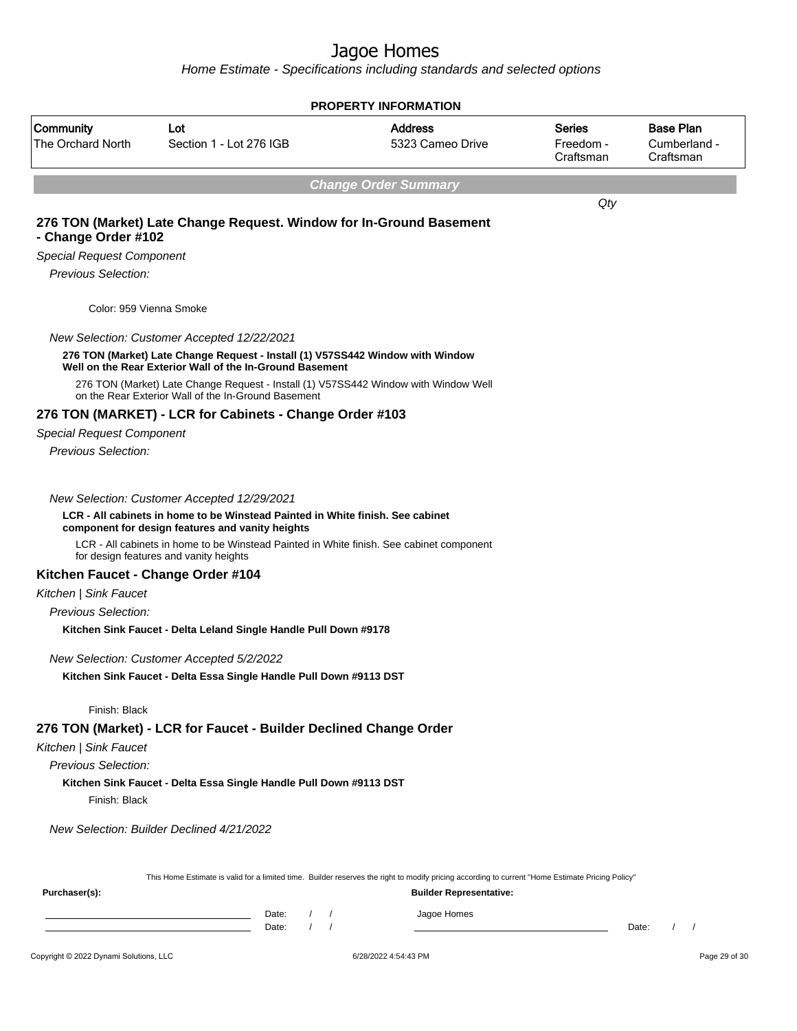|                                        |                                                                                                                                                                                           |                                              | <b>PROPERTY INFORMATION</b>                                                                                                                                                        |                                         |                                               |
|----------------------------------------|-------------------------------------------------------------------------------------------------------------------------------------------------------------------------------------------|----------------------------------------------|------------------------------------------------------------------------------------------------------------------------------------------------------------------------------------|-----------------------------------------|-----------------------------------------------|
| Community<br>The Orchard North         | Lot<br>Section 1 - Lot 276 IGB                                                                                                                                                            |                                              | <b>Address</b><br>5323 Cameo Drive                                                                                                                                                 | <b>Series</b><br>Freedom -<br>Craftsman | <b>Base Plan</b><br>Cumberland -<br>Craftsman |
|                                        |                                                                                                                                                                                           |                                              | <b>Change Order Summary</b>                                                                                                                                                        |                                         |                                               |
| - Change Order #102                    | 276 TON (Market) Late Change Request. Window for In-Ground Basement                                                                                                                       |                                              |                                                                                                                                                                                    | Qty                                     |                                               |
| <b>Special Request Component</b>       |                                                                                                                                                                                           |                                              |                                                                                                                                                                                    |                                         |                                               |
| Previous Selection:                    |                                                                                                                                                                                           |                                              |                                                                                                                                                                                    |                                         |                                               |
| Color: 959 Vienna Smoke                |                                                                                                                                                                                           |                                              |                                                                                                                                                                                    |                                         |                                               |
|                                        | New Selection: Customer Accepted 12/22/2021<br>276 TON (Market) Late Change Request - Install (1) V57SS442 Window with Window<br>Well on the Rear Exterior Wall of the In-Ground Basement |                                              |                                                                                                                                                                                    |                                         |                                               |
|                                        | 276 TON (Market) Late Change Request - Install (1) V57SS442 Window with Window Well<br>on the Rear Exterior Wall of the In-Ground Basement                                                |                                              |                                                                                                                                                                                    |                                         |                                               |
|                                        | 276 TON (MARKET) - LCR for Cabinets - Change Order #103                                                                                                                                   |                                              |                                                                                                                                                                                    |                                         |                                               |
| <b>Special Request Component</b>       |                                                                                                                                                                                           |                                              |                                                                                                                                                                                    |                                         |                                               |
| Previous Selection:                    |                                                                                                                                                                                           |                                              |                                                                                                                                                                                    |                                         |                                               |
|                                        | New Selection: Customer Accepted 12/29/2021                                                                                                                                               |                                              |                                                                                                                                                                                    |                                         |                                               |
|                                        | LCR - All cabinets in home to be Winstead Painted in White finish. See cabinet<br>component for design features and vanity heights                                                        |                                              |                                                                                                                                                                                    |                                         |                                               |
|                                        | LCR - All cabinets in home to be Winstead Painted in White finish. See cabinet component<br>for design features and vanity heights                                                        |                                              |                                                                                                                                                                                    |                                         |                                               |
|                                        | Kitchen Faucet - Change Order #104                                                                                                                                                        |                                              |                                                                                                                                                                                    |                                         |                                               |
| Kitchen   Sink Faucet                  |                                                                                                                                                                                           |                                              |                                                                                                                                                                                    |                                         |                                               |
| Previous Selection:                    |                                                                                                                                                                                           |                                              |                                                                                                                                                                                    |                                         |                                               |
|                                        | Kitchen Sink Faucet - Delta Leland Single Handle Pull Down #9178                                                                                                                          |                                              |                                                                                                                                                                                    |                                         |                                               |
|                                        | New Selection: Customer Accepted 5/2/2022                                                                                                                                                 |                                              |                                                                                                                                                                                    |                                         |                                               |
|                                        | Kitchen Sink Faucet - Delta Essa Single Handle Pull Down #9113 DST                                                                                                                        |                                              |                                                                                                                                                                                    |                                         |                                               |
| Finish: Black                          |                                                                                                                                                                                           |                                              |                                                                                                                                                                                    |                                         |                                               |
|                                        | 276 TON (Market) - LCR for Faucet - Builder Declined Change Order                                                                                                                         |                                              |                                                                                                                                                                                    |                                         |                                               |
| Kitchen   Sink Faucet                  |                                                                                                                                                                                           |                                              |                                                                                                                                                                                    |                                         |                                               |
| Previous Selection:                    |                                                                                                                                                                                           |                                              |                                                                                                                                                                                    |                                         |                                               |
| Finish: Black                          | Kitchen Sink Faucet - Delta Essa Single Handle Pull Down #9113 DST                                                                                                                        |                                              |                                                                                                                                                                                    |                                         |                                               |
|                                        | New Selection: Builder Declined 4/21/2022                                                                                                                                                 |                                              |                                                                                                                                                                                    |                                         |                                               |
| Purchaser(s):                          |                                                                                                                                                                                           |                                              | This Home Estimate is valid for a limited time. Builder reserves the right to modify pricing according to current "Home Estimate Pricing Policy"<br><b>Builder Representative:</b> |                                         |                                               |
|                                        | Date:<br><u> 1989 - Johann Barn, amerikansk politiker (</u><br>Date:                                                                                                                      | $\prime$<br>$\prime$<br>$\prime$<br>$\prime$ | Jagoe Homes                                                                                                                                                                        |                                         | Date:<br>$\prime$<br>$\prime$                 |
| Copyright © 2022 Dynami Solutions, LLC |                                                                                                                                                                                           |                                              | 6/28/2022 4:54:43 PM                                                                                                                                                               |                                         | Page 29 of 30                                 |